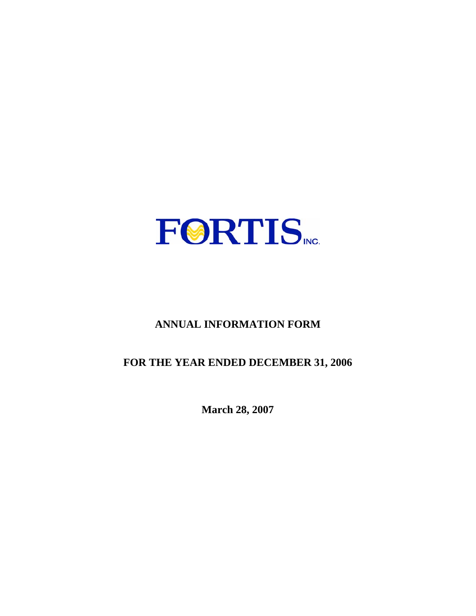

# **ANNUAL INFORMATION FORM**

# **FOR THE YEAR ENDED DECEMBER 31, 2006**

**March 28, 2007**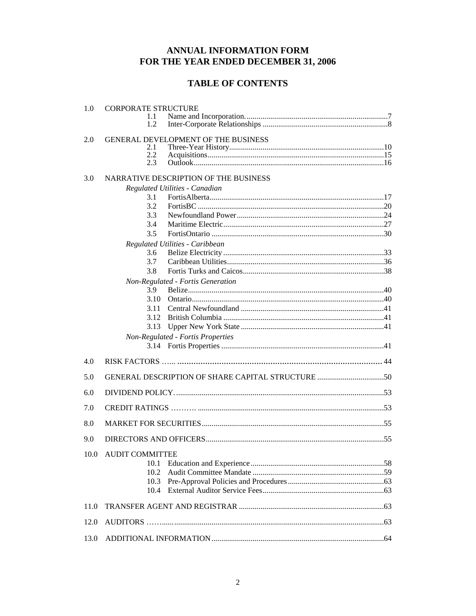## ANNUAL INFORMATION FORM FOR THE YEAR ENDED DECEMBER 31, 2006

## **TABLE OF CONTENTS**

| 1.0  | <b>CORPORATE STRUCTURE</b> |                                                   |
|------|----------------------------|---------------------------------------------------|
|      | 1.1<br>1.2                 |                                                   |
| 2.0  |                            | <b>GENERAL DEVELOPMENT OF THE BUSINESS</b>        |
|      | 2.1                        |                                                   |
|      | 2.2                        |                                                   |
|      | 2.3                        |                                                   |
| 3.0  |                            | NARRATIVE DESCRIPTION OF THE BUSINESS             |
|      |                            | Regulated Utilities - Canadian                    |
|      | 3.1                        |                                                   |
|      | 3.2                        |                                                   |
|      | 3.3                        |                                                   |
|      | 3.4                        |                                                   |
|      | 3.5                        |                                                   |
|      |                            | Regulated Utilities - Caribbean                   |
|      | 3.6<br>3.7                 |                                                   |
|      | 3.8                        |                                                   |
|      |                            |                                                   |
|      | 3.9                        | Non-Regulated - Fortis Generation                 |
|      | 3.10                       |                                                   |
|      | 3.11                       |                                                   |
|      | 3.12                       |                                                   |
|      | 3.13                       |                                                   |
|      |                            | Non-Regulated - Fortis Properties                 |
|      |                            |                                                   |
|      |                            |                                                   |
| 4.0  |                            |                                                   |
| 5.0  |                            | GENERAL DESCRIPTION OF SHARE CAPITAL STRUCTURE 50 |
| 6.0  |                            |                                                   |
| 7.0  |                            |                                                   |
| 8.0  |                            |                                                   |
| 9.0  |                            |                                                   |
|      | 10.0 AUDIT COMMITTEE       |                                                   |
|      | 10.1                       |                                                   |
|      | 10.2                       |                                                   |
|      | 10.3                       |                                                   |
|      | 10.4                       |                                                   |
|      |                            |                                                   |
| 11.0 |                            |                                                   |
| 12.0 |                            |                                                   |
| 13.0 |                            |                                                   |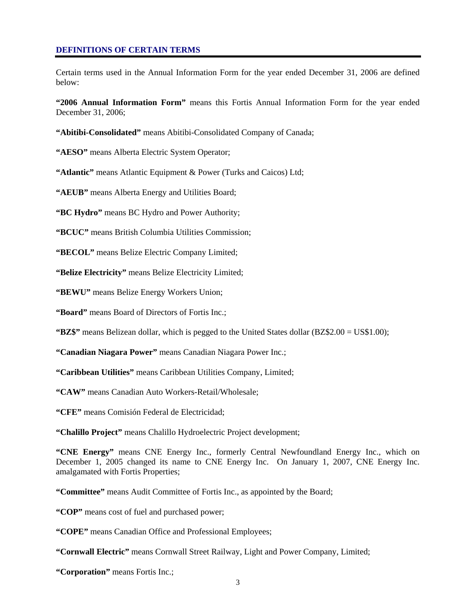#### **DEFINITIONS OF CERTAIN TERMS**

Certain terms used in the Annual Information Form for the year ended December 31, 2006 are defined below:

**"2006 Annual Information Form"** means this Fortis Annual Information Form for the year ended December 31, 2006;

**"Abitibi-Consolidated"** means Abitibi-Consolidated Company of Canada;

**"AESO"** means Alberta Electric System Operator;

**"Atlantic"** means Atlantic Equipment & Power (Turks and Caicos) Ltd;

**"AEUB"** means Alberta Energy and Utilities Board;

**"BC Hydro"** means BC Hydro and Power Authority;

**"BCUC"** means British Columbia Utilities Commission;

**"BECOL"** means Belize Electric Company Limited;

**"Belize Electricity"** means Belize Electricity Limited;

**"BEWU"** means Belize Energy Workers Union;

**"Board"** means Board of Directors of Fortis Inc.;

**"BZ\$"** means Belizean dollar, which is pegged to the United States dollar (BZ\$2.00 = US\$1.00);

**"Canadian Niagara Power"** means Canadian Niagara Power Inc.;

**"Caribbean Utilities"** means Caribbean Utilities Company, Limited;

**"CAW"** means Canadian Auto Workers-Retail/Wholesale;

**"CFE"** means Comisión Federal de Electricidad;

**"Chalillo Project"** means Chalillo Hydroelectric Project development;

**"CNE Energy"** means CNE Energy Inc., formerly Central Newfoundland Energy Inc., which on December 1, 2005 changed its name to CNE Energy Inc. On January 1, 2007, CNE Energy Inc. amalgamated with Fortis Properties;

**"Committee"** means Audit Committee of Fortis Inc., as appointed by the Board;

**"COP"** means cost of fuel and purchased power;

**"COPE"** means Canadian Office and Professional Employees;

**"Cornwall Electric"** means Cornwall Street Railway, Light and Power Company, Limited;

**"Corporation"** means Fortis Inc.;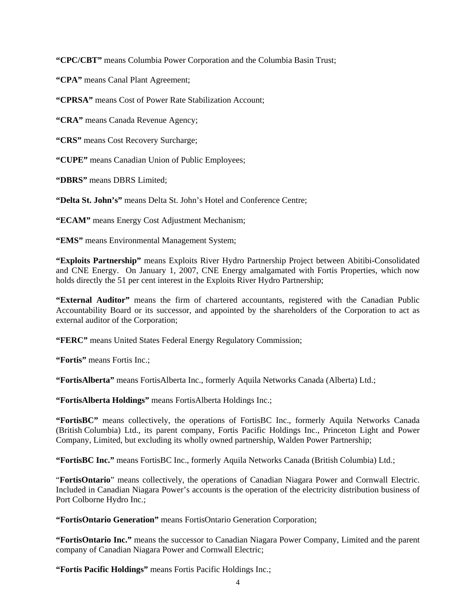**"CPC/CBT"** means Columbia Power Corporation and the Columbia Basin Trust;

**"CPA"** means Canal Plant Agreement;

**"CPRSA"** means Cost of Power Rate Stabilization Account;

**"CRA"** means Canada Revenue Agency;

**"CRS"** means Cost Recovery Surcharge;

**"CUPE"** means Canadian Union of Public Employees;

**"DBRS"** means DBRS Limited;

**"Delta St. John's"** means Delta St. John's Hotel and Conference Centre;

**"ECAM"** means Energy Cost Adjustment Mechanism;

**"EMS"** means Environmental Management System;

**"Exploits Partnership"** means Exploits River Hydro Partnership Project between Abitibi-Consolidated and CNE Energy. On January 1, 2007, CNE Energy amalgamated with Fortis Properties, which now holds directly the 51 per cent interest in the Exploits River Hydro Partnership;

**"External Auditor"** means the firm of chartered accountants, registered with the Canadian Public Accountability Board or its successor, and appointed by the shareholders of the Corporation to act as external auditor of the Corporation;

**"FERC"** means United States Federal Energy Regulatory Commission;

**"Fortis"** means Fortis Inc.;

**"FortisAlberta"** means FortisAlberta Inc., formerly Aquila Networks Canada (Alberta) Ltd.;

**"FortisAlberta Holdings"** means FortisAlberta Holdings Inc.;

**"FortisBC"** means collectively, the operations of FortisBC Inc., formerly Aquila Networks Canada (British Columbia) Ltd., its parent company, Fortis Pacific Holdings Inc., Princeton Light and Power Company, Limited, but excluding its wholly owned partnership, Walden Power Partnership;

**"FortisBC Inc."** means FortisBC Inc., formerly Aquila Networks Canada (British Columbia) Ltd.;

"**FortisOntario**" means collectively, the operations of Canadian Niagara Power and Cornwall Electric. Included in Canadian Niagara Power's accounts is the operation of the electricity distribution business of Port Colborne Hydro Inc.;

**"FortisOntario Generation"** means FortisOntario Generation Corporation;

**"FortisOntario Inc."** means the successor to Canadian Niagara Power Company, Limited and the parent company of Canadian Niagara Power and Cornwall Electric;

**"Fortis Pacific Holdings"** means Fortis Pacific Holdings Inc.;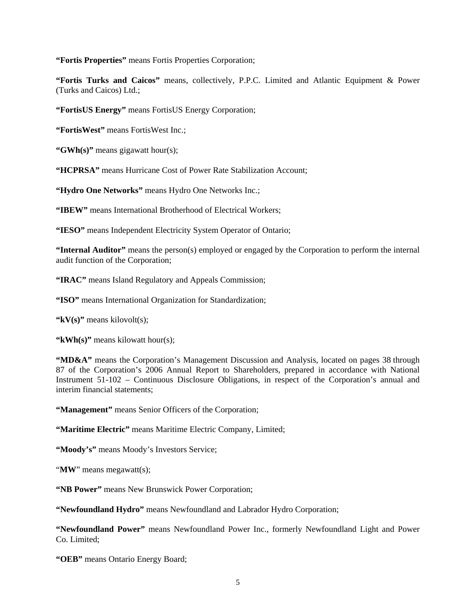**"Fortis Properties"** means Fortis Properties Corporation;

**"Fortis Turks and Caicos"** means, collectively, P.P.C. Limited and Atlantic Equipment & Power (Turks and Caicos) Ltd.;

**"FortisUS Energy"** means FortisUS Energy Corporation;

**"FortisWest"** means FortisWest Inc.;

**"GWh(s)"** means gigawatt hour(s);

**"HCPRSA"** means Hurricane Cost of Power Rate Stabilization Account;

**"Hydro One Networks"** means Hydro One Networks Inc.;

**"IBEW"** means International Brotherhood of Electrical Workers;

**"IESO"** means Independent Electricity System Operator of Ontario;

**"Internal Auditor"** means the person(s) employed or engaged by the Corporation to perform the internal audit function of the Corporation;

**"IRAC"** means Island Regulatory and Appeals Commission;

**"ISO"** means International Organization for Standardization;

**"kV(s)"** means kilovolt(s);

**"kWh(s)"** means kilowatt hour(s);

**"MD&A"** means the Corporation's Management Discussion and Analysis, located on pages 38 through 87 of the Corporation's 2006 Annual Report to Shareholders, prepared in accordance with National Instrument 51-102 – Continuous Disclosure Obligations, in respect of the Corporation's annual and interim financial statements;

**"Management"** means Senior Officers of the Corporation;

**"Maritime Electric"** means Maritime Electric Company, Limited;

**"Moody's"** means Moody's Investors Service;

"**MW**" means megawatt(s);

**"NB Power"** means New Brunswick Power Corporation;

**"Newfoundland Hydro"** means Newfoundland and Labrador Hydro Corporation;

**"Newfoundland Power"** means Newfoundland Power Inc., formerly Newfoundland Light and Power Co. Limited;

**"OEB"** means Ontario Energy Board;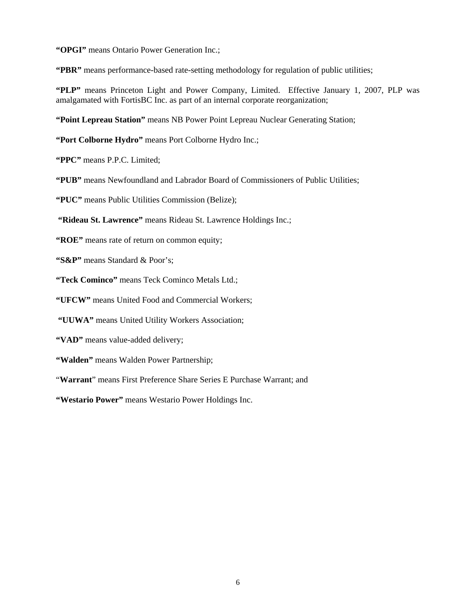**"OPGI"** means Ontario Power Generation Inc.;

**"PBR"** means performance-based rate-setting methodology for regulation of public utilities;

**"PLP"** means Princeton Light and Power Company, Limited. Effective January 1, 2007, PLP was amalgamated with FortisBC Inc. as part of an internal corporate reorganization;

**"Point Lepreau Station"** means NB Power Point Lepreau Nuclear Generating Station;

**"Port Colborne Hydro"** means Port Colborne Hydro Inc.;

**"PPC"** means P.P.C. Limited;

**"PUB"** means Newfoundland and Labrador Board of Commissioners of Public Utilities;

**"PUC"** means Public Utilities Commission (Belize);

 **"Rideau St. Lawrence"** means Rideau St. Lawrence Holdings Inc.;

**"ROE"** means rate of return on common equity;

**"S&P"** means Standard & Poor's;

**"Teck Cominco"** means Teck Cominco Metals Ltd.;

**"UFCW"** means United Food and Commercial Workers;

 **"UUWA"** means United Utility Workers Association;

**"VAD"** means value-added delivery;

**"Walden"** means Walden Power Partnership;

"**Warrant**" means First Preference Share Series E Purchase Warrant; and

**"Westario Power"** means Westario Power Holdings Inc.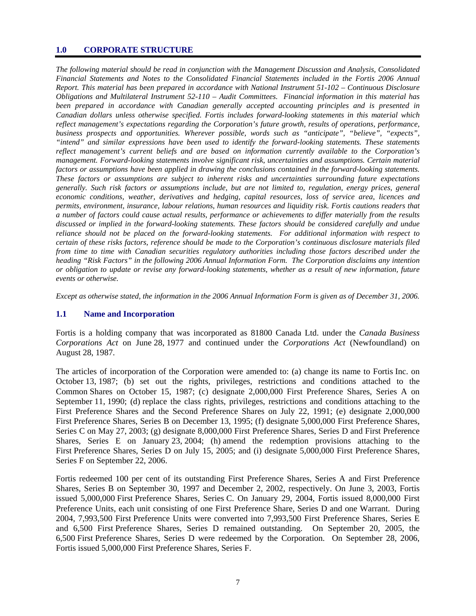#### **1.0 CORPORATE STRUCTURE**

*The following material should be read in conjunction with the Management Discussion and Analysis, Consolidated Financial Statements and Notes to the Consolidated Financial Statements included in the Fortis 2006 Annual Report. This material has been prepared in accordance with National Instrument 51-102 – Continuous Disclosure Obligations and Multilateral Instrument 52-110 – Audit Committees. Financial information in this material has been prepared in accordance with Canadian generally accepted accounting principles and is presented in Canadian dollars unless otherwise specified. Fortis includes forward-looking statements in this material which reflect management's expectations regarding the Corporation's future growth, results of operations, performance, business prospects and opportunities. Wherever possible, words such as "anticipate", "believe", "expects", "intend" and similar expressions have been used to identify the forward-looking statements. These statements reflect management's current beliefs and are based on information currently available to the Corporation's management. Forward-looking statements involve significant risk, uncertainties and assumptions. Certain material factors or assumptions have been applied in drawing the conclusions contained in the forward-looking statements. These factors or assumptions are subject to inherent risks and uncertainties surrounding future expectations generally. Such risk factors or assumptions include, but are not limited to, regulation, energy prices, general economic conditions, weather, derivatives and hedging, capital resources, loss of service area, licences and permits, environment, insurance, labour relations, human resources and liquidity risk. Fortis cautions readers that a number of factors could cause actual results, performance or achievements to differ materially from the results discussed or implied in the forward-looking statements. These factors should be considered carefully and undue reliance should not be placed on the forward-looking statements. For additional information with respect to certain of these risks factors, reference should be made to the Corporation's continuous disclosure materials filed from time to time with Canadian securities regulatory authorities including those factors described under the heading "Risk Factors" in the following 2006 Annual Information Form. The Corporation disclaims any intention or obligation to update or revise any forward-looking statements, whether as a result of new information, future events or otherwise.* 

*Except as otherwise stated, the information in the 2006 Annual Information Form is given as of December 31, 2006.* 

#### **1.1 Name and Incorporation**

Fortis is a holding company that was incorporated as 81800 Canada Ltd. under the *Canada Business Corporations Act* on June 28, 1977 and continued under the *Corporations Act* (Newfoundland) on August 28, 1987.

The articles of incorporation of the Corporation were amended to: (a) change its name to Fortis Inc. on October 13, 1987; (b) set out the rights, privileges, restrictions and conditions attached to the Common Shares on October 15, 1987; (c) designate 2,000,000 First Preference Shares, Series A on September 11, 1990; (d) replace the class rights, privileges, restrictions and conditions attaching to the First Preference Shares and the Second Preference Shares on July 22, 1991; (e) designate 2,000,000 First Preference Shares, Series B on December 13, 1995; (f) designate 5,000,000 First Preference Shares, Series C on May 27, 2003; (g) designate 8,000,000 First Preference Shares, Series D and First Preference Shares, Series E on January 23, 2004; (h) amend the redemption provisions attaching to the First Preference Shares, Series D on July 15, 2005; and (i) designate 5,000,000 First Preference Shares, Series F on September 22, 2006.

Fortis redeemed 100 per cent of its outstanding First Preference Shares, Series A and First Preference Shares, Series B on September 30, 1997 and December 2, 2002, respectively. On June 3, 2003, Fortis issued 5,000,000 First Preference Shares, Series C. On January 29, 2004, Fortis issued 8,000,000 First Preference Units, each unit consisting of one First Preference Share, Series D and one Warrant. During 2004, 7,993,500 First Preference Units were converted into 7,993,500 First Preference Shares, Series E and 6,500 First Preference Shares, Series D remained outstanding. On September 20, 2005, the 6,500 First Preference Shares, Series D were redeemed by the Corporation. On September 28, 2006, Fortis issued 5,000,000 First Preference Shares, Series F.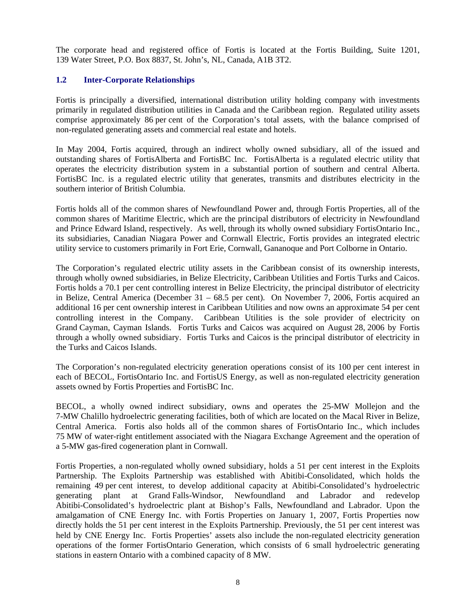The corporate head and registered office of Fortis is located at the Fortis Building, Suite 1201, 139 Water Street, P.O. Box 8837, St. John's, NL, Canada, A1B 3T2.

## **1.2 Inter-Corporate Relationships**

Fortis is principally a diversified, international distribution utility holding company with investments primarily in regulated distribution utilities in Canada and the Caribbean region. Regulated utility assets comprise approximately 86 per cent of the Corporation's total assets, with the balance comprised of non-regulated generating assets and commercial real estate and hotels.

In May 2004, Fortis acquired, through an indirect wholly owned subsidiary, all of the issued and outstanding shares of FortisAlberta and FortisBC Inc. FortisAlberta is a regulated electric utility that operates the electricity distribution system in a substantial portion of southern and central Alberta. FortisBC Inc. is a regulated electric utility that generates, transmits and distributes electricity in the southern interior of British Columbia.

Fortis holds all of the common shares of Newfoundland Power and, through Fortis Properties, all of the common shares of Maritime Electric, which are the principal distributors of electricity in Newfoundland and Prince Edward Island, respectively. As well, through its wholly owned subsidiary FortisOntario Inc., its subsidiaries, Canadian Niagara Power and Cornwall Electric, Fortis provides an integrated electric utility service to customers primarily in Fort Erie, Cornwall, Gananoque and Port Colborne in Ontario.

The Corporation's regulated electric utility assets in the Caribbean consist of its ownership interests, through wholly owned subsidiaries, in Belize Electricity, Caribbean Utilities and Fortis Turks and Caicos. Fortis holds a 70.1 per cent controlling interest in Belize Electricity, the principal distributor of electricity in Belize, Central America (December 31 – 68.5 per cent). On November 7, 2006, Fortis acquired an additional 16 per cent ownership interest in Caribbean Utilities and now owns an approximate 54 per cent controlling interest in the Company. Caribbean Utilities is the sole provider of electricity on Grand Cayman, Cayman Islands. Fortis Turks and Caicos was acquired on August 28, 2006 by Fortis through a wholly owned subsidiary. Fortis Turks and Caicos is the principal distributor of electricity in the Turks and Caicos Islands.

The Corporation's non-regulated electricity generation operations consist of its 100 per cent interest in each of BECOL, FortisOntario Inc. and FortisUS Energy, as well as non-regulated electricity generation assets owned by Fortis Properties and FortisBC Inc.

BECOL, a wholly owned indirect subsidiary, owns and operates the 25-MW Mollejon and the 7-MW Chalillo hydroelectric generating facilities, both of which are located on the Macal River in Belize, Central America. Fortis also holds all of the common shares of FortisOntario Inc., which includes 75 MW of water-right entitlement associated with the Niagara Exchange Agreement and the operation of a 5-MW gas-fired cogeneration plant in Cornwall.

Fortis Properties, a non-regulated wholly owned subsidiary, holds a 51 per cent interest in the Exploits Partnership. The Exploits Partnership was established with Abitibi-Consolidated, which holds the remaining 49 per cent interest, to develop additional capacity at Abitibi-Consolidated's hydroelectric generating plant at Grand Falls-Windsor, Newfoundland and Labrador and redevelop Abitibi-Consolidated's hydroelectric plant at Bishop's Falls, Newfoundland and Labrador. Upon the amalgamation of CNE Energy Inc. with Fortis Properties on January 1, 2007, Fortis Properties now directly holds the 51 per cent interest in the Exploits Partnership. Previously, the 51 per cent interest was held by CNE Energy Inc. Fortis Properties' assets also include the non-regulated electricity generation operations of the former FortisOntario Generation, which consists of 6 small hydroelectric generating stations in eastern Ontario with a combined capacity of 8 MW.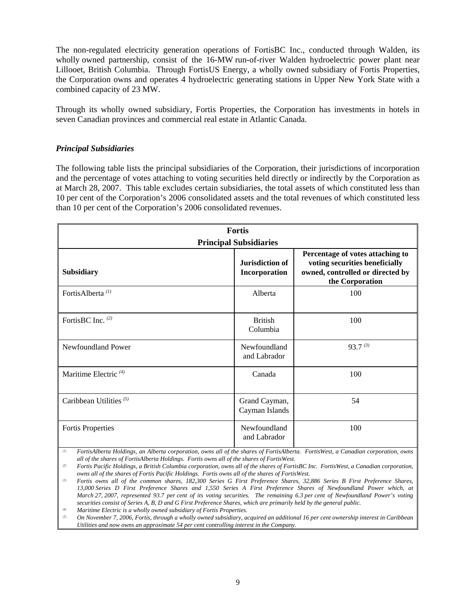The non-regulated electricity generation operations of FortisBC Inc., conducted through Walden, its wholly owned partnership, consist of the 16-MW run-of-river Walden hydroelectric power plant near Lillooet, British Columbia. Through FortisUS Energy, a wholly owned subsidiary of Fortis Properties, the Corporation owns and operates 4 hydroelectric generating stations in Upper New York State with a combined capacity of 23 MW.

Through its wholly owned subsidiary, Fortis Properties, the Corporation has investments in hotels in seven Canadian provinces and commercial real estate in Atlantic Canada.

## *Principal Subsidiaries*

The following table lists the principal subsidiaries of the Corporation, their jurisdictions of incorporation and the percentage of votes attaching to voting securities held directly or indirectly by the Corporation as at March 28, 2007. This table excludes certain subsidiaries, the total assets of which constituted less than 10 per cent of the Corporation's 2006 consolidated assets and the total revenues of which constituted less than 10 per cent of the Corporation's 2006 consolidated revenues.

| <b>Fortis</b><br><b>Principal Subsidiaries</b> |                                                                                                                           |              |  |  |  |
|------------------------------------------------|---------------------------------------------------------------------------------------------------------------------------|--------------|--|--|--|
| <b>Subsidiary</b>                              | Percentage of votes attaching to<br>voting securities beneficially<br>owned, controlled or directed by<br>the Corporation |              |  |  |  |
| FortisAlberta <sup>(1)</sup>                   | Alberta                                                                                                                   | 100          |  |  |  |
| FortisBC Inc. (2)                              | <b>British</b><br>Columbia                                                                                                | 100          |  |  |  |
| Newfoundland Power                             | Newfoundland<br>and Labrador                                                                                              | $93.7^{(3)}$ |  |  |  |
| Maritime Electric <sup>(4)</sup>               | Canada                                                                                                                    | 100          |  |  |  |
| Caribbean Utilities <sup>(5)</sup>             | Grand Cayman,<br>Cayman Islands                                                                                           | 54           |  |  |  |
| <b>Fortis Properties</b>                       | Newfoundland<br>and Labrador                                                                                              | 100          |  |  |  |

*(1) FortisAlberta Holdings, an Alberta corporation, owns all of the shares of FortisAlberta. FortisWest, a Canadian corporation, owns all of the shares of FortisAlberta Holdings. Fortis owns all of the shares of FortisWest.* 

*(2) Fortis Pacific Holdings, a British Columbia corporation, owns all of the shares of FortisBC Inc. FortisWest, a Canadian corporation, owns all of the shares of Fortis Pacific Holdings. Fortis owns all of the shares of FortisWest.* 

*(4) Maritime Electric is a wholly owned subsidiary of Fortis Properties.* 

*(5) On November 7, 2006, Fortis, through a wholly owned subsidiary, acquired an additional 16 per cent ownership interest in Caribbean Utilities and now owns an approximate 54 per cent controlling interest in the Company.* 

*<sup>(3)</sup> Fortis owns all of the common shares, 182,300 Series G First Preference Shares, 32,886 Series B First Preference Shares, 13,000 Series D First Preference Shares and 1,550 Series A First Preference Shares of Newfoundland Power which, at March 27, 2007, represented 93.7 per cent of its voting securities. The remaining 6.3 per cent of Newfoundland Power's voting securities consist of Series A, B, D and G First Preference Shares, which are primarily held by the general public.*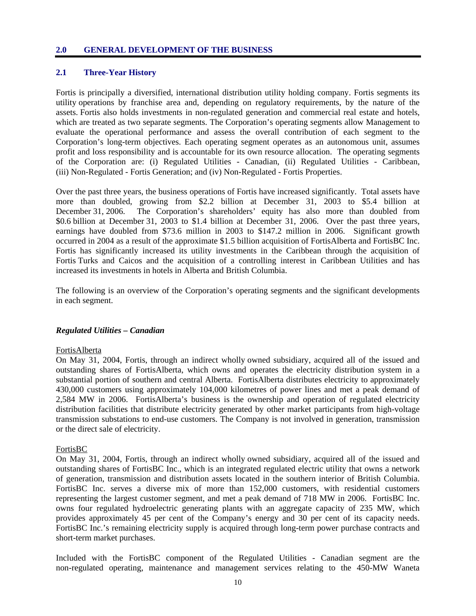#### **2.0 GENERAL DEVELOPMENT OF THE BUSINESS**

## **2.1 Three-Year History**

Fortis is principally a diversified, international distribution utility holding company. Fortis segments its utility operations by franchise area and, depending on regulatory requirements, by the nature of the assets. Fortis also holds investments in non-regulated generation and commercial real estate and hotels, which are treated as two separate segments. The Corporation's operating segments allow Management to evaluate the operational performance and assess the overall contribution of each segment to the Corporation's long-term objectives. Each operating segment operates as an autonomous unit, assumes profit and loss responsibility and is accountable for its own resource allocation. The operating segments of the Corporation are: (i) Regulated Utilities - Canadian, (ii) Regulated Utilities - Caribbean, (iii) Non-Regulated - Fortis Generation; and (iv) Non-Regulated - Fortis Properties.

Over the past three years, the business operations of Fortis have increased significantly. Total assets have more than doubled, growing from \$2.2 billion at December 31, 2003 to \$5.4 billion at December 31, 2006. The Corporation's shareholders' equity has also more than doubled from \$0.6 billion at December 31, 2003 to \$1.4 billion at December 31, 2006. Over the past three years, earnings have doubled from \$73.6 million in 2003 to \$147.2 million in 2006. Significant growth occurred in 2004 as a result of the approximate \$1.5 billion acquisition of FortisAlberta and FortisBC Inc. Fortis has significantly increased its utility investments in the Caribbean through the acquisition of Fortis Turks and Caicos and the acquisition of a controlling interest in Caribbean Utilities and has increased its investments in hotels in Alberta and British Columbia.

The following is an overview of the Corporation's operating segments and the significant developments in each segment.

#### *Regulated Utilities – Canadian*

#### FortisAlberta

On May 31, 2004, Fortis, through an indirect wholly owned subsidiary, acquired all of the issued and outstanding shares of FortisAlberta, which owns and operates the electricity distribution system in a substantial portion of southern and central Alberta. FortisAlberta distributes electricity to approximately 430,000 customers using approximately 104,000 kilometres of power lines and met a peak demand of 2,584 MW in 2006. FortisAlberta's business is the ownership and operation of regulated electricity distribution facilities that distribute electricity generated by other market participants from high-voltage transmission substations to end-use customers. The Company is not involved in generation, transmission or the direct sale of electricity.

### FortisBC

On May 31, 2004, Fortis, through an indirect wholly owned subsidiary, acquired all of the issued and outstanding shares of FortisBC Inc., which is an integrated regulated electric utility that owns a network of generation, transmission and distribution assets located in the southern interior of British Columbia. FortisBC Inc. serves a diverse mix of more than 152,000 customers, with residential customers representing the largest customer segment, and met a peak demand of 718 MW in 2006. FortisBC Inc. owns four regulated hydroelectric generating plants with an aggregate capacity of 235 MW, which provides approximately 45 per cent of the Company's energy and 30 per cent of its capacity needs. FortisBC Inc.'s remaining electricity supply is acquired through long-term power purchase contracts and short-term market purchases.

Included with the FortisBC component of the Regulated Utilities - Canadian segment are the non-regulated operating, maintenance and management services relating to the 450-MW Waneta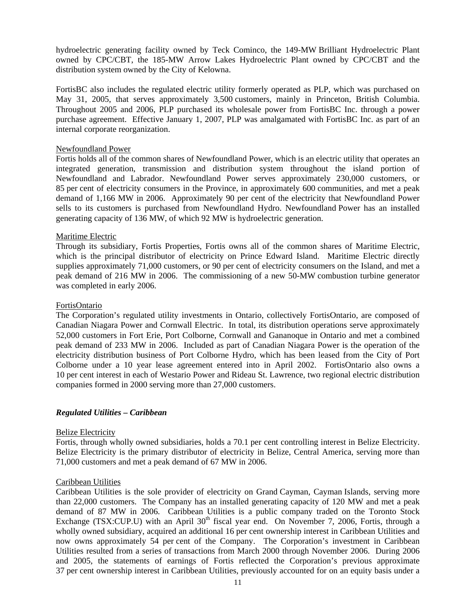hydroelectric generating facility owned by Teck Cominco, the 149-MW Brilliant Hydroelectric Plant owned by CPC/CBT, the 185-MW Arrow Lakes Hydroelectric Plant owned by CPC/CBT and the distribution system owned by the City of Kelowna.

FortisBC also includes the regulated electric utility formerly operated as PLP, which was purchased on May 31, 2005, that serves approximately 3,500 customers, mainly in Princeton, British Columbia. Throughout 2005 and 2006, PLP purchased its wholesale power from FortisBC Inc. through a power purchase agreement. Effective January 1, 2007, PLP was amalgamated with FortisBC Inc. as part of an internal corporate reorganization.

### Newfoundland Power

Fortis holds all of the common shares of Newfoundland Power, which is an electric utility that operates an integrated generation, transmission and distribution system throughout the island portion of Newfoundland and Labrador. Newfoundland Power serves approximately 230,000 customers, or 85 per cent of electricity consumers in the Province, in approximately 600 communities, and met a peak demand of 1,166 MW in 2006. Approximately 90 per cent of the electricity that Newfoundland Power sells to its customers is purchased from Newfoundland Hydro. Newfoundland Power has an installed generating capacity of 136 MW, of which 92 MW is hydroelectric generation.

### Maritime Electric

Through its subsidiary, Fortis Properties, Fortis owns all of the common shares of Maritime Electric, which is the principal distributor of electricity on Prince Edward Island. Maritime Electric directly supplies approximately 71,000 customers, or 90 per cent of electricity consumers on the Island, and met a peak demand of 216 MW in 2006. The commissioning of a new 50-MW combustion turbine generator was completed in early 2006.

### FortisOntario

The Corporation's regulated utility investments in Ontario, collectively FortisOntario, are composed of Canadian Niagara Power and Cornwall Electric. In total, its distribution operations serve approximately 52,000 customers in Fort Erie, Port Colborne, Cornwall and Gananoque in Ontario and met a combined peak demand of 233 MW in 2006. Included as part of Canadian Niagara Power is the operation of the electricity distribution business of Port Colborne Hydro, which has been leased from the City of Port Colborne under a 10 year lease agreement entered into in April 2002. FortisOntario also owns a 10 per cent interest in each of Westario Power and Rideau St. Lawrence, two regional electric distribution companies formed in 2000 serving more than 27,000 customers.

## *Regulated Utilities – Caribbean*

#### **Belize Electricity**

Fortis, through wholly owned subsidiaries, holds a 70.1 per cent controlling interest in Belize Electricity. Belize Electricity is the primary distributor of electricity in Belize, Central America, serving more than 71,000 customers and met a peak demand of 67 MW in 2006.

#### Caribbean Utilities

Caribbean Utilities is the sole provider of electricity on Grand Cayman, Cayman Islands, serving more than 22,000 customers. The Company has an installed generating capacity of 120 MW and met a peak demand of 87 MW in 2006. Caribbean Utilities is a public company traded on the Toronto Stock Exchange (TSX:CUP.U) with an April  $30<sup>th</sup>$  fiscal year end. On November 7, 2006, Fortis, through a wholly owned subsidiary, acquired an additional 16 per cent ownership interest in Caribbean Utilities and now owns approximately 54 per cent of the Company. The Corporation's investment in Caribbean Utilities resulted from a series of transactions from March 2000 through November 2006. During 2006 and 2005, the statements of earnings of Fortis reflected the Corporation's previous approximate 37 per cent ownership interest in Caribbean Utilities, previously accounted for on an equity basis under a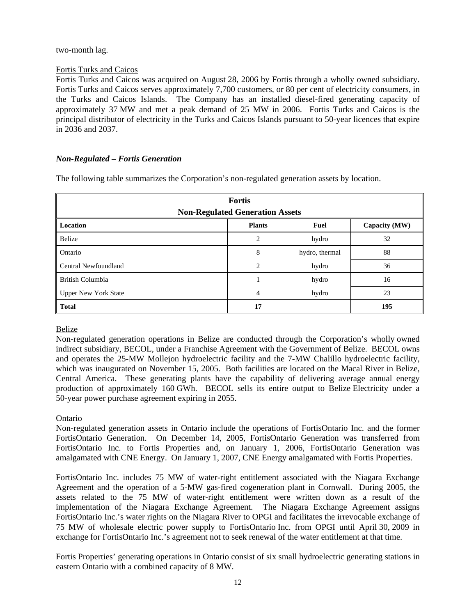## two-month lag.

## Fortis Turks and Caicos

Fortis Turks and Caicos was acquired on August 28, 2006 by Fortis through a wholly owned subsidiary. Fortis Turks and Caicos serves approximately 7,700 customers, or 80 per cent of electricity consumers, in the Turks and Caicos Islands. The Company has an installed diesel-fired generating capacity of approximately 37 MW and met a peak demand of 25 MW in 2006. Fortis Turks and Caicos is the principal distributor of electricity in the Turks and Caicos Islands pursuant to 50-year licences that expire in 2036 and 2037.

## *Non-Regulated – Fortis Generation*

The following table summarizes the Corporation's non-regulated generation assets by location.

| <b>Fortis</b><br><b>Non-Regulated Generation Assets</b> |                |                |               |  |  |  |
|---------------------------------------------------------|----------------|----------------|---------------|--|--|--|
| Location                                                | <b>Plants</b>  | <b>Fuel</b>    | Capacity (MW) |  |  |  |
| Belize                                                  | 2              | hydro          | 32            |  |  |  |
| Ontario                                                 | 8              | hydro, thermal | 88            |  |  |  |
| Central Newfoundland                                    | $\overline{c}$ | hydro          | 36            |  |  |  |
| British Columbia                                        |                | hydro          | 16            |  |  |  |
| <b>Upper New York State</b>                             | 4              | hydro          | 23            |  |  |  |
| <b>Total</b>                                            | 17             |                | 195           |  |  |  |

## Belize

Non-regulated generation operations in Belize are conducted through the Corporation's wholly owned indirect subsidiary, BECOL, under a Franchise Agreement with the Government of Belize. BECOL owns and operates the 25-MW Mollejon hydroelectric facility and the 7-MW Chalillo hydroelectric facility, which was inaugurated on November 15, 2005. Both facilities are located on the Macal River in Belize, Central America. These generating plants have the capability of delivering average annual energy production of approximately 160 GWh. BECOL sells its entire output to Belize Electricity under a 50-year power purchase agreement expiring in 2055.

## Ontario

Non-regulated generation assets in Ontario include the operations of FortisOntario Inc. and the former FortisOntario Generation. On December 14, 2005, FortisOntario Generation was transferred from FortisOntario Inc. to Fortis Properties and, on January 1, 2006, FortisOntario Generation was amalgamated with CNE Energy. On January 1, 2007, CNE Energy amalgamated with Fortis Properties.

FortisOntario Inc. includes 75 MW of water-right entitlement associated with the Niagara Exchange Agreement and the operation of a 5-MW gas-fired cogeneration plant in Cornwall. During 2005, the assets related to the 75 MW of water-right entitlement were written down as a result of the implementation of the Niagara Exchange Agreement. The Niagara Exchange Agreement assigns FortisOntario Inc.'s water rights on the Niagara River to OPGI and facilitates the irrevocable exchange of 75 MW of wholesale electric power supply to FortisOntario Inc. from OPGI until April 30, 2009 in exchange for FortisOntario Inc.'s agreement not to seek renewal of the water entitlement at that time.

Fortis Properties' generating operations in Ontario consist of six small hydroelectric generating stations in eastern Ontario with a combined capacity of 8 MW.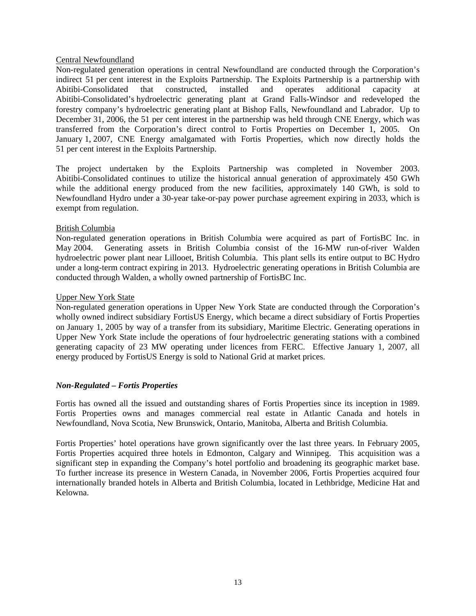## Central Newfoundland

Non-regulated generation operations in central Newfoundland are conducted through the Corporation's indirect 51 per cent interest in the Exploits Partnership. The Exploits Partnership is a partnership with Abitibi-Consolidated that constructed, installed and operates additional capacity at Abitibi-Consolidated's hydroelectric generating plant at Grand Falls-Windsor and redeveloped the forestry company's hydroelectric generating plant at Bishop Falls, Newfoundland and Labrador. Up to December 31, 2006, the 51 per cent interest in the partnership was held through CNE Energy, which was transferred from the Corporation's direct control to Fortis Properties on December 1, 2005. On January 1, 2007, CNE Energy amalgamated with Fortis Properties, which now directly holds the 51 per cent interest in the Exploits Partnership.

The project undertaken by the Exploits Partnership was completed in November 2003. Abitibi-Consolidated continues to utilize the historical annual generation of approximately 450 GWh while the additional energy produced from the new facilities, approximately 140 GWh, is sold to Newfoundland Hydro under a 30-year take-or-pay power purchase agreement expiring in 2033, which is exempt from regulation.

### British Columbia

Non-regulated generation operations in British Columbia were acquired as part of FortisBC Inc. in May 2004. Generating assets in British Columbia consist of the 16-MW run-of-river Walden hydroelectric power plant near Lillooet, British Columbia. This plant sells its entire output to BC Hydro under a long-term contract expiring in 2013. Hydroelectric generating operations in British Columbia are conducted through Walden, a wholly owned partnership of FortisBC Inc.

### Upper New York State

Non-regulated generation operations in Upper New York State are conducted through the Corporation's wholly owned indirect subsidiary FortisUS Energy, which became a direct subsidiary of Fortis Properties on January 1, 2005 by way of a transfer from its subsidiary, Maritime Electric. Generating operations in Upper New York State include the operations of four hydroelectric generating stations with a combined generating capacity of 23 MW operating under licences from FERC. Effective January 1, 2007, all energy produced by FortisUS Energy is sold to National Grid at market prices.

## *Non-Regulated – Fortis Properties*

Fortis has owned all the issued and outstanding shares of Fortis Properties since its inception in 1989. Fortis Properties owns and manages commercial real estate in Atlantic Canada and hotels in Newfoundland, Nova Scotia, New Brunswick, Ontario, Manitoba, Alberta and British Columbia.

Fortis Properties' hotel operations have grown significantly over the last three years. In February 2005, Fortis Properties acquired three hotels in Edmonton, Calgary and Winnipeg. This acquisition was a significant step in expanding the Company's hotel portfolio and broadening its geographic market base. To further increase its presence in Western Canada, in November 2006, Fortis Properties acquired four internationally branded hotels in Alberta and British Columbia, located in Lethbridge, Medicine Hat and Kelowna.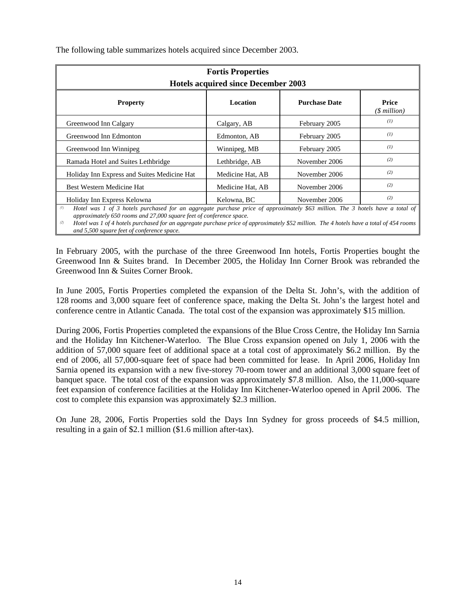| <b>Fortis Properties</b><br><b>Hotels acquired since December 2003</b> |                  |                      |                        |  |  |
|------------------------------------------------------------------------|------------------|----------------------|------------------------|--|--|
| <b>Property</b>                                                        | <b>Location</b>  | <b>Purchase Date</b> | Price<br>$(S$ million) |  |  |
| Greenwood Inn Calgary                                                  | Calgary, AB      | February 2005        | (I)                    |  |  |
| Greenwood Inn Edmonton                                                 | Edmonton, AB     | February 2005        | (I)                    |  |  |
| Greenwood Inn Winnipeg                                                 | Winnipeg, MB     | February 2005        | (I)                    |  |  |
| Ramada Hotel and Suites Lethbridge                                     | Lethbridge, AB   | November 2006        | (2)                    |  |  |
| Holiday Inn Express and Suites Medicine Hat                            | Medicine Hat, AB | November 2006        | (2)                    |  |  |
| Best Western Medicine Hat                                              | Medicine Hat, AB | November 2006        | (2)                    |  |  |
| Holiday Inn Express Kelowna                                            | Kelowna, BC      | November 2006        | (2)                    |  |  |

The following table summarizes hotels acquired since December 2003.

*(1) Hotel was 1 of 3 hotels purchased for an aggregate purchase price of approximately \$63 million. The 3 hotels have a total of approximately 650 rooms and 27,000 square feet of conference space.*

*(2) Hotel was 1 of 4 hotels purchased for an aggregate purchase price of approximately \$52 million. The 4 hotels have a total of 454 rooms and 5,500 square feet of conference space.*

In February 2005, with the purchase of the three Greenwood Inn hotels, Fortis Properties bought the Greenwood Inn & Suites brand. In December 2005, the Holiday Inn Corner Brook was rebranded the Greenwood Inn & Suites Corner Brook.

In June 2005, Fortis Properties completed the expansion of the Delta St. John's, with the addition of 128 rooms and 3,000 square feet of conference space, making the Delta St. John's the largest hotel and conference centre in Atlantic Canada. The total cost of the expansion was approximately \$15 million.

During 2006, Fortis Properties completed the expansions of the Blue Cross Centre, the Holiday Inn Sarnia and the Holiday Inn Kitchener-Waterloo. The Blue Cross expansion opened on July 1, 2006 with the addition of 57,000 square feet of additional space at a total cost of approximately \$6.2 million. By the end of 2006, all 57,000-square feet of space had been committed for lease. In April 2006, Holiday Inn Sarnia opened its expansion with a new five-storey 70-room tower and an additional 3,000 square feet of banquet space. The total cost of the expansion was approximately \$7.8 million. Also, the 11,000-square feet expansion of conference facilities at the Holiday Inn Kitchener-Waterloo opened in April 2006. The cost to complete this expansion was approximately \$2.3 million.

On June 28, 2006, Fortis Properties sold the Days Inn Sydney for gross proceeds of \$4.5 million, resulting in a gain of \$2.1 million (\$1.6 million after-tax).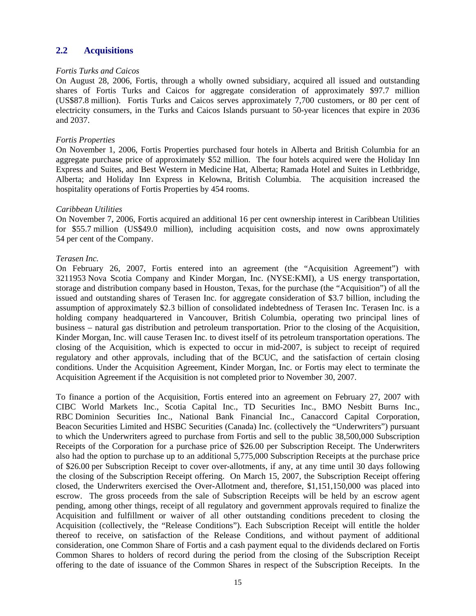## **2.2 Acquisitions**

#### *Fortis Turks and Caicos*

On August 28, 2006, Fortis, through a wholly owned subsidiary, acquired all issued and outstanding shares of Fortis Turks and Caicos for aggregate consideration of approximately \$97.7 million (US\$87.8 million). Fortis Turks and Caicos serves approximately 7,700 customers, or 80 per cent of electricity consumers, in the Turks and Caicos Islands pursuant to 50-year licences that expire in 2036 and 2037.

### *Fortis Properties*

On November 1, 2006, Fortis Properties purchased four hotels in Alberta and British Columbia for an aggregate purchase price of approximately \$52 million. The four hotels acquired were the Holiday Inn Express and Suites, and Best Western in Medicine Hat, Alberta; Ramada Hotel and Suites in Lethbridge, Alberta; and Holiday Inn Express in Kelowna, British Columbia. The acquisition increased the hospitality operations of Fortis Properties by 454 rooms.

### *Caribbean Utilities*

On November 7, 2006, Fortis acquired an additional 16 per cent ownership interest in Caribbean Utilities for \$55.7 million (US\$49.0 million), including acquisition costs, and now owns approximately 54 per cent of the Company.

### *Terasen Inc.*

On February 26, 2007, Fortis entered into an agreement (the "Acquisition Agreement") with 3211953 Nova Scotia Company and Kinder Morgan, Inc. (NYSE:KMI), a US energy transportation, storage and distribution company based in Houston, Texas, for the purchase (the "Acquisition") of all the issued and outstanding shares of Terasen Inc. for aggregate consideration of \$3.7 billion, including the assumption of approximately \$2.3 billion of consolidated indebtedness of Terasen Inc. Terasen Inc. is a holding company headquartered in Vancouver, British Columbia, operating two principal lines of business – natural gas distribution and petroleum transportation. Prior to the closing of the Acquisition, Kinder Morgan, Inc. will cause Terasen Inc. to divest itself of its petroleum transportation operations. The closing of the Acquisition, which is expected to occur in mid-2007, is subject to receipt of required regulatory and other approvals, including that of the BCUC, and the satisfaction of certain closing conditions. Under the Acquisition Agreement, Kinder Morgan, Inc. or Fortis may elect to terminate the Acquisition Agreement if the Acquisition is not completed prior to November 30, 2007.

To finance a portion of the Acquisition, Fortis entered into an agreement on February 27, 2007 with CIBC World Markets Inc., Scotia Capital Inc., TD Securities Inc., BMO Nesbitt Burns Inc., RBC Dominion Securities Inc., National Bank Financial Inc., Canaccord Capital Corporation, Beacon Securities Limited and HSBC Securities (Canada) Inc. (collectively the "Underwriters") pursuant to which the Underwriters agreed to purchase from Fortis and sell to the public 38,500,000 Subscription Receipts of the Corporation for a purchase price of \$26.00 per Subscription Receipt. The Underwriters also had the option to purchase up to an additional 5,775,000 Subscription Receipts at the purchase price of \$26.00 per Subscription Receipt to cover over-allotments, if any, at any time until 30 days following the closing of the Subscription Receipt offering. On March 15, 2007, the Subscription Receipt offering closed, the Underwriters exercised the Over-Allotment and, therefore, \$1,151,150,000 was placed into escrow. The gross proceeds from the sale of Subscription Receipts will be held by an escrow agent pending, among other things, receipt of all regulatory and government approvals required to finalize the Acquisition and fulfillment or waiver of all other outstanding conditions precedent to closing the Acquisition (collectively, the "Release Conditions"). Each Subscription Receipt will entitle the holder thereof to receive, on satisfaction of the Release Conditions, and without payment of additional consideration, one Common Share of Fortis and a cash payment equal to the dividends declared on Fortis Common Shares to holders of record during the period from the closing of the Subscription Receipt offering to the date of issuance of the Common Shares in respect of the Subscription Receipts. In the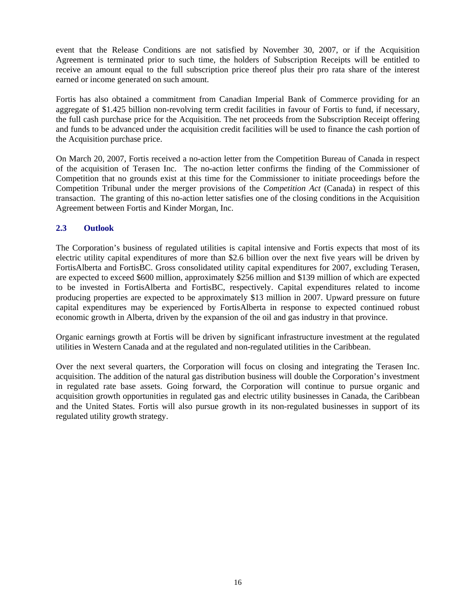event that the Release Conditions are not satisfied by November 30, 2007, or if the Acquisition Agreement is terminated prior to such time, the holders of Subscription Receipts will be entitled to receive an amount equal to the full subscription price thereof plus their pro rata share of the interest earned or income generated on such amount.

Fortis has also obtained a commitment from Canadian Imperial Bank of Commerce providing for an aggregate of \$1.425 billion non-revolving term credit facilities in favour of Fortis to fund, if necessary, the full cash purchase price for the Acquisition. The net proceeds from the Subscription Receipt offering and funds to be advanced under the acquisition credit facilities will be used to finance the cash portion of the Acquisition purchase price.

On March 20, 2007, Fortis received a no-action letter from the Competition Bureau of Canada in respect of the acquisition of Terasen Inc. The no-action letter confirms the finding of the Commissioner of Competition that no grounds exist at this time for the Commissioner to initiate proceedings before the Competition Tribunal under the merger provisions of the *Competition Act* (Canada) in respect of this transaction. The granting of this no-action letter satisfies one of the closing conditions in the Acquisition Agreement between Fortis and Kinder Morgan, Inc.

## **2.3 Outlook**

The Corporation's business of regulated utilities is capital intensive and Fortis expects that most of its electric utility capital expenditures of more than \$2.6 billion over the next five years will be driven by FortisAlberta and FortisBC. Gross consolidated utility capital expenditures for 2007, excluding Terasen, are expected to exceed \$600 million, approximately \$256 million and \$139 million of which are expected to be invested in FortisAlberta and FortisBC, respectively. Capital expenditures related to income producing properties are expected to be approximately \$13 million in 2007. Upward pressure on future capital expenditures may be experienced by FortisAlberta in response to expected continued robust economic growth in Alberta, driven by the expansion of the oil and gas industry in that province.

Organic earnings growth at Fortis will be driven by significant infrastructure investment at the regulated utilities in Western Canada and at the regulated and non-regulated utilities in the Caribbean.

Over the next several quarters, the Corporation will focus on closing and integrating the Terasen Inc. acquisition. The addition of the natural gas distribution business will double the Corporation's investment in regulated rate base assets. Going forward, the Corporation will continue to pursue organic and acquisition growth opportunities in regulated gas and electric utility businesses in Canada, the Caribbean and the United States. Fortis will also pursue growth in its non-regulated businesses in support of its regulated utility growth strategy.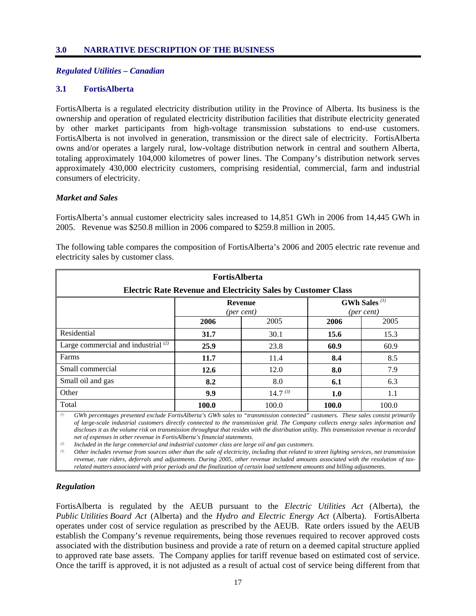#### *Regulated Utilities – Canadian*

## **3.1 FortisAlberta**

FortisAlberta is a regulated electricity distribution utility in the Province of Alberta. Its business is the ownership and operation of regulated electricity distribution facilities that distribute electricity generated by other market participants from high-voltage transmission substations to end-use customers. FortisAlberta is not involved in generation, transmission or the direct sale of electricity. FortisAlberta owns and/or operates a largely rural, low-voltage distribution network in central and southern Alberta, totaling approximately 104,000 kilometres of power lines. The Company's distribution network serves approximately 430,000 electricity customers, comprising residential, commercial, farm and industrial consumers of electricity.

### *Market and Sales*

FortisAlberta's annual customer electricity sales increased to 14,851 GWh in 2006 from 14,445 GWh in 2005. Revenue was \$250.8 million in 2006 compared to \$259.8 million in 2005.

| <b>FortisAlberta</b><br><b>Electric Rate Revenue and Electricity Sales by Customer Class</b> |                                                                                                               |              |       |       |  |  |
|----------------------------------------------------------------------------------------------|---------------------------------------------------------------------------------------------------------------|--------------|-------|-------|--|--|
|                                                                                              | <b>GWh Sales</b> <sup>(1)</sup><br><b>Revenue</b><br>(per cent)<br>(per cent)<br>2006<br>2005<br>2006<br>2005 |              |       |       |  |  |
|                                                                                              |                                                                                                               |              |       |       |  |  |
| Residential                                                                                  | 31.7                                                                                                          | 30.1         | 15.6  | 15.3  |  |  |
| Large commercial and industrial $(2)$                                                        | 25.9                                                                                                          | 23.8         | 60.9  | 60.9  |  |  |
| Farms                                                                                        | 11.7                                                                                                          | 11.4         | 8.4   | 8.5   |  |  |
| Small commercial                                                                             | 12.6                                                                                                          | 12.0         | 8.0   | 7.9   |  |  |
| Small oil and gas                                                                            | 8.2                                                                                                           | 8.0          | 6.1   | 6.3   |  |  |
| Other                                                                                        | 9.9                                                                                                           | $14.7^{(3)}$ | 1.0   | 1.1   |  |  |
| Total                                                                                        | 100.0                                                                                                         | 100.0        | 100.0 | 100.0 |  |  |

The following table compares the composition of FortisAlberta's 2006 and 2005 electric rate revenue and electricity sales by customer class.

*(1) GWh percentages presented exclude FortisAlberta's GWh sales to "transmission connected" customers. These sales consist primarily of large-scale industrial customers directly connected to the transmission grid. The Company collects energy sales information and discloses it as the volume risk on transmission throughput that resides with the distribution utility. This transmission revenue is recorded net of expenses in other revenue in FortisAlberta's financial statements.* 

*(2) Included in the large commercial and industrial customer class are large oil and gas customers.* 

*(3) Other includes revenue from sources other than the sale of electricity, including that related to street lighting services, net transmission revenue, rate riders, deferrals and adjustments. During 2005, other revenue included amounts associated with the resolution of taxrelated matters associated with prior periods and the finalization of certain load settlement amounts and billing adjustments.* 

## *Regulation*

FortisAlberta is regulated by the AEUB pursuant to the *Electric Utilities Act* (Alberta), the *Public Utilities Board Act* (Alberta) and the *Hydro and Electric Energy Act* (Alberta). FortisAlberta operates under cost of service regulation as prescribed by the AEUB. Rate orders issued by the AEUB establish the Company's revenue requirements, being those revenues required to recover approved costs associated with the distribution business and provide a rate of return on a deemed capital structure applied to approved rate base assets. The Company applies for tariff revenue based on estimated cost of service. Once the tariff is approved, it is not adjusted as a result of actual cost of service being different from that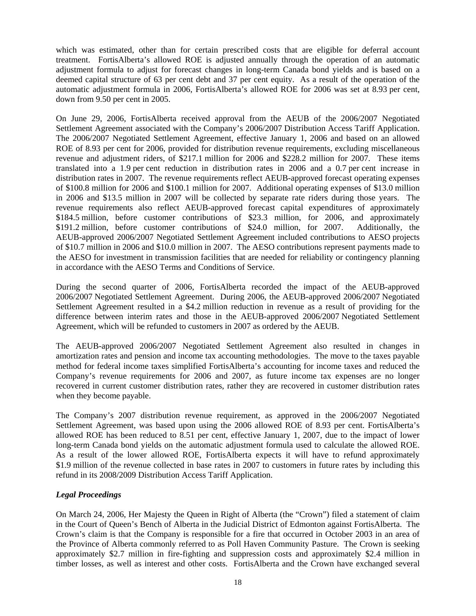which was estimated, other than for certain prescribed costs that are eligible for deferral account treatment. FortisAlberta's allowed ROE is adjusted annually through the operation of an automatic adjustment formula to adjust for forecast changes in long-term Canada bond yields and is based on a deemed capital structure of 63 per cent debt and 37 per cent equity. As a result of the operation of the automatic adjustment formula in 2006, FortisAlberta's allowed ROE for 2006 was set at 8.93 per cent, down from 9.50 per cent in 2005.

On June 29, 2006, FortisAlberta received approval from the AEUB of the 2006/2007 Negotiated Settlement Agreement associated with the Company's 2006/2007 Distribution Access Tariff Application. The 2006/2007 Negotiated Settlement Agreement, effective January 1, 2006 and based on an allowed ROE of 8.93 per cent for 2006, provided for distribution revenue requirements, excluding miscellaneous revenue and adjustment riders, of \$217.1 million for 2006 and \$228.2 million for 2007. These items translated into a 1.9 per cent reduction in distribution rates in 2006 and a 0.7 per cent increase in distribution rates in 2007. The revenue requirements reflect AEUB-approved forecast operating expenses of \$100.8 million for 2006 and \$100.1 million for 2007. Additional operating expenses of \$13.0 million in 2006 and \$13.5 million in 2007 will be collected by separate rate riders during those years. The revenue requirements also reflect AEUB-approved forecast capital expenditures of approximately \$184.5 million, before customer contributions of \$23.3 million, for 2006, and approximately \$191.2 million, before customer contributions of \$24.0 million, for 2007. Additionally, the AEUB-approved 2006/2007 Negotiated Settlement Agreement included contributions to AESO projects of \$10.7 million in 2006 and \$10.0 million in 2007. The AESO contributions represent payments made to the AESO for investment in transmission facilities that are needed for reliability or contingency planning in accordance with the AESO Terms and Conditions of Service.

During the second quarter of 2006, FortisAlberta recorded the impact of the AEUB-approved 2006/2007 Negotiated Settlement Agreement. During 2006, the AEUB-approved 2006/2007 Negotiated Settlement Agreement resulted in a \$4.2 million reduction in revenue as a result of providing for the difference between interim rates and those in the AEUB-approved 2006/2007 Negotiated Settlement Agreement, which will be refunded to customers in 2007 as ordered by the AEUB.

The AEUB-approved 2006/2007 Negotiated Settlement Agreement also resulted in changes in amortization rates and pension and income tax accounting methodologies. The move to the taxes payable method for federal income taxes simplified FortisAlberta's accounting for income taxes and reduced the Company's revenue requirements for 2006 and 2007, as future income tax expenses are no longer recovered in current customer distribution rates, rather they are recovered in customer distribution rates when they become payable.

The Company's 2007 distribution revenue requirement, as approved in the 2006/2007 Negotiated Settlement Agreement, was based upon using the 2006 allowed ROE of 8.93 per cent. FortisAlberta's allowed ROE has been reduced to 8.51 per cent, effective January 1, 2007, due to the impact of lower long-term Canada bond yields on the automatic adjustment formula used to calculate the allowed ROE. As a result of the lower allowed ROE, FortisAlberta expects it will have to refund approximately \$1.9 million of the revenue collected in base rates in 2007 to customers in future rates by including this refund in its 2008/2009 Distribution Access Tariff Application.

## *Legal Proceedings*

On March 24, 2006, Her Majesty the Queen in Right of Alberta (the "Crown") filed a statement of claim in the Court of Queen's Bench of Alberta in the Judicial District of Edmonton against FortisAlberta. The Crown's claim is that the Company is responsible for a fire that occurred in October 2003 in an area of the Province of Alberta commonly referred to as Poll Haven Community Pasture. The Crown is seeking approximately \$2.7 million in fire-fighting and suppression costs and approximately \$2.4 million in timber losses, as well as interest and other costs. FortisAlberta and the Crown have exchanged several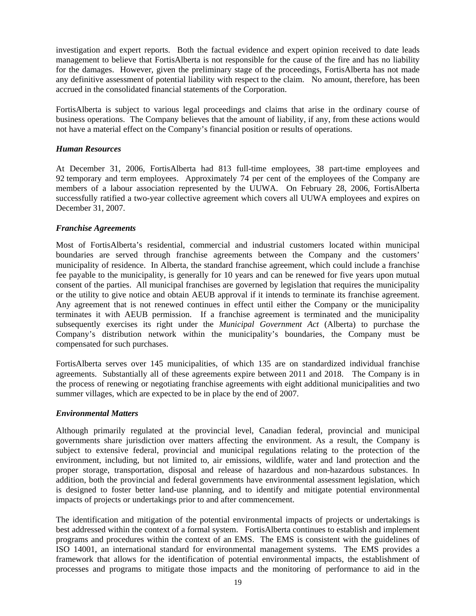investigation and expert reports. Both the factual evidence and expert opinion received to date leads management to believe that FortisAlberta is not responsible for the cause of the fire and has no liability for the damages. However, given the preliminary stage of the proceedings, FortisAlberta has not made any definitive assessment of potential liability with respect to the claim. No amount, therefore, has been accrued in the consolidated financial statements of the Corporation.

FortisAlberta is subject to various legal proceedings and claims that arise in the ordinary course of business operations. The Company believes that the amount of liability, if any, from these actions would not have a material effect on the Company's financial position or results of operations.

## *Human Resources*

At December 31, 2006, FortisAlberta had 813 full-time employees, 38 part-time employees and 92 temporary and term employees. Approximately 74 per cent of the employees of the Company are members of a labour association represented by the UUWA. On February 28, 2006, FortisAlberta successfully ratified a two-year collective agreement which covers all UUWA employees and expires on December 31, 2007.

## *Franchise Agreements*

Most of FortisAlberta's residential, commercial and industrial customers located within municipal boundaries are served through franchise agreements between the Company and the customers' municipality of residence. In Alberta, the standard franchise agreement, which could include a franchise fee payable to the municipality, is generally for 10 years and can be renewed for five years upon mutual consent of the parties. All municipal franchises are governed by legislation that requires the municipality or the utility to give notice and obtain AEUB approval if it intends to terminate its franchise agreement. Any agreement that is not renewed continues in effect until either the Company or the municipality terminates it with AEUB permission. If a franchise agreement is terminated and the municipality subsequently exercises its right under the *Municipal Government Act* (Alberta) to purchase the Company's distribution network within the municipality's boundaries, the Company must be compensated for such purchases.

FortisAlberta serves over 145 municipalities, of which 135 are on standardized individual franchise agreements. Substantially all of these agreements expire between 2011 and 2018. The Company is in the process of renewing or negotiating franchise agreements with eight additional municipalities and two summer villages, which are expected to be in place by the end of 2007.

#### *Environmental Matters*

Although primarily regulated at the provincial level, Canadian federal, provincial and municipal governments share jurisdiction over matters affecting the environment. As a result, the Company is subject to extensive federal, provincial and municipal regulations relating to the protection of the environment, including, but not limited to, air emissions, wildlife, water and land protection and the proper storage, transportation, disposal and release of hazardous and non-hazardous substances. In addition, both the provincial and federal governments have environmental assessment legislation, which is designed to foster better land-use planning, and to identify and mitigate potential environmental impacts of projects or undertakings prior to and after commencement.

The identification and mitigation of the potential environmental impacts of projects or undertakings is best addressed within the context of a formal system. FortisAlberta continues to establish and implement programs and procedures within the context of an EMS. The EMS is consistent with the guidelines of ISO 14001, an international standard for environmental management systems. The EMS provides a framework that allows for the identification of potential environmental impacts, the establishment of processes and programs to mitigate those impacts and the monitoring of performance to aid in the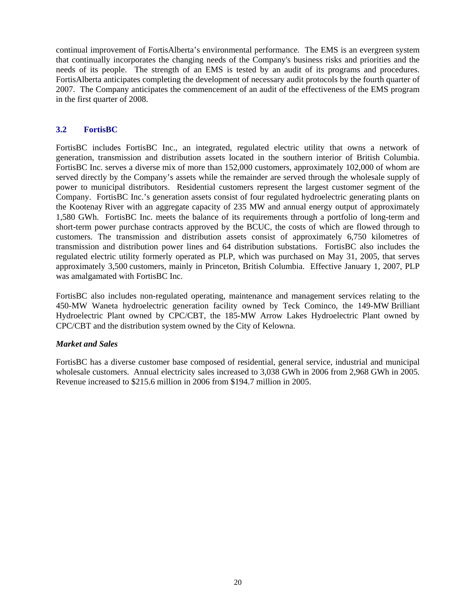continual improvement of FortisAlberta's environmental performance. The EMS is an evergreen system that continually incorporates the changing needs of the Company's business risks and priorities and the needs of its people. The strength of an EMS is tested by an audit of its programs and procedures. FortisAlberta anticipates completing the development of necessary audit protocols by the fourth quarter of 2007. The Company anticipates the commencement of an audit of the effectiveness of the EMS program in the first quarter of 2008.

## **3.2 FortisBC**

FortisBC includes FortisBC Inc., an integrated, regulated electric utility that owns a network of generation, transmission and distribution assets located in the southern interior of British Columbia. FortisBC Inc. serves a diverse mix of more than 152,000 customers, approximately 102,000 of whom are served directly by the Company's assets while the remainder are served through the wholesale supply of power to municipal distributors. Residential customers represent the largest customer segment of the Company. FortisBC Inc.'s generation assets consist of four regulated hydroelectric generating plants on the Kootenay River with an aggregate capacity of 235 MW and annual energy output of approximately 1,580 GWh. FortisBC Inc. meets the balance of its requirements through a portfolio of long-term and short-term power purchase contracts approved by the BCUC, the costs of which are flowed through to customers. The transmission and distribution assets consist of approximately 6,750 kilometres of transmission and distribution power lines and 64 distribution substations. FortisBC also includes the regulated electric utility formerly operated as PLP, which was purchased on May 31, 2005, that serves approximately 3,500 customers, mainly in Princeton, British Columbia. Effective January 1, 2007, PLP was amalgamated with FortisBC Inc.

FortisBC also includes non-regulated operating, maintenance and management services relating to the 450-MW Waneta hydroelectric generation facility owned by Teck Cominco, the 149-MW Brilliant Hydroelectric Plant owned by CPC/CBT, the 185-MW Arrow Lakes Hydroelectric Plant owned by CPC/CBT and the distribution system owned by the City of Kelowna.

## *Market and Sales*

FortisBC has a diverse customer base composed of residential, general service, industrial and municipal wholesale customers. Annual electricity sales increased to 3,038 GWh in 2006 from 2,968 GWh in 2005. Revenue increased to \$215.6 million in 2006 from \$194.7 million in 2005.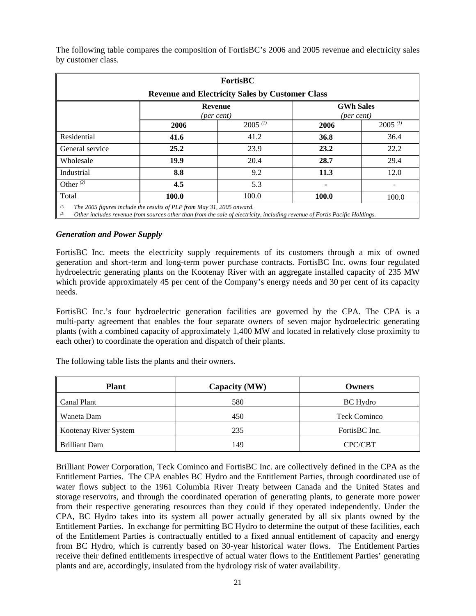| <b>FortisBC</b>                                                                                                                                                                                                   |      |                                                        |      |              |  |
|-------------------------------------------------------------------------------------------------------------------------------------------------------------------------------------------------------------------|------|--------------------------------------------------------|------|--------------|--|
|                                                                                                                                                                                                                   |      | <b>Revenue and Electricity Sales by Customer Class</b> |      |              |  |
| <b>GWh Sales</b><br><b>Revenue</b><br>(per cent)<br>(per cent)                                                                                                                                                    |      |                                                        |      |              |  |
|                                                                                                                                                                                                                   | 2006 | $2005^{(1)}$                                           | 2006 | $2005$ $(1)$ |  |
| Residential                                                                                                                                                                                                       | 41.6 | 41.2                                                   | 36.8 | 36.4         |  |
| General service                                                                                                                                                                                                   | 25.2 | 23.9                                                   | 23.2 | 22.2         |  |
| Wholesale                                                                                                                                                                                                         | 19.9 | 20.4                                                   | 28.7 | 29.4         |  |
| Industrial                                                                                                                                                                                                        | 8.8  | 9.2                                                    | 11.3 | 12.0         |  |
| Other $(2)$                                                                                                                                                                                                       | 4.5  | 5.3                                                    | ۰    |              |  |
| Total<br>100.0<br>100.0<br>100.0<br>100.0                                                                                                                                                                         |      |                                                        |      |              |  |
| (1)<br>The 2005 figures include the results of PLP from May 31, 2005 onward.<br>Other includes revenue from sources other than from the sale of electricity, including revenue of Fortis Pacific Holdings.<br>(2) |      |                                                        |      |              |  |

The following table compares the composition of FortisBC's 2006 and 2005 revenue and electricity sales by customer class.

### *Generation and Power Supply*

FortisBC Inc. meets the electricity supply requirements of its customers through a mix of owned generation and short-term and long-term power purchase contracts. FortisBC Inc. owns four regulated hydroelectric generating plants on the Kootenay River with an aggregate installed capacity of 235 MW which provide approximately 45 per cent of the Company's energy needs and 30 per cent of its capacity needs.

FortisBC Inc.'s four hydroelectric generation facilities are governed by the CPA. The CPA is a multi-party agreement that enables the four separate owners of seven major hydroelectric generating plants (with a combined capacity of approximately 1,400 MW and located in relatively close proximity to each other) to coordinate the operation and dispatch of their plants.

The following table lists the plants and their owners.

| Plant                 | Capacity (MW) | Owners              |  |
|-----------------------|---------------|---------------------|--|
| Canal Plant           | 580           | BC Hydro            |  |
| Waneta Dam            | 450           | <b>Teck Cominco</b> |  |
| Kootenay River System | 235           | FortisBC Inc.       |  |
| <b>Brilliant Dam</b>  | 149           | CPC/CBT             |  |

Brilliant Power Corporation, Teck Cominco and FortisBC Inc. are collectively defined in the CPA as the Entitlement Parties. The CPA enables BC Hydro and the Entitlement Parties, through coordinated use of water flows subject to the 1961 Columbia River Treaty between Canada and the United States and storage reservoirs, and through the coordinated operation of generating plants, to generate more power from their respective generating resources than they could if they operated independently. Under the CPA, BC Hydro takes into its system all power actually generated by all six plants owned by the Entitlement Parties. In exchange for permitting BC Hydro to determine the output of these facilities, each of the Entitlement Parties is contractually entitled to a fixed annual entitlement of capacity and energy from BC Hydro, which is currently based on 30-year historical water flows. The Entitlement Parties receive their defined entitlements irrespective of actual water flows to the Entitlement Parties' generating plants and are, accordingly, insulated from the hydrology risk of water availability.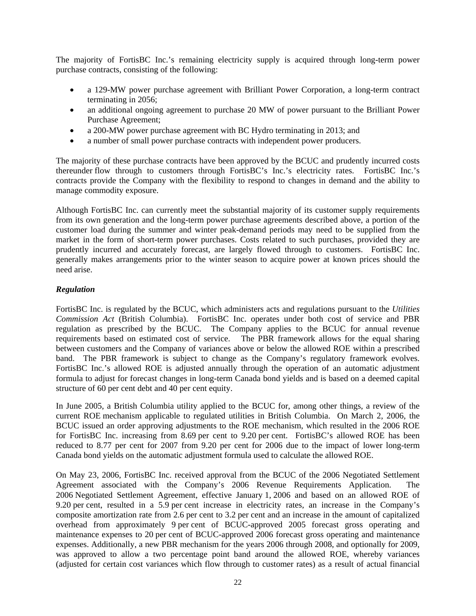The majority of FortisBC Inc.'s remaining electricity supply is acquired through long-term power purchase contracts, consisting of the following:

- a 129-MW power purchase agreement with Brilliant Power Corporation, a long-term contract terminating in 2056;
- an additional ongoing agreement to purchase 20 MW of power pursuant to the Brilliant Power Purchase Agreement;
- a 200-MW power purchase agreement with BC Hydro terminating in 2013; and
- a number of small power purchase contracts with independent power producers.

The majority of these purchase contracts have been approved by the BCUC and prudently incurred costs thereunder flow through to customers through FortisBC's Inc.'s electricity rates. FortisBC Inc.'s contracts provide the Company with the flexibility to respond to changes in demand and the ability to manage commodity exposure.

Although FortisBC Inc. can currently meet the substantial majority of its customer supply requirements from its own generation and the long-term power purchase agreements described above, a portion of the customer load during the summer and winter peak-demand periods may need to be supplied from the market in the form of short-term power purchases. Costs related to such purchases, provided they are prudently incurred and accurately forecast, are largely flowed through to customers. FortisBC Inc. generally makes arrangements prior to the winter season to acquire power at known prices should the need arise.

## *Regulation*

FortisBC Inc. is regulated by the BCUC, which administers acts and regulations pursuant to the *Utilities Commission Act* (British Columbia). FortisBC Inc. operates under both cost of service and PBR regulation as prescribed by the BCUC. The Company applies to the BCUC for annual revenue requirements based on estimated cost of service. The PBR framework allows for the equal sharing between customers and the Company of variances above or below the allowed ROE within a prescribed band. The PBR framework is subject to change as the Company's regulatory framework evolves. FortisBC Inc.'s allowed ROE is adjusted annually through the operation of an automatic adjustment formula to adjust for forecast changes in long-term Canada bond yields and is based on a deemed capital structure of 60 per cent debt and 40 per cent equity.

In June 2005, a British Columbia utility applied to the BCUC for, among other things, a review of the current ROE mechanism applicable to regulated utilities in British Columbia. On March 2, 2006, the BCUC issued an order approving adjustments to the ROE mechanism, which resulted in the 2006 ROE for FortisBC Inc. increasing from 8.69 per cent to 9.20 per cent. FortisBC's allowed ROE has been reduced to 8.77 per cent for 2007 from 9.20 per cent for 2006 due to the impact of lower long-term Canada bond yields on the automatic adjustment formula used to calculate the allowed ROE.

On May 23, 2006, FortisBC Inc. received approval from the BCUC of the 2006 Negotiated Settlement Agreement associated with the Company's 2006 Revenue Requirements Application. The 2006 Negotiated Settlement Agreement, effective January 1, 2006 and based on an allowed ROE of 9.20 per cent, resulted in a 5.9 per cent increase in electricity rates, an increase in the Company's composite amortization rate from 2.6 per cent to 3.2 per cent and an increase in the amount of capitalized overhead from approximately 9 per cent of BCUC-approved 2005 forecast gross operating and maintenance expenses to 20 per cent of BCUC-approved 2006 forecast gross operating and maintenance expenses. Additionally, a new PBR mechanism for the years 2006 through 2008, and optionally for 2009, was approved to allow a two percentage point band around the allowed ROE, whereby variances (adjusted for certain cost variances which flow through to customer rates) as a result of actual financial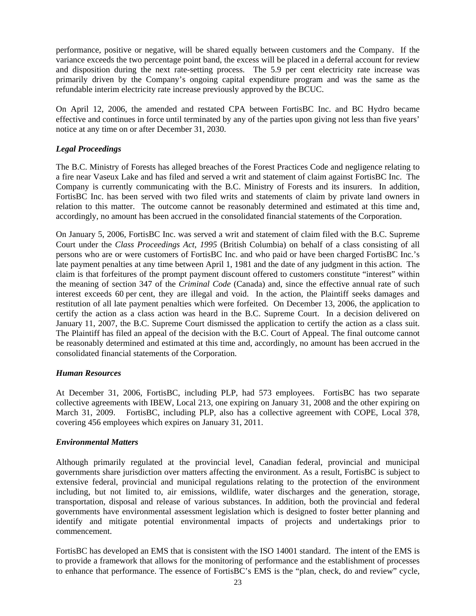performance, positive or negative, will be shared equally between customers and the Company. If the variance exceeds the two percentage point band, the excess will be placed in a deferral account for review and disposition during the next rate-setting process. The 5.9 per cent electricity rate increase was primarily driven by the Company's ongoing capital expenditure program and was the same as the refundable interim electricity rate increase previously approved by the BCUC.

On April 12, 2006, the amended and restated CPA between FortisBC Inc. and BC Hydro became effective and continues in force until terminated by any of the parties upon giving not less than five years' notice at any time on or after December 31, 2030.

## *Legal Proceedings*

The B.C. Ministry of Forests has alleged breaches of the Forest Practices Code and negligence relating to a fire near Vaseux Lake and has filed and served a writ and statement of claim against FortisBC Inc. The Company is currently communicating with the B.C. Ministry of Forests and its insurers. In addition, FortisBC Inc. has been served with two filed writs and statements of claim by private land owners in relation to this matter. The outcome cannot be reasonably determined and estimated at this time and, accordingly, no amount has been accrued in the consolidated financial statements of the Corporation.

On January 5, 2006, FortisBC Inc. was served a writ and statement of claim filed with the B.C. Supreme Court under the *Class Proceedings Act*, *1995* (British Columbia) on behalf of a class consisting of all persons who are or were customers of FortisBC Inc. and who paid or have been charged FortisBC Inc.'s late payment penalties at any time between April 1, 1981 and the date of any judgment in this action. The claim is that forfeitures of the prompt payment discount offered to customers constitute "interest" within the meaning of section 347 of the *Criminal Code* (Canada) and, since the effective annual rate of such interest exceeds 60 per cent, they are illegal and void. In the action, the Plaintiff seeks damages and restitution of all late payment penalties which were forfeited. On December 13, 2006, the application to certify the action as a class action was heard in the B.C. Supreme Court. In a decision delivered on January 11, 2007, the B.C. Supreme Court dismissed the application to certify the action as a class suit. The Plaintiff has filed an appeal of the decision with the B.C. Court of Appeal. The final outcome cannot be reasonably determined and estimated at this time and, accordingly, no amount has been accrued in the consolidated financial statements of the Corporation.

## *Human Resources*

At December 31, 2006, FortisBC, including PLP, had 573 employees. FortisBC has two separate collective agreements with IBEW, Local 213, one expiring on January 31, 2008 and the other expiring on March 31, 2009. FortisBC, including PLP, also has a collective agreement with COPE, Local 378, covering 456 employees which expires on January 31, 2011.

## *Environmental Matters*

Although primarily regulated at the provincial level, Canadian federal, provincial and municipal governments share jurisdiction over matters affecting the environment. As a result, FortisBC is subject to extensive federal, provincial and municipal regulations relating to the protection of the environment including, but not limited to, air emissions, wildlife, water discharges and the generation, storage, transportation, disposal and release of various substances. In addition, both the provincial and federal governments have environmental assessment legislation which is designed to foster better planning and identify and mitigate potential environmental impacts of projects and undertakings prior to commencement.

FortisBC has developed an EMS that is consistent with the ISO 14001 standard. The intent of the EMS is to provide a framework that allows for the monitoring of performance and the establishment of processes to enhance that performance. The essence of FortisBC's EMS is the "plan, check, do and review" cycle,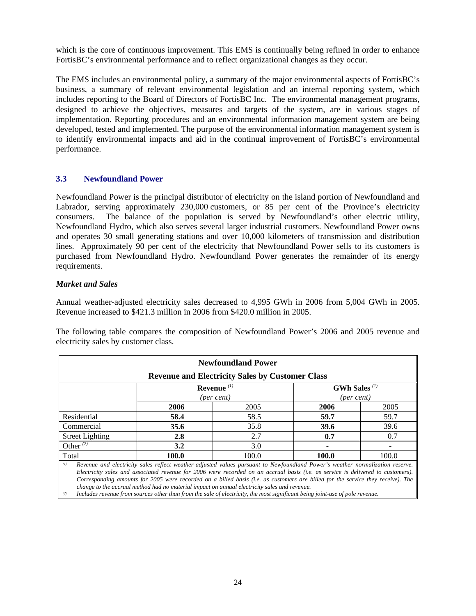which is the core of continuous improvement. This EMS is continually being refined in order to enhance FortisBC's environmental performance and to reflect organizational changes as they occur.

The EMS includes an environmental policy, a summary of the major environmental aspects of FortisBC's business, a summary of relevant environmental legislation and an internal reporting system, which includes reporting to the Board of Directors of FortisBC Inc. The environmental management programs, designed to achieve the objectives, measures and targets of the system, are in various stages of implementation. Reporting procedures and an environmental information management system are being developed, tested and implemented. The purpose of the environmental information management system is to identify environmental impacts and aid in the continual improvement of FortisBC's environmental performance.

## **3.3 Newfoundland Power**

Newfoundland Power is the principal distributor of electricity on the island portion of Newfoundland and Labrador, serving approximately 230,000 customers, or 85 per cent of the Province's electricity consumers. The balance of the population is served by Newfoundland's other electric utility, Newfoundland Hydro, which also serves several larger industrial customers. Newfoundland Power owns and operates 30 small generating stations and over 10,000 kilometers of transmission and distribution lines. Approximately 90 per cent of the electricity that Newfoundland Power sells to its customers is purchased from Newfoundland Hydro. Newfoundland Power generates the remainder of its energy requirements.

## *Market and Sales*

Annual weather-adjusted electricity sales decreased to 4,995 GWh in 2006 from 5,004 GWh in 2005. Revenue increased to \$421.3 million in 2006 from \$420.0 million in 2005.

The following table compares the composition of Newfoundland Power's 2006 and 2005 revenue and electricity sales by customer class.

| <b>Newfoundland Power</b>                                                    |                                                                                                                              |                                                        |             |       |  |  |
|------------------------------------------------------------------------------|------------------------------------------------------------------------------------------------------------------------------|--------------------------------------------------------|-------------|-------|--|--|
|                                                                              |                                                                                                                              | <b>Revenue and Electricity Sales by Customer Class</b> |             |       |  |  |
| <b>GWh Sales</b> <sup>(1)</sup><br>Revenue $(1)$<br>(per cent)<br>(per cent) |                                                                                                                              |                                                        |             |       |  |  |
|                                                                              | 2006                                                                                                                         | 2005                                                   | 2006        | 2005  |  |  |
| Residential                                                                  | 58.4                                                                                                                         | 58.5                                                   | 59.7        | 59.7  |  |  |
| Commercial                                                                   | 35.6                                                                                                                         | 35.8                                                   | <b>39.6</b> | 39.6  |  |  |
| <b>Street Lighting</b>                                                       | 2.8                                                                                                                          | 2.7                                                    | 0.7         | 0.7   |  |  |
| Other <sup>(2)</sup>                                                         | 3.2                                                                                                                          | 3.0                                                    |             |       |  |  |
| Total                                                                        | 100.0                                                                                                                        | 100.0                                                  | 100.0       | 100.0 |  |  |
| (1)                                                                          | Revenue and electricity sales reflect weather-adjusted values pursuant to Newfoundland Power's weather normalization reserve |                                                        |             |       |  |  |

*(1) Revenue and electricity sales reflect weather-adjusted values pursuant to Newfoundland Power's weather normalization reserve. Electricity sales and associated revenue for 2006 were recorded on an accrual basis (i.e. as service is delivered to customers). Corresponding amounts for 2005 were recorded on a billed basis (i.e. as customers are billed for the service they receive). The change to the accrual method had no material impact on annual electricity sales and revenue.* 

*(2) Includes revenue from sources other than from the sale of electricity, the most significant being joint-use of pole revenue.*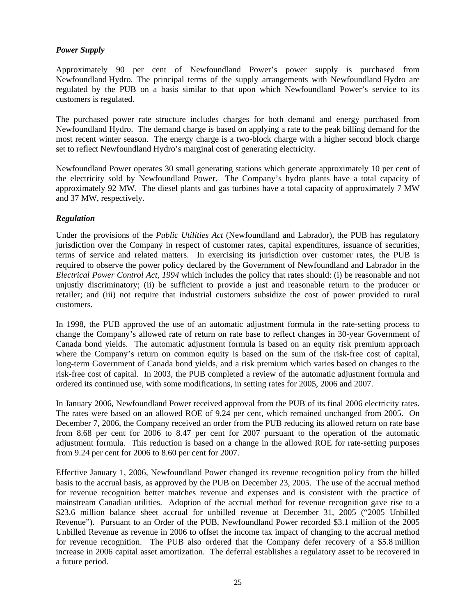## *Power Supply*

Approximately 90 per cent of Newfoundland Power's power supply is purchased from Newfoundland Hydro. The principal terms of the supply arrangements with Newfoundland Hydro are regulated by the PUB on a basis similar to that upon which Newfoundland Power's service to its customers is regulated.

The purchased power rate structure includes charges for both demand and energy purchased from Newfoundland Hydro. The demand charge is based on applying a rate to the peak billing demand for the most recent winter season. The energy charge is a two-block charge with a higher second block charge set to reflect Newfoundland Hydro's marginal cost of generating electricity.

Newfoundland Power operates 30 small generating stations which generate approximately 10 per cent of the electricity sold by Newfoundland Power. The Company's hydro plants have a total capacity of approximately 92 MW. The diesel plants and gas turbines have a total capacity of approximately 7 MW and 37 MW, respectively.

## *Regulation*

Under the provisions of the *Public Utilities Act* (Newfoundland and Labrador), the PUB has regulatory jurisdiction over the Company in respect of customer rates, capital expenditures, issuance of securities, terms of service and related matters. In exercising its jurisdiction over customer rates, the PUB is required to observe the power policy declared by the Government of Newfoundland and Labrador in the *Electrical Power Control Act, 1994* which includes the policy that rates should: (i) be reasonable and not unjustly discriminatory; (ii) be sufficient to provide a just and reasonable return to the producer or retailer; and (iii) not require that industrial customers subsidize the cost of power provided to rural customers.

In 1998, the PUB approved the use of an automatic adjustment formula in the rate-setting process to change the Company's allowed rate of return on rate base to reflect changes in 30-year Government of Canada bond yields. The automatic adjustment formula is based on an equity risk premium approach where the Company's return on common equity is based on the sum of the risk-free cost of capital, long-term Government of Canada bond yields, and a risk premium which varies based on changes to the risk-free cost of capital. In 2003, the PUB completed a review of the automatic adjustment formula and ordered its continued use, with some modifications, in setting rates for 2005, 2006 and 2007.

In January 2006, Newfoundland Power received approval from the PUB of its final 2006 electricity rates. The rates were based on an allowed ROE of 9.24 per cent, which remained unchanged from 2005. On December 7, 2006, the Company received an order from the PUB reducing its allowed return on rate base from 8.68 per cent for 2006 to 8.47 per cent for 2007 pursuant to the operation of the automatic adjustment formula. This reduction is based on a change in the allowed ROE for rate-setting purposes from 9.24 per cent for 2006 to 8.60 per cent for 2007.

Effective January 1, 2006, Newfoundland Power changed its revenue recognition policy from the billed basis to the accrual basis, as approved by the PUB on December 23, 2005. The use of the accrual method for revenue recognition better matches revenue and expenses and is consistent with the practice of mainstream Canadian utilities. Adoption of the accrual method for revenue recognition gave rise to a \$23.6 million balance sheet accrual for unbilled revenue at December 31, 2005 ("2005 Unbilled Revenue"). Pursuant to an Order of the PUB, Newfoundland Power recorded \$3.1 million of the 2005 Unbilled Revenue as revenue in 2006 to offset the income tax impact of changing to the accrual method for revenue recognition. The PUB also ordered that the Company defer recovery of a \$5.8 million increase in 2006 capital asset amortization. The deferral establishes a regulatory asset to be recovered in a future period.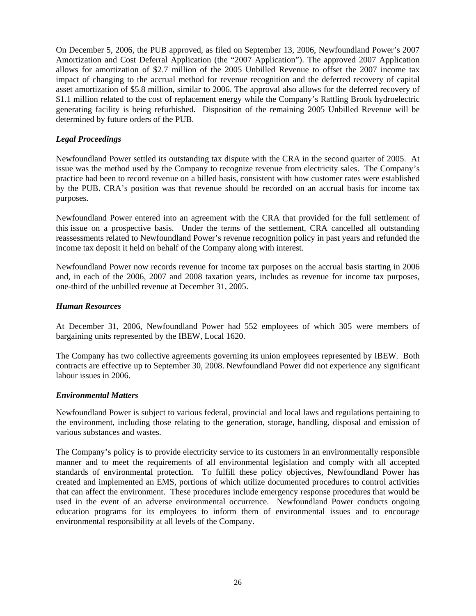On December 5, 2006, the PUB approved, as filed on September 13, 2006, Newfoundland Power's 2007 Amortization and Cost Deferral Application (the "2007 Application"). The approved 2007 Application allows for amortization of \$2.7 million of the 2005 Unbilled Revenue to offset the 2007 income tax impact of changing to the accrual method for revenue recognition and the deferred recovery of capital asset amortization of \$5.8 million, similar to 2006. The approval also allows for the deferred recovery of \$1.1 million related to the cost of replacement energy while the Company's Rattling Brook hydroelectric generating facility is being refurbished. Disposition of the remaining 2005 Unbilled Revenue will be determined by future orders of the PUB.

## *Legal Proceedings*

Newfoundland Power settled its outstanding tax dispute with the CRA in the second quarter of 2005. At issue was the method used by the Company to recognize revenue from electricity sales. The Company's practice had been to record revenue on a billed basis, consistent with how customer rates were established by the PUB. CRA's position was that revenue should be recorded on an accrual basis for income tax purposes.

Newfoundland Power entered into an agreement with the CRA that provided for the full settlement of this issue on a prospective basis. Under the terms of the settlement, CRA cancelled all outstanding reassessments related to Newfoundland Power's revenue recognition policy in past years and refunded the income tax deposit it held on behalf of the Company along with interest.

Newfoundland Power now records revenue for income tax purposes on the accrual basis starting in 2006 and, in each of the 2006, 2007 and 2008 taxation years, includes as revenue for income tax purposes, one-third of the unbilled revenue at December 31, 2005.

## *Human Resources*

At December 31, 2006, Newfoundland Power had 552 employees of which 305 were members of bargaining units represented by the IBEW, Local 1620.

The Company has two collective agreements governing its union employees represented by IBEW. Both contracts are effective up to September 30, 2008. Newfoundland Power did not experience any significant labour issues in 2006.

## *Environmental Matters*

Newfoundland Power is subject to various federal, provincial and local laws and regulations pertaining to the environment, including those relating to the generation, storage, handling, disposal and emission of various substances and wastes.

The Company's policy is to provide electricity service to its customers in an environmentally responsible manner and to meet the requirements of all environmental legislation and comply with all accepted standards of environmental protection. To fulfill these policy objectives, Newfoundland Power has created and implemented an EMS, portions of which utilize documented procedures to control activities that can affect the environment. These procedures include emergency response procedures that would be used in the event of an adverse environmental occurrence. Newfoundland Power conducts ongoing education programs for its employees to inform them of environmental issues and to encourage environmental responsibility at all levels of the Company.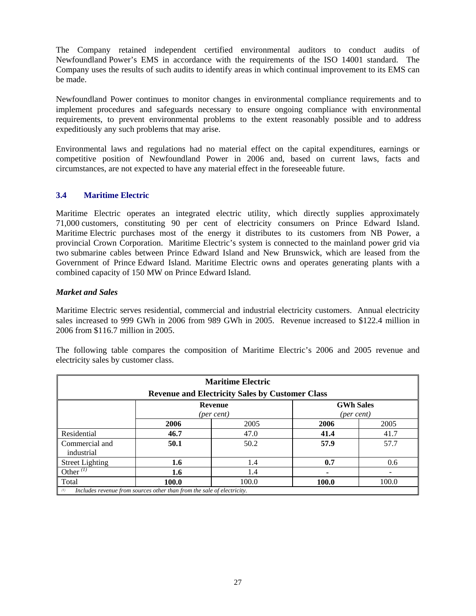The Company retained independent certified environmental auditors to conduct audits of Newfoundland Power's EMS in accordance with the requirements of the ISO 14001 standard. The Company uses the results of such audits to identify areas in which continual improvement to its EMS can be made.

Newfoundland Power continues to monitor changes in environmental compliance requirements and to implement procedures and safeguards necessary to ensure ongoing compliance with environmental requirements, to prevent environmental problems to the extent reasonably possible and to address expeditiously any such problems that may arise.

Environmental laws and regulations had no material effect on the capital expenditures, earnings or competitive position of Newfoundland Power in 2006 and, based on current laws, facts and circumstances, are not expected to have any material effect in the foreseeable future.

## **3.4 Maritime Electric**

Maritime Electric operates an integrated electric utility, which directly supplies approximately 71,000 customers, constituting 90 per cent of electricity consumers on Prince Edward Island. Maritime Electric purchases most of the energy it distributes to its customers from NB Power, a provincial Crown Corporation. Maritime Electric's system is connected to the mainland power grid via two submarine cables between Prince Edward Island and New Brunswick, which are leased from the Government of Prince Edward Island. Maritime Electric owns and operates generating plants with a combined capacity of 150 MW on Prince Edward Island.

## *Market and Sales*

Maritime Electric serves residential, commercial and industrial electricity customers. Annual electricity sales increased to 999 GWh in 2006 from 989 GWh in 2005. Revenue increased to \$122.4 million in 2006 from \$116.7 million in 2005.

The following table compares the composition of Maritime Electric's 2006 and 2005 revenue and electricity sales by customer class.

| <b>Maritime Electric</b><br><b>Revenue and Electricity Sales by Customer Class</b> |                                                                        |       |       |       |  |  |  |
|------------------------------------------------------------------------------------|------------------------------------------------------------------------|-------|-------|-------|--|--|--|
|                                                                                    | <b>GWh Sales</b><br><b>Revenue</b><br>(per cent)<br>(per cent)         |       |       |       |  |  |  |
| 2005<br>2005<br>2006<br>2006                                                       |                                                                        |       |       |       |  |  |  |
| Residential                                                                        | 46.7                                                                   | 47.0  | 41.4  | 41.7  |  |  |  |
| Commercial and<br>industrial                                                       | 50.1                                                                   | 50.2  | 57.9  | 57.7  |  |  |  |
| <b>Street Lighting</b>                                                             | 1.6                                                                    | 1.4   | 0.7   | 0.6   |  |  |  |
| Other <sup><math>(I)</math></sup>                                                  | 1.6                                                                    | 1.4   |       |       |  |  |  |
| Total                                                                              | 100.0                                                                  | 100.0 | 100.0 | 100.0 |  |  |  |
| (1)                                                                                | Includes revenue from sources other than from the sale of electricity. |       |       |       |  |  |  |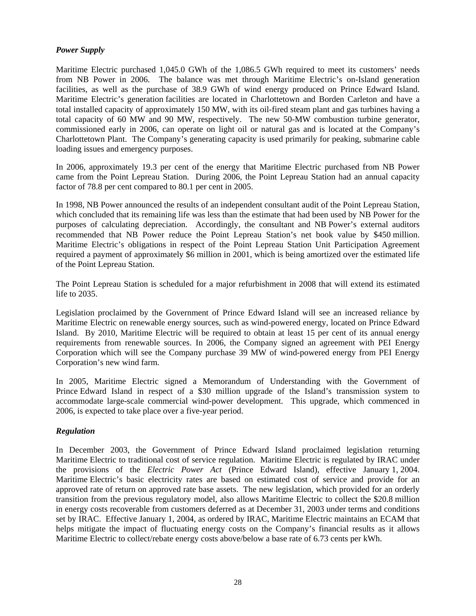## *Power Supply*

Maritime Electric purchased 1,045.0 GWh of the 1,086.5 GWh required to meet its customers' needs from NB Power in 2006. The balance was met through Maritime Electric's on-Island generation facilities, as well as the purchase of 38.9 GWh of wind energy produced on Prince Edward Island. Maritime Electric's generation facilities are located in Charlottetown and Borden Carleton and have a total installed capacity of approximately 150 MW, with its oil-fired steam plant and gas turbines having a total capacity of 60 MW and 90 MW, respectively. The new 50-MW combustion turbine generator, commissioned early in 2006, can operate on light oil or natural gas and is located at the Company's Charlottetown Plant. The Company's generating capacity is used primarily for peaking, submarine cable loading issues and emergency purposes.

In 2006, approximately 19.3 per cent of the energy that Maritime Electric purchased from NB Power came from the Point Lepreau Station. During 2006, the Point Lepreau Station had an annual capacity factor of 78.8 per cent compared to 80.1 per cent in 2005.

In 1998, NB Power announced the results of an independent consultant audit of the Point Lepreau Station, which concluded that its remaining life was less than the estimate that had been used by NB Power for the purposes of calculating depreciation. Accordingly, the consultant and NB Power's external auditors recommended that NB Power reduce the Point Lepreau Station's net book value by \$450 million. Maritime Electric's obligations in respect of the Point Lepreau Station Unit Participation Agreement required a payment of approximately \$6 million in 2001, which is being amortized over the estimated life of the Point Lepreau Station.

The Point Lepreau Station is scheduled for a major refurbishment in 2008 that will extend its estimated life to 2035.

Legislation proclaimed by the Government of Prince Edward Island will see an increased reliance by Maritime Electric on renewable energy sources, such as wind-powered energy, located on Prince Edward Island. By 2010, Maritime Electric will be required to obtain at least 15 per cent of its annual energy requirements from renewable sources. In 2006, the Company signed an agreement with PEI Energy Corporation which will see the Company purchase 39 MW of wind-powered energy from PEI Energy Corporation's new wind farm.

In 2005, Maritime Electric signed a Memorandum of Understanding with the Government of Prince Edward Island in respect of a \$30 million upgrade of the Island's transmission system to accommodate large-scale commercial wind-power development. This upgrade, which commenced in 2006, is expected to take place over a five-year period.

#### *Regulation*

In December 2003, the Government of Prince Edward Island proclaimed legislation returning Maritime Electric to traditional cost of service regulation. Maritime Electric is regulated by IRAC under the provisions of the *Electric Power Act* (Prince Edward Island), effective January 1, 2004. Maritime Electric's basic electricity rates are based on estimated cost of service and provide for an approved rate of return on approved rate base assets. The new legislation, which provided for an orderly transition from the previous regulatory model, also allows Maritime Electric to collect the \$20.8 million in energy costs recoverable from customers deferred as at December 31, 2003 under terms and conditions set by IRAC. Effective January 1, 2004, as ordered by IRAC, Maritime Electric maintains an ECAM that helps mitigate the impact of fluctuating energy costs on the Company's financial results as it allows Maritime Electric to collect/rebate energy costs above/below a base rate of 6.73 cents per kWh.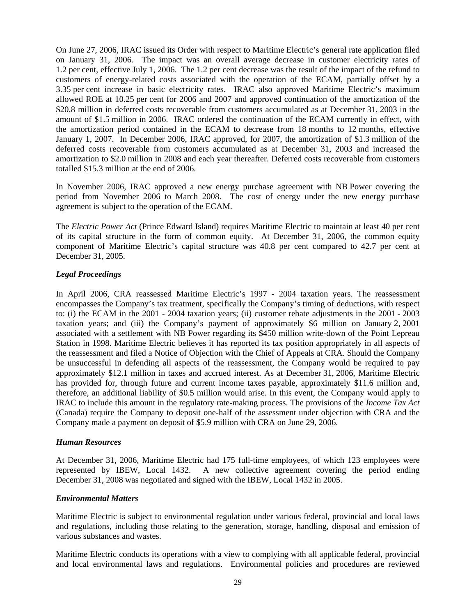On June 27, 2006, IRAC issued its Order with respect to Maritime Electric's general rate application filed on January 31, 2006. The impact was an overall average decrease in customer electricity rates of 1.2 per cent, effective July 1, 2006. The 1.2 per cent decrease was the result of the impact of the refund to customers of energy-related costs associated with the operation of the ECAM, partially offset by a 3.35 per cent increase in basic electricity rates. IRAC also approved Maritime Electric's maximum allowed ROE at 10.25 per cent for 2006 and 2007 and approved continuation of the amortization of the \$20.8 million in deferred costs recoverable from customers accumulated as at December 31, 2003 in the amount of \$1.5 million in 2006. IRAC ordered the continuation of the ECAM currently in effect, with the amortization period contained in the ECAM to decrease from 18 months to 12 months, effective January 1, 2007. In December 2006, IRAC approved, for 2007, the amortization of \$1.3 million of the deferred costs recoverable from customers accumulated as at December 31, 2003 and increased the amortization to \$2.0 million in 2008 and each year thereafter. Deferred costs recoverable from customers totalled \$15.3 million at the end of 2006.

In November 2006, IRAC approved a new energy purchase agreement with NB Power covering the period from November 2006 to March 2008. The cost of energy under the new energy purchase agreement is subject to the operation of the ECAM.

The *Electric Power Act* (Prince Edward Island) requires Maritime Electric to maintain at least 40 per cent of its capital structure in the form of common equity. At December 31, 2006, the common equity component of Maritime Electric's capital structure was 40.8 per cent compared to 42.7 per cent at December 31, 2005.

## *Legal Proceedings*

In April 2006, CRA reassessed Maritime Electric's 1997 - 2004 taxation years. The reassessment encompasses the Company's tax treatment, specifically the Company's timing of deductions, with respect to: (i) the ECAM in the 2001 - 2004 taxation years; (ii) customer rebate adjustments in the 2001 - 2003 taxation years; and (iii) the Company's payment of approximately \$6 million on January 2, 2001 associated with a settlement with NB Power regarding its \$450 million write-down of the Point Lepreau Station in 1998. Maritime Electric believes it has reported its tax position appropriately in all aspects of the reassessment and filed a Notice of Objection with the Chief of Appeals at CRA. Should the Company be unsuccessful in defending all aspects of the reassessment, the Company would be required to pay approximately \$12.1 million in taxes and accrued interest. As at December 31, 2006, Maritime Electric has provided for, through future and current income taxes payable, approximately \$11.6 million and, therefore, an additional liability of \$0.5 million would arise. In this event, the Company would apply to IRAC to include this amount in the regulatory rate-making process. The provisions of the *Income Tax Act* (Canada) require the Company to deposit one-half of the assessment under objection with CRA and the Company made a payment on deposit of \$5.9 million with CRA on June 29, 2006.

## *Human Resources*

At December 31, 2006, Maritime Electric had 175 full-time employees, of which 123 employees were represented by IBEW, Local 1432. A new collective agreement covering the period ending December 31, 2008 was negotiated and signed with the IBEW, Local 1432 in 2005.

## *Environmental Matters*

Maritime Electric is subject to environmental regulation under various federal, provincial and local laws and regulations, including those relating to the generation, storage, handling, disposal and emission of various substances and wastes.

Maritime Electric conducts its operations with a view to complying with all applicable federal, provincial and local environmental laws and regulations. Environmental policies and procedures are reviewed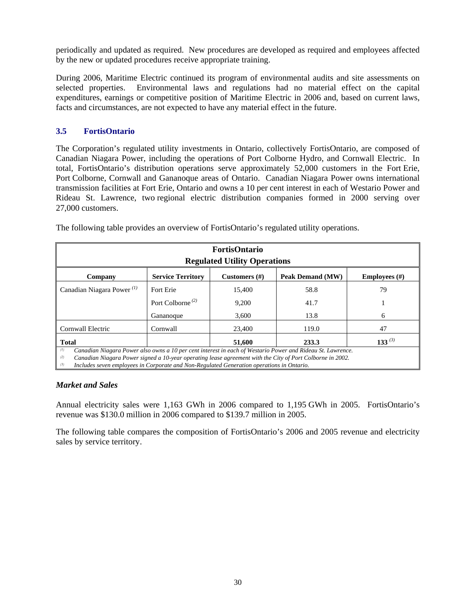periodically and updated as required. New procedures are developed as required and employees affected by the new or updated procedures receive appropriate training.

During 2006, Maritime Electric continued its program of environmental audits and site assessments on selected properties. Environmental laws and regulations had no material effect on the capital expenditures, earnings or competitive position of Maritime Electric in 2006 and, based on current laws, facts and circumstances, are not expected to have any material effect in the future.

## **3.5 FortisOntario**

The Corporation's regulated utility investments in Ontario, collectively FortisOntario, are composed of Canadian Niagara Power, including the operations of Port Colborne Hydro, and Cornwall Electric. In total, FortisOntario's distribution operations serve approximately 52,000 customers in the Fort Erie, Port Colborne, Cornwall and Gananoque areas of Ontario. Canadian Niagara Power owns international transmission facilities at Fort Erie, Ontario and owns a 10 per cent interest in each of Westario Power and Rideau St. Lawrence, two regional electric distribution companies formed in 2000 serving over 27,000 customers.

| <b>FortisOntario</b><br><b>Regulated Utility Operations</b> |                                                                                          |        |                                                                                                                                                                                                                       |    |  |  |  |  |
|-------------------------------------------------------------|------------------------------------------------------------------------------------------|--------|-----------------------------------------------------------------------------------------------------------------------------------------------------------------------------------------------------------------------|----|--|--|--|--|
| Company                                                     | <b>Service Territory</b><br>Peak Demand (MW)<br>Customers $(\#)$<br><b>Employees</b> (#) |        |                                                                                                                                                                                                                       |    |  |  |  |  |
| Canadian Niagara Power <sup><math>(1)</math></sup>          | Fort Erie                                                                                | 15,400 | 58.8                                                                                                                                                                                                                  | 79 |  |  |  |  |
|                                                             | Port Colborne <sup>(2)</sup>                                                             | 9,200  | 41.7                                                                                                                                                                                                                  |    |  |  |  |  |
|                                                             | Gananoque                                                                                | 3,600  | 13.8                                                                                                                                                                                                                  | 6  |  |  |  |  |
| Cornwall Electric                                           | Cornwall                                                                                 | 23,400 | 119.0                                                                                                                                                                                                                 | 47 |  |  |  |  |
| 133 $(3)$<br><b>Total</b><br>51,600<br>233.3                |                                                                                          |        |                                                                                                                                                                                                                       |    |  |  |  |  |
| (1)<br>(2)                                                  |                                                                                          |        | Canadian Niagara Power also owns a 10 per cent interest in each of Westario Power and Rideau St. Lawrence.<br>Canadian Niggara Dowar signed a 10 year operating Legge garament with the City of Dort Colhorne in 2002 |    |  |  |  |  |

The following table provides an overview of FortisOntario's regulated utility operations.

*(2) Canadian Niagara Power signed a 10-year operating lease agreement with the City of Port Colborne in 2002.* 

*(3) Includes seven employees in Corporate and Non-Regulated Generation operations in Ontario.* 

## *Market and Sales*

Annual electricity sales were 1,163 GWh in 2006 compared to 1,195 GWh in 2005. FortisOntario's revenue was \$130.0 million in 2006 compared to \$139.7 million in 2005.

The following table compares the composition of FortisOntario's 2006 and 2005 revenue and electricity sales by service territory.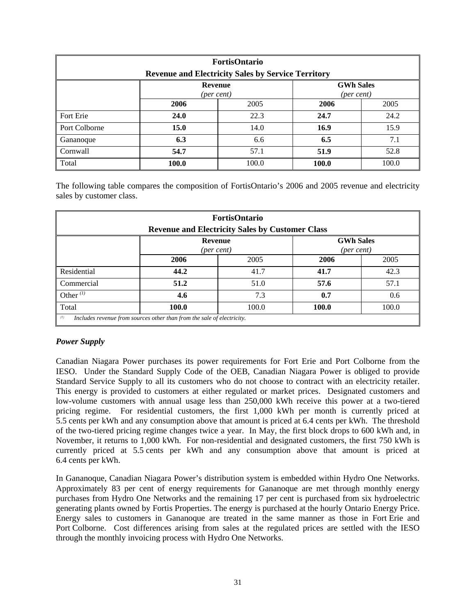| <b>FortisOntario</b><br><b>Revenue and Electricity Sales by Service Territory</b> |       |       |       |       |  |  |
|-----------------------------------------------------------------------------------|-------|-------|-------|-------|--|--|
| <b>GWh Sales</b><br><b>Revenue</b><br>(per cent)<br>(per cent)                    |       |       |       |       |  |  |
|                                                                                   | 2006  | 2006  | 2005  |       |  |  |
| Fort Erie                                                                         | 24.0  | 22.3  | 24.7  | 24.2  |  |  |
| Port Colborne                                                                     | 15.0  | 14.0  | 16.9  | 15.9  |  |  |
| Gananoque                                                                         | 6.3   | 6.6   | 6.5   | 7.1   |  |  |
| Cornwall                                                                          | 54.7  | 57.1  | 51.9  | 52.8  |  |  |
| Total                                                                             | 100.0 | 100.0 | 100.0 | 100.0 |  |  |

The following table compares the composition of FortisOntario's 2006 and 2005 revenue and electricity sales by customer class.

| <b>FortisOntario</b><br><b>Revenue and Electricity Sales by Customer Class</b> |                                                                        |      |      |      |  |  |
|--------------------------------------------------------------------------------|------------------------------------------------------------------------|------|------|------|--|--|
| <b>GWh Sales</b><br><b>Revenue</b><br>(per cent)<br>(per cent)                 |                                                                        |      |      |      |  |  |
|                                                                                | 2006                                                                   | 2006 | 2005 |      |  |  |
| Residential                                                                    | 44.2                                                                   | 41.7 | 41.7 | 42.3 |  |  |
| Commercial                                                                     | 51.2                                                                   | 51.0 | 57.6 | 57.1 |  |  |
| Other $(1)$                                                                    | 4.6                                                                    | 7.3  | 0.7  | 0.6  |  |  |
| Total<br>100.0<br>100.0<br>100.0<br>100.0                                      |                                                                        |      |      |      |  |  |
| (1)                                                                            | Includes revenue from sources other than from the sale of electricity. |      |      |      |  |  |

## *Power Supply*

Canadian Niagara Power purchases its power requirements for Fort Erie and Port Colborne from the IESO. Under the Standard Supply Code of the OEB, Canadian Niagara Power is obliged to provide Standard Service Supply to all its customers who do not choose to contract with an electricity retailer. This energy is provided to customers at either regulated or market prices. Designated customers and low-volume customers with annual usage less than 250,000 kWh receive this power at a two-tiered pricing regime. For residential customers, the first 1,000 kWh per month is currently priced at 5.5 cents per kWh and any consumption above that amount is priced at 6.4 cents per kWh. The threshold of the two-tiered pricing regime changes twice a year. In May, the first block drops to 600 kWh and, in November, it returns to 1,000 kWh. For non-residential and designated customers, the first 750 kWh is currently priced at 5.5 cents per kWh and any consumption above that amount is priced at 6.4 cents per kWh.

In Gananoque, Canadian Niagara Power's distribution system is embedded within Hydro One Networks. Approximately 83 per cent of energy requirements for Gananoque are met through monthly energy purchases from Hydro One Networks and the remaining 17 per cent is purchased from six hydroelectric generating plants owned by Fortis Properties. The energy is purchased at the hourly Ontario Energy Price. Energy sales to customers in Gananoque are treated in the same manner as those in Fort Erie and Port Colborne. Cost differences arising from sales at the regulated prices are settled with the IESO through the monthly invoicing process with Hydro One Networks.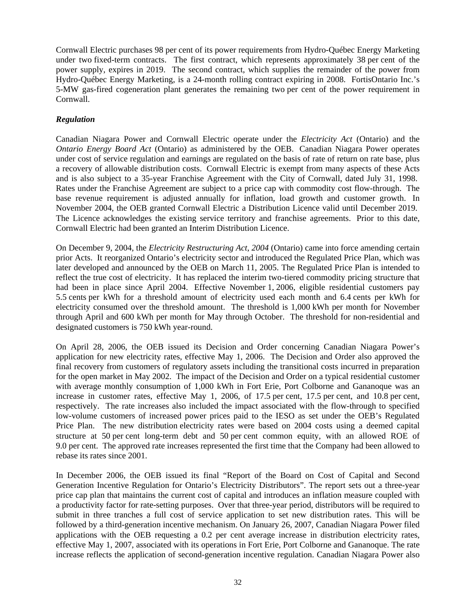Cornwall Electric purchases 98 per cent of its power requirements from Hydro-Québec Energy Marketing under two fixed-term contracts. The first contract, which represents approximately 38 per cent of the power supply, expires in 2019. The second contract, which supplies the remainder of the power from Hydro-Québec Energy Marketing, is a 24-month rolling contract expiring in 2008. FortisOntario Inc.'s 5-MW gas-fired cogeneration plant generates the remaining two per cent of the power requirement in Cornwall.

## *Regulation*

Canadian Niagara Power and Cornwall Electric operate under the *Electricity Act* (Ontario) and the *Ontario Energy Board Act* (Ontario) as administered by the OEB. Canadian Niagara Power operates under cost of service regulation and earnings are regulated on the basis of rate of return on rate base, plus a recovery of allowable distribution costs. Cornwall Electric is exempt from many aspects of these Acts and is also subject to a 35-year Franchise Agreement with the City of Cornwall, dated July 31, 1998. Rates under the Franchise Agreement are subject to a price cap with commodity cost flow-through. The base revenue requirement is adjusted annually for inflation, load growth and customer growth. In November 2004, the OEB granted Cornwall Electric a Distribution Licence valid until December 2019. The Licence acknowledges the existing service territory and franchise agreements. Prior to this date, Cornwall Electric had been granted an Interim Distribution Licence.

On December 9, 2004, the *Electricity Restructuring Act*, *2004* (Ontario) came into force amending certain prior Acts. It reorganized Ontario's electricity sector and introduced the Regulated Price Plan, which was later developed and announced by the OEB on March 11, 2005. The Regulated Price Plan is intended to reflect the true cost of electricity. It has replaced the interim two-tiered commodity pricing structure that had been in place since April 2004. Effective November 1, 2006, eligible residential customers pay 5.5 cents per kWh for a threshold amount of electricity used each month and 6.4 cents per kWh for electricity consumed over the threshold amount. The threshold is 1,000 kWh per month for November through April and 600 kWh per month for May through October. The threshold for non-residential and designated customers is 750 kWh year-round.

On April 28, 2006, the OEB issued its Decision and Order concerning Canadian Niagara Power's application for new electricity rates, effective May 1, 2006. The Decision and Order also approved the final recovery from customers of regulatory assets including the transitional costs incurred in preparation for the open market in May 2002. The impact of the Decision and Order on a typical residential customer with average monthly consumption of 1,000 kWh in Fort Erie, Port Colborne and Gananoque was an increase in customer rates, effective May 1, 2006, of 17.5 per cent, 17.5 per cent, and 10.8 per cent, respectively. The rate increases also included the impact associated with the flow-through to specified low-volume customers of increased power prices paid to the IESO as set under the OEB's Regulated Price Plan. The new distribution electricity rates were based on 2004 costs using a deemed capital structure at 50 per cent long-term debt and 50 per cent common equity, with an allowed ROE of 9.0 per cent. The approved rate increases represented the first time that the Company had been allowed to rebase its rates since 2001.

In December 2006, the OEB issued its final "Report of the Board on Cost of Capital and Second Generation Incentive Regulation for Ontario's Electricity Distributors". The report sets out a three-year price cap plan that maintains the current cost of capital and introduces an inflation measure coupled with a productivity factor for rate-setting purposes. Over that three-year period, distributors will be required to submit in three tranches a full cost of service application to set new distribution rates. This will be followed by a third-generation incentive mechanism. On January 26, 2007, Canadian Niagara Power filed applications with the OEB requesting a 0.2 per cent average increase in distribution electricity rates, effective May 1, 2007, associated with its operations in Fort Erie, Port Colborne and Gananoque. The rate increase reflects the application of second-generation incentive regulation. Canadian Niagara Power also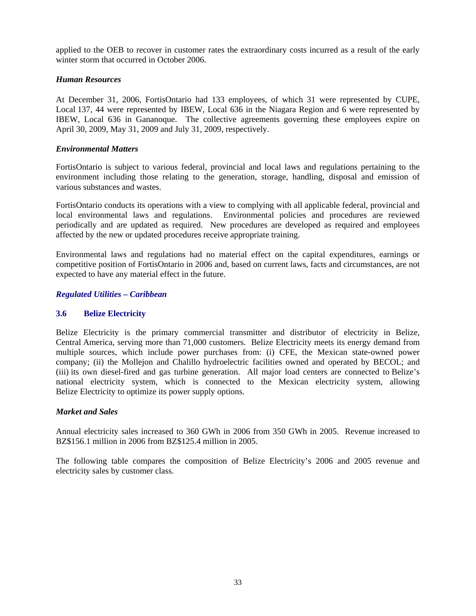applied to the OEB to recover in customer rates the extraordinary costs incurred as a result of the early winter storm that occurred in October 2006.

## *Human Resources*

At December 31, 2006, FortisOntario had 133 employees, of which 31 were represented by CUPE, Local 137, 44 were represented by IBEW, Local 636 in the Niagara Region and 6 were represented by IBEW, Local 636 in Gananoque. The collective agreements governing these employees expire on April 30, 2009, May 31, 2009 and July 31, 2009, respectively.

## *Environmental Matters*

FortisOntario is subject to various federal, provincial and local laws and regulations pertaining to the environment including those relating to the generation, storage, handling, disposal and emission of various substances and wastes.

FortisOntario conducts its operations with a view to complying with all applicable federal, provincial and local environmental laws and regulations. Environmental policies and procedures are reviewed periodically and are updated as required. New procedures are developed as required and employees affected by the new or updated procedures receive appropriate training.

Environmental laws and regulations had no material effect on the capital expenditures, earnings or competitive position of FortisOntario in 2006 and, based on current laws, facts and circumstances, are not expected to have any material effect in the future.

### *Regulated Utilities – Caribbean*

## **3.6 Belize Electricity**

Belize Electricity is the primary commercial transmitter and distributor of electricity in Belize, Central America, serving more than 71,000 customers. Belize Electricity meets its energy demand from multiple sources, which include power purchases from: (i) CFE, the Mexican state-owned power company; (ii) the Mollejon and Chalillo hydroelectric facilities owned and operated by BECOL; and (iii) its own diesel-fired and gas turbine generation. All major load centers are connected to Belize's national electricity system, which is connected to the Mexican electricity system, allowing Belize Electricity to optimize its power supply options.

## *Market and Sales*

Annual electricity sales increased to 360 GWh in 2006 from 350 GWh in 2005. Revenue increased to BZ\$156.1 million in 2006 from BZ\$125.4 million in 2005.

The following table compares the composition of Belize Electricity's 2006 and 2005 revenue and electricity sales by customer class.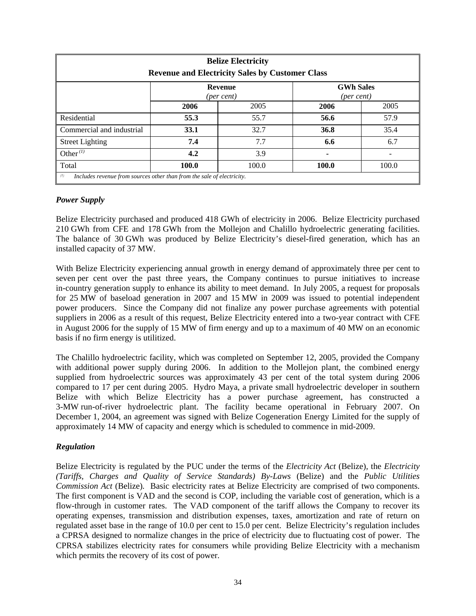| <b>Belize Electricity</b><br><b>Revenue and Electricity Sales by Customer Class</b> |             |                              |                                           |       |  |
|-------------------------------------------------------------------------------------|-------------|------------------------------|-------------------------------------------|-------|--|
|                                                                                     |             | <b>Revenue</b><br>(per cent) | <b>GWh Sales</b><br>${\rm (per \, cent)}$ |       |  |
|                                                                                     | 2006        | 2005                         | 2006                                      | 2005  |  |
| Residential                                                                         | 55.3        | 55.7                         | 56.6                                      | 57.9  |  |
| Commercial and industrial                                                           | <b>33.1</b> | 32.7                         | 36.8                                      | 35.4  |  |
| <b>Street Lighting</b>                                                              | 7.4         | 7.7                          | 6.6                                       | 6.7   |  |
| Other $(1)$                                                                         | 4.2         | 3.9                          |                                           |       |  |
| Total                                                                               | 100.0       | 100.0                        | 100.0                                     | 100.0 |  |
| (1)<br>Includes revenue from sources other than from the sale of electricity.       |             |                              |                                           |       |  |

## *Power Supply*

Belize Electricity purchased and produced 418 GWh of electricity in 2006. Belize Electricity purchased 210 GWh from CFE and 178 GWh from the Mollejon and Chalillo hydroelectric generating facilities. The balance of 30 GWh was produced by Belize Electricity's diesel-fired generation, which has an installed capacity of 37 MW.

With Belize Electricity experiencing annual growth in energy demand of approximately three per cent to seven per cent over the past three years, the Company continues to pursue initiatives to increase in-country generation supply to enhance its ability to meet demand. In July 2005, a request for proposals for 25 MW of baseload generation in 2007 and 15 MW in 2009 was issued to potential independent power producers. Since the Company did not finalize any power purchase agreements with potential suppliers in 2006 as a result of this request, Belize Electricity entered into a two-year contract with CFE in August 2006 for the supply of 15 MW of firm energy and up to a maximum of 40 MW on an economic basis if no firm energy is utilitized.

The Chalillo hydroelectric facility, which was completed on September 12, 2005, provided the Company with additional power supply during 2006. In addition to the Mollejon plant, the combined energy supplied from hydroelectric sources was approximately 43 per cent of the total system during 2006 compared to 17 per cent during 2005. Hydro Maya, a private small hydroelectric developer in southern Belize with which Belize Electricity has a power purchase agreement, has constructed a 3-MW run-of-river hydroelectric plant. The facility became operational in February 2007. On December 1, 2004, an agreement was signed with Belize Cogeneration Energy Limited for the supply of approximately 14 MW of capacity and energy which is scheduled to commence in mid-2009.

## *Regulation*

Belize Electricity is regulated by the PUC under the terms of the *Electricity Act* (Belize)*,* the *Electricity (Tariffs, Charges and Quality of Service Standards) By-Laws* (Belize) and the *Public Utilities Commission Act* (Belize). Basic electricity rates at Belize Electricity are comprised of two components. The first component is VAD and the second is COP, including the variable cost of generation, which is a flow-through in customer rates. The VAD component of the tariff allows the Company to recover its operating expenses, transmission and distribution expenses, taxes, amortization and rate of return on regulated asset base in the range of 10.0 per cent to 15.0 per cent. Belize Electricity's regulation includes a CPRSA designed to normalize changes in the price of electricity due to fluctuating cost of power. The CPRSA stabilizes electricity rates for consumers while providing Belize Electricity with a mechanism which permits the recovery of its cost of power.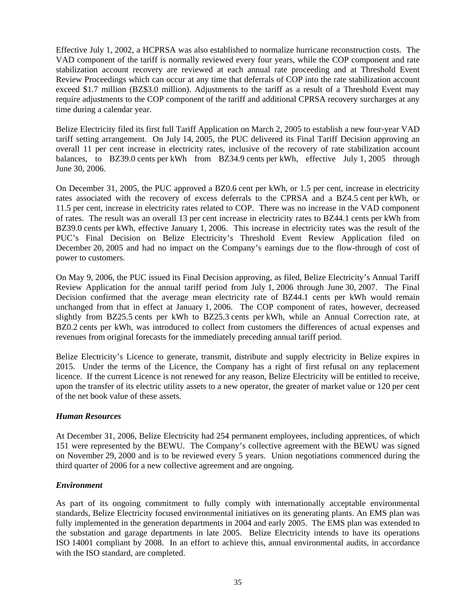Effective July 1, 2002, a HCPRSA was also established to normalize hurricane reconstruction costs. The VAD component of the tariff is normally reviewed every four years, while the COP component and rate stabilization account recovery are reviewed at each annual rate proceeding and at Threshold Event Review Proceedings which can occur at any time that deferrals of COP into the rate stabilization account exceed \$1.7 million (BZ\$3.0 million). Adjustments to the tariff as a result of a Threshold Event may require adjustments to the COP component of the tariff and additional CPRSA recovery surcharges at any time during a calendar year.

Belize Electricity filed its first full Tariff Application on March 2, 2005 to establish a new four-year VAD tariff setting arrangement. On July 14, 2005, the PUC delivered its Final Tariff Decision approving an overall 11 per cent increase in electricity rates, inclusive of the recovery of rate stabilization account balances, to BZ39.0 cents per kWh from BZ34.9 cents per kWh, effective July 1, 2005 through June 30, 2006.

On December 31, 2005, the PUC approved a BZ0.6 cent per kWh, or 1.5 per cent, increase in electricity rates associated with the recovery of excess deferrals to the CPRSA and a BZ4.5 cent per kWh, or 11.5 per cent, increase in electricity rates related to COP. There was no increase in the VAD component of rates. The result was an overall 13 per cent increase in electricity rates to BZ44.1 cents per kWh from BZ39.0 cents per kWh, effective January 1, 2006. This increase in electricity rates was the result of the PUC's Final Decision on Belize Electricity's Threshold Event Review Application filed on December 20, 2005 and had no impact on the Company's earnings due to the flow-through of cost of power to customers.

On May 9, 2006, the PUC issued its Final Decision approving, as filed, Belize Electricity's Annual Tariff Review Application for the annual tariff period from July 1, 2006 through June 30, 2007. The Final Decision confirmed that the average mean electricity rate of BZ44.1 cents per kWh would remain unchanged from that in effect at January 1, 2006. The COP component of rates, however, decreased slightly from BZ25.5 cents per kWh to BZ25.3 cents per kWh, while an Annual Correction rate, at BZ0.2 cents per kWh, was introduced to collect from customers the differences of actual expenses and revenues from original forecasts for the immediately preceding annual tariff period.

Belize Electricity's Licence to generate, transmit, distribute and supply electricity in Belize expires in 2015. Under the terms of the Licence, the Company has a right of first refusal on any replacement licence. If the current Licence is not renewed for any reason, Belize Electricity will be entitled to receive, upon the transfer of its electric utility assets to a new operator, the greater of market value or 120 per cent of the net book value of these assets.

## *Human Resources*

At December 31, 2006, Belize Electricity had 254 permanent employees, including apprentices, of which 151 were represented by the BEWU. The Company's collective agreement with the BEWU was signed on November 29, 2000 and is to be reviewed every 5 years. Union negotiations commenced during the third quarter of 2006 for a new collective agreement and are ongoing.

## *Environment*

As part of its ongoing commitment to fully comply with internationally acceptable environmental standards, Belize Electricity focused environmental initiatives on its generating plants. An EMS plan was fully implemented in the generation departments in 2004 and early 2005. The EMS plan was extended to the substation and garage departments in late 2005. Belize Electricity intends to have its operations ISO 14001 compliant by 2008. In an effort to achieve this, annual environmental audits, in accordance with the ISO standard, are completed.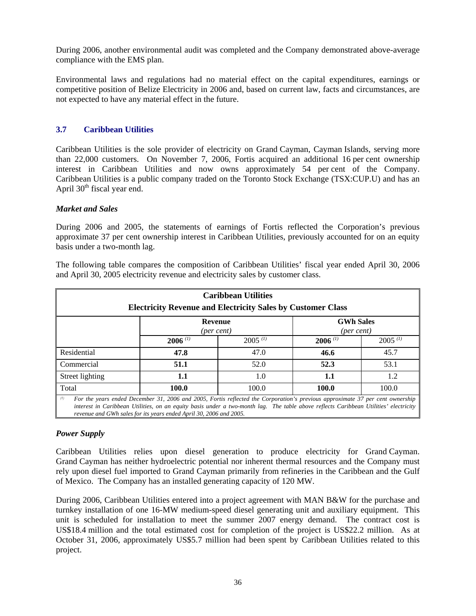During 2006, another environmental audit was completed and the Company demonstrated above-average compliance with the EMS plan.

Environmental laws and regulations had no material effect on the capital expenditures, earnings or competitive position of Belize Electricity in 2006 and, based on current law, facts and circumstances, are not expected to have any material effect in the future.

## **3.7 Caribbean Utilities**

Caribbean Utilities is the sole provider of electricity on Grand Cayman, Cayman Islands, serving more than 22,000 customers. On November 7, 2006, Fortis acquired an additional 16 per cent ownership interest in Caribbean Utilities and now owns approximately 54 per cent of the Company. Caribbean Utilities is a public company traded on the Toronto Stock Exchange (TSX:CUP.U) and has an April  $30<sup>th</sup>$  fiscal year end.

## *Market and Sales*

During 2006 and 2005, the statements of earnings of Fortis reflected the Corporation's previous approximate 37 per cent ownership interest in Caribbean Utilities, previously accounted for on an equity basis under a two-month lag.

| <b>Caribbean Utilities</b><br><b>Electricity Revenue and Electricity Sales by Customer Class</b> |                                                                                                                                                                                                                                                                                                                                             |              |                                |              |  |
|--------------------------------------------------------------------------------------------------|---------------------------------------------------------------------------------------------------------------------------------------------------------------------------------------------------------------------------------------------------------------------------------------------------------------------------------------------|--------------|--------------------------------|--------------|--|
|                                                                                                  | Revenue<br>(per cent)                                                                                                                                                                                                                                                                                                                       |              | <b>GWh Sales</b><br>(per cent) |              |  |
|                                                                                                  | $2006$ (1)                                                                                                                                                                                                                                                                                                                                  | $2005^{(1)}$ | $2006$ (1)                     | $2005^{(1)}$ |  |
| Residential                                                                                      | 47.8                                                                                                                                                                                                                                                                                                                                        | 47.0         | 46.6                           | 45.7         |  |
| Commercial                                                                                       | 51.1                                                                                                                                                                                                                                                                                                                                        | 52.0         | 52.3                           | 53.1         |  |
| Street lighting                                                                                  | 1.1                                                                                                                                                                                                                                                                                                                                         | 1.0          | 1.1                            | 1.2          |  |
| Total                                                                                            | 100.0                                                                                                                                                                                                                                                                                                                                       | 100.0        | 100.0                          | 100.0        |  |
| (1)                                                                                              | For the years ended December 31, 2006 and 2005, Fortis reflected the Corporation's previous approximate 37 per cent ownership<br>interest in Caribbean Utilities, on an equity basis under a two-month lag. The table above reflects Caribbean Utilities' electricity<br>revenue and GWh sales for its years ended April 30, 2006 and 2005. |              |                                |              |  |

The following table compares the composition of Caribbean Utilities' fiscal year ended April 30, 2006 and April 30, 2005 electricity revenue and electricity sales by customer class.

## *Power Supply*

Caribbean Utilities relies upon diesel generation to produce electricity for Grand Cayman. Grand Cayman has neither hydroelectric potential nor inherent thermal resources and the Company must rely upon diesel fuel imported to Grand Cayman primarily from refineries in the Caribbean and the Gulf of Mexico. The Company has an installed generating capacity of 120 MW.

During 2006, Caribbean Utilities entered into a project agreement with MAN B&W for the purchase and turnkey installation of one 16-MW medium-speed diesel generating unit and auxiliary equipment. This unit is scheduled for installation to meet the summer 2007 energy demand. The contract cost is US\$18.4 million and the total estimated cost for completion of the project is US\$22.2 million. As at October 31, 2006, approximately US\$5.7 million had been spent by Caribbean Utilities related to this project.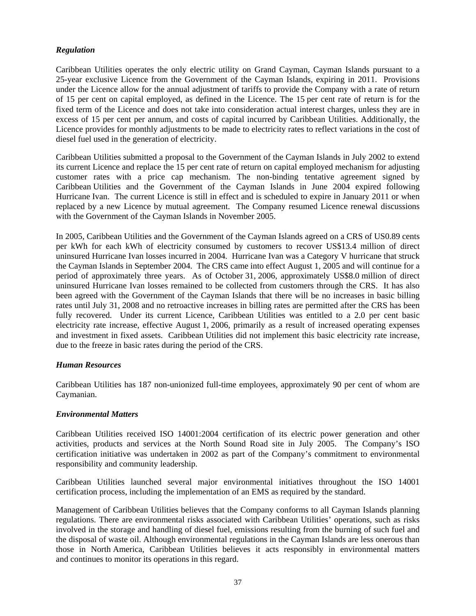## *Regulation*

Caribbean Utilities operates the only electric utility on Grand Cayman, Cayman Islands pursuant to a 25-year exclusive Licence from the Government of the Cayman Islands, expiring in 2011. Provisions under the Licence allow for the annual adjustment of tariffs to provide the Company with a rate of return of 15 per cent on capital employed, as defined in the Licence. The 15 per cent rate of return is for the fixed term of the Licence and does not take into consideration actual interest charges, unless they are in excess of 15 per cent per annum, and costs of capital incurred by Caribbean Utilities. Additionally, the Licence provides for monthly adjustments to be made to electricity rates to reflect variations in the cost of diesel fuel used in the generation of electricity.

Caribbean Utilities submitted a proposal to the Government of the Cayman Islands in July 2002 to extend its current Licence and replace the 15 per cent rate of return on capital employed mechanism for adjusting customer rates with a price cap mechanism. The non-binding tentative agreement signed by Caribbean Utilities and the Government of the Cayman Islands in June 2004 expired following Hurricane Ivan. The current Licence is still in effect and is scheduled to expire in January 2011 or when replaced by a new Licence by mutual agreement. The Company resumed Licence renewal discussions with the Government of the Cayman Islands in November 2005.

In 2005, Caribbean Utilities and the Government of the Cayman Islands agreed on a CRS of US0.89 cents per kWh for each kWh of electricity consumed by customers to recover US\$13.4 million of direct uninsured Hurricane Ivan losses incurred in 2004. Hurricane Ivan was a Category V hurricane that struck the Cayman Islands in September 2004. The CRS came into effect August 1, 2005 and will continue for a period of approximately three years. As of October 31, 2006, approximately US\$8.0 million of direct uninsured Hurricane Ivan losses remained to be collected from customers through the CRS. It has also been agreed with the Government of the Cayman Islands that there will be no increases in basic billing rates until July 31, 2008 and no retroactive increases in billing rates are permitted after the CRS has been fully recovered. Under its current Licence, Caribbean Utilities was entitled to a 2.0 per cent basic electricity rate increase, effective August 1, 2006, primarily as a result of increased operating expenses and investment in fixed assets. Caribbean Utilities did not implement this basic electricity rate increase, due to the freeze in basic rates during the period of the CRS.

## *Human Resources*

Caribbean Utilities has 187 non-unionized full-time employees, approximately 90 per cent of whom are Caymanian.

## *Environmental Matters*

Caribbean Utilities received ISO 14001:2004 certification of its electric power generation and other activities, products and services at the North Sound Road site in July 2005. The Company's ISO certification initiative was undertaken in 2002 as part of the Company's commitment to environmental responsibility and community leadership.

Caribbean Utilities launched several major environmental initiatives throughout the ISO 14001 certification process, including the implementation of an EMS as required by the standard.

Management of Caribbean Utilities believes that the Company conforms to all Cayman Islands planning regulations. There are environmental risks associated with Caribbean Utilities' operations, such as risks involved in the storage and handling of diesel fuel, emissions resulting from the burning of such fuel and the disposal of waste oil. Although environmental regulations in the Cayman Islands are less onerous than those in North America, Caribbean Utilities believes it acts responsibly in environmental matters and continues to monitor its operations in this regard.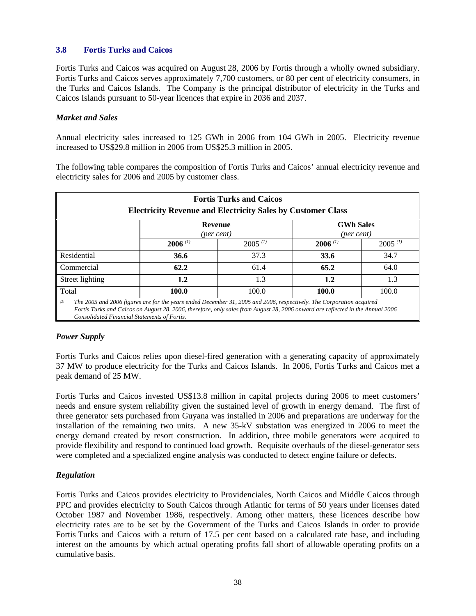## **3.8 Fortis Turks and Caicos**

Fortis Turks and Caicos was acquired on August 28, 2006 by Fortis through a wholly owned subsidiary. Fortis Turks and Caicos serves approximately 7,700 customers, or 80 per cent of electricity consumers, in the Turks and Caicos Islands. The Company is the principal distributor of electricity in the Turks and Caicos Islands pursuant to 50-year licences that expire in 2036 and 2037.

## *Market and Sales*

Annual electricity sales increased to 125 GWh in 2006 from 104 GWh in 2005. Electricity revenue increased to US\$29.8 million in 2006 from US\$25.3 million in 2005.

The following table compares the composition of Fortis Turks and Caicos' annual electricity revenue and electricity sales for 2006 and 2005 by customer class.

| <b>Fortis Turks and Caicos</b><br><b>Electricity Revenue and Electricity Sales by Customer Class</b>                                                                                                                                                                                                          |                       |              |                                |              |
|---------------------------------------------------------------------------------------------------------------------------------------------------------------------------------------------------------------------------------------------------------------------------------------------------------------|-----------------------|--------------|--------------------------------|--------------|
|                                                                                                                                                                                                                                                                                                               | Revenue<br>(per cent) |              | <b>GWh Sales</b><br>(per cent) |              |
|                                                                                                                                                                                                                                                                                                               | $2006$ (1)            | $2005^{(1)}$ | $2006$ <sup>(1)</sup>          | $2005^{(1)}$ |
| Residential                                                                                                                                                                                                                                                                                                   | 36.6                  | 37.3         | 33.6                           | 34.7         |
| Commercial                                                                                                                                                                                                                                                                                                    | 62.2                  | 61.4         | 65.2                           | 64.0         |
| Street lighting                                                                                                                                                                                                                                                                                               | $1.2\,$               | 1.3          | 1.2                            | 1.3          |
| Total                                                                                                                                                                                                                                                                                                         | 100.0                 | 100.0        | 100.0                          | 100.0        |
| (2)<br>The 2005 and 2006 figures are for the years ended December 31, 2005 and 2006, respectively. The Corporation acquired<br>Fortis Turks and Caicos on August 28, 2006, therefore, only sales from August 28, 2006 onward are reflected in the Annual 2006<br>Consolidated Financial Statements of Fortis. |                       |              |                                |              |

## *Power Supply*

Fortis Turks and Caicos relies upon diesel-fired generation with a generating capacity of approximately 37 MW to produce electricity for the Turks and Caicos Islands. In 2006, Fortis Turks and Caicos met a peak demand of 25 MW.

Fortis Turks and Caicos invested US\$13.8 million in capital projects during 2006 to meet customers' needs and ensure system reliability given the sustained level of growth in energy demand. The first of three generator sets purchased from Guyana was installed in 2006 and preparations are underway for the installation of the remaining two units. A new 35-kV substation was energized in 2006 to meet the energy demand created by resort construction. In addition, three mobile generators were acquired to provide flexibility and respond to continued load growth. Requisite overhauls of the diesel-generator sets were completed and a specialized engine analysis was conducted to detect engine failure or defects.

## *Regulation*

Fortis Turks and Caicos provides electricity to Providenciales, North Caicos and Middle Caicos through PPC and provides electricity to South Caicos through Atlantic for terms of 50 years under licenses dated October 1987 and November 1986, respectively. Among other matters, these licences describe how electricity rates are to be set by the Government of the Turks and Caicos Islands in order to provide Fortis Turks and Caicos with a return of 17.5 per cent based on a calculated rate base, and including interest on the amounts by which actual operating profits fall short of allowable operating profits on a cumulative basis.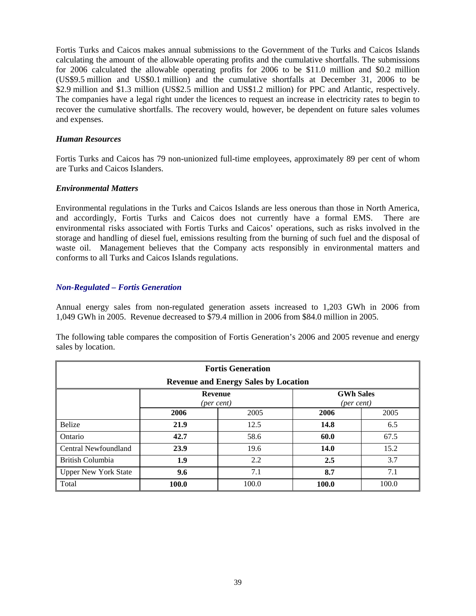Fortis Turks and Caicos makes annual submissions to the Government of the Turks and Caicos Islands calculating the amount of the allowable operating profits and the cumulative shortfalls. The submissions for 2006 calculated the allowable operating profits for 2006 to be \$11.0 million and \$0.2 million (US\$9.5 million and US\$0.1 million) and the cumulative shortfalls at December 31, 2006 to be \$2.9 million and \$1.3 million (US\$2.5 million and US\$1.2 million) for PPC and Atlantic, respectively. The companies have a legal right under the licences to request an increase in electricity rates to begin to recover the cumulative shortfalls. The recovery would, however, be dependent on future sales volumes and expenses.

## *Human Resources*

Fortis Turks and Caicos has 79 non-unionized full-time employees, approximately 89 per cent of whom are Turks and Caicos Islanders.

### *Environmental Matters*

Environmental regulations in the Turks and Caicos Islands are less onerous than those in North America, and accordingly, Fortis Turks and Caicos does not currently have a formal EMS. There are environmental risks associated with Fortis Turks and Caicos' operations, such as risks involved in the storage and handling of diesel fuel, emissions resulting from the burning of such fuel and the disposal of waste oil. Management believes that the Company acts responsibly in environmental matters and conforms to all Turks and Caicos Islands regulations.

### *Non-Regulated – Fortis Generation*

Annual energy sales from non-regulated generation assets increased to 1,203 GWh in 2006 from 1,049 GWh in 2005. Revenue decreased to \$79.4 million in 2006 from \$84.0 million in 2005.

The following table compares the composition of Fortis Generation's 2006 and 2005 revenue and energy sales by location.

| <b>Fortis Generation</b><br><b>Revenue and Energy Sales by Location</b> |                                       |       |                                           |       |  |
|-------------------------------------------------------------------------|---------------------------------------|-------|-------------------------------------------|-------|--|
|                                                                         | <b>Revenue</b><br>$(\text{per cent})$ |       | <b>GWh Sales</b><br>${\rm (per \, cent)}$ |       |  |
|                                                                         | 2006                                  | 2005  | 2006                                      | 2005  |  |
| <b>Belize</b>                                                           | 21.9                                  | 12.5  | 14.8                                      | 6.5   |  |
| Ontario                                                                 | 42.7                                  | 58.6  | 60.0                                      | 67.5  |  |
| Central Newfoundland                                                    | 23.9                                  | 19.6  | 14.0                                      | 15.2  |  |
| British Columbia                                                        | 1.9                                   | 2.2   | 2.5                                       | 3.7   |  |
| <b>Upper New York State</b>                                             | 9.6                                   | 7.1   | 8.7                                       | 7.1   |  |
| Total                                                                   | 100.0                                 | 100.0 | 100.0                                     | 100.0 |  |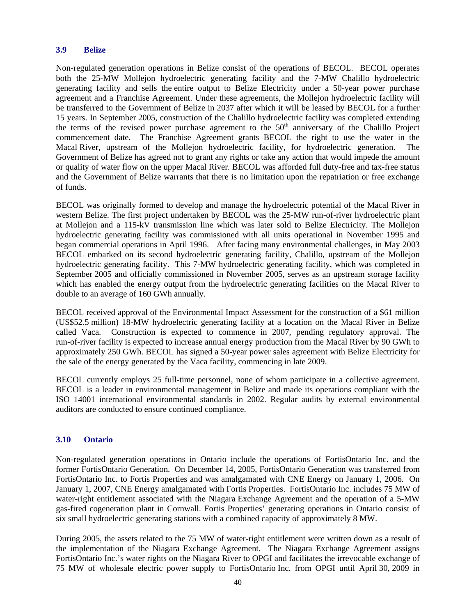### **3.9 Belize**

Non-regulated generation operations in Belize consist of the operations of BECOL. BECOL operates both the 25-MW Mollejon hydroelectric generating facility and the 7-MW Chalillo hydroelectric generating facility and sells the entire output to Belize Electricity under a 50-year power purchase agreement and a Franchise Agreement. Under these agreements, the Mollejon hydroelectric facility will be transferred to the Government of Belize in 2037 after which it will be leased by BECOL for a further 15 years. In September 2005, construction of the Chalillo hydroelectric facility was completed extending the terms of the revised power purchase agreement to the 50<sup>th</sup> anniversary of the Chalillo Project commencement date. The Franchise Agreement grants BECOL the right to use the water in the Macal River, upstream of the Mollejon hydroelectric facility, for hydroelectric generation. The Government of Belize has agreed not to grant any rights or take any action that would impede the amount or quality of water flow on the upper Macal River. BECOL was afforded full duty-free and tax-free status and the Government of Belize warrants that there is no limitation upon the repatriation or free exchange of funds.

BECOL was originally formed to develop and manage the hydroelectric potential of the Macal River in western Belize. The first project undertaken by BECOL was the 25-MW run-of-river hydroelectric plant at Mollejon and a 115-kV transmission line which was later sold to Belize Electricity. The Mollejon hydroelectric generating facility was commissioned with all units operational in November 1995 and began commercial operations in April 1996. After facing many environmental challenges, in May 2003 BECOL embarked on its second hydroelectric generating facility, Chalillo, upstream of the Mollejon hydroelectric generating facility. This 7-MW hydroelectric generating facility, which was completed in September 2005 and officially commissioned in November 2005, serves as an upstream storage facility which has enabled the energy output from the hydroelectric generating facilities on the Macal River to double to an average of 160 GWh annually.

BECOL received approval of the Environmental Impact Assessment for the construction of a \$61 million (US\$52.5 million) 18-MW hydroelectric generating facility at a location on the Macal River in Belize called Vaca. Construction is expected to commence in 2007, pending regulatory approval. The run-of-river facility is expected to increase annual energy production from the Macal River by 90 GWh to approximately 250 GWh. BECOL has signed a 50-year power sales agreement with Belize Electricity for the sale of the energy generated by the Vaca facility, commencing in late 2009.

BECOL currently employs 25 full-time personnel, none of whom participate in a collective agreement. BECOL is a leader in environmental management in Belize and made its operations compliant with the ISO 14001 international environmental standards in 2002. Regular audits by external environmental auditors are conducted to ensure continued compliance.

## **3.10 Ontario**

Non-regulated generation operations in Ontario include the operations of FortisOntario Inc. and the former FortisOntario Generation. On December 14, 2005, FortisOntario Generation was transferred from FortisOntario Inc. to Fortis Properties and was amalgamated with CNE Energy on January 1, 2006. On January 1, 2007, CNE Energy amalgamated with Fortis Properties. FortisOntario Inc. includes 75 MW of water-right entitlement associated with the Niagara Exchange Agreement and the operation of a 5-MW gas-fired cogeneration plant in Cornwall. Fortis Properties' generating operations in Ontario consist of six small hydroelectric generating stations with a combined capacity of approximately 8 MW.

During 2005, the assets related to the 75 MW of water-right entitlement were written down as a result of the implementation of the Niagara Exchange Agreement. The Niagara Exchange Agreement assigns FortisOntario Inc.'s water rights on the Niagara River to OPGI and facilitates the irrevocable exchange of 75 MW of wholesale electric power supply to FortisOntario Inc. from OPGI until April 30, 2009 in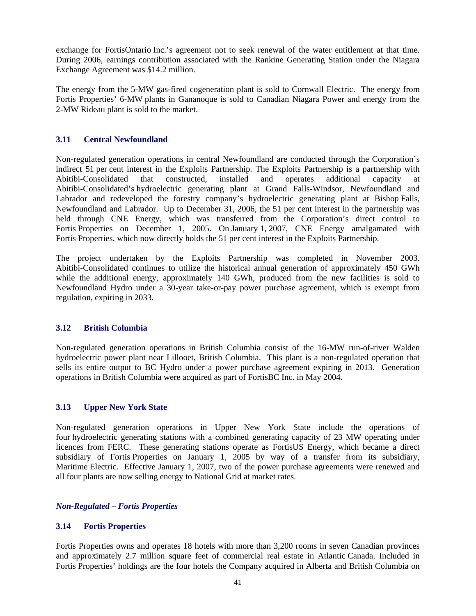exchange for FortisOntario Inc.'s agreement not to seek renewal of the water entitlement at that time. During 2006, earnings contribution associated with the Rankine Generating Station under the Niagara Exchange Agreement was \$14.2 million.

The energy from the 5-MW gas-fired cogeneration plant is sold to Cornwall Electric. The energy from Fortis Properties' 6-MW plants in Gananoque is sold to Canadian Niagara Power and energy from the 2-MW Rideau plant is sold to the market.

## **3.11 Central Newfoundland**

Non-regulated generation operations in central Newfoundland are conducted through the Corporation's indirect 51 per cent interest in the Exploits Partnership. The Exploits Partnership is a partnership with Abitibi-Consolidated that constructed, installed and operates additional capacity at Abitibi-Consolidated's hydroelectric generating plant at Grand Falls-Windsor, Newfoundland and Labrador and redeveloped the forestry company's hydroelectric generating plant at Bishop Falls, Newfoundland and Labrador. Up to December 31, 2006, the 51 per cent interest in the partnership was held through CNE Energy, which was transferred from the Corporation's direct control to Fortis Properties on December 1, 2005. On January 1, 2007, CNE Energy amalgamated with Fortis Properties, which now directly holds the 51 per cent interest in the Exploits Partnership.

The project undertaken by the Exploits Partnership was completed in November 2003. Abitibi-Consolidated continues to utilize the historical annual generation of approximately 450 GWh while the additional energy, approximately 140 GWh, produced from the new facilities is sold to Newfoundland Hydro under a 30-year take-or-pay power purchase agreement, which is exempt from regulation, expiring in 2033.

## **3.12 British Columbia**

Non-regulated generation operations in British Columbia consist of the 16-MW run-of-river Walden hydroelectric power plant near Lillooet, British Columbia. This plant is a non-regulated operation that sells its entire output to BC Hydro under a power purchase agreement expiring in 2013. Generation operations in British Columbia were acquired as part of FortisBC Inc. in May 2004.

## **3.13 Upper New York State**

Non-regulated generation operations in Upper New York State include the operations of four hydroelectric generating stations with a combined generating capacity of 23 MW operating under licences from FERC. These generating stations operate as FortisUS Energy, which became a direct subsidiary of Fortis Properties on January 1, 2005 by way of a transfer from its subsidiary, Maritime Electric. Effective January 1, 2007, two of the power purchase agreements were renewed and all four plants are now selling energy to National Grid at market rates.

## *Non-Regulated – Fortis Properties*

## **3.14 Fortis Properties**

Fortis Properties owns and operates 18 hotels with more than 3,200 rooms in seven Canadian provinces and approximately 2.7 million square feet of commercial real estate in Atlantic Canada. Included in Fortis Properties' holdings are the four hotels the Company acquired in Alberta and British Columbia on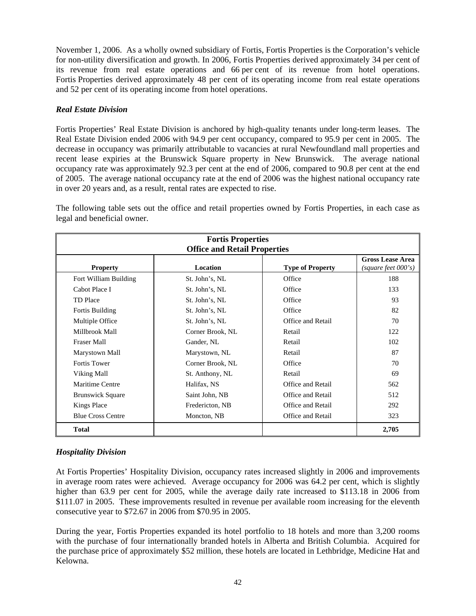November 1, 2006. As a wholly owned subsidiary of Fortis, Fortis Properties is the Corporation's vehicle for non-utility diversification and growth. In 2006, Fortis Properties derived approximately 34 per cent of its revenue from real estate operations and 66 per cent of its revenue from hotel operations. Fortis Properties derived approximately 48 per cent of its operating income from real estate operations and 52 per cent of its operating income from hotel operations.

## *Real Estate Division*

Fortis Properties' Real Estate Division is anchored by high-quality tenants under long-term leases. The Real Estate Division ended 2006 with 94.9 per cent occupancy, compared to 95.9 per cent in 2005. The decrease in occupancy was primarily attributable to vacancies at rural Newfoundland mall properties and recent lease expiries at the Brunswick Square property in New Brunswick. The average national occupancy rate was approximately 92.3 per cent at the end of 2006, compared to 90.8 per cent at the end of 2005. The average national occupancy rate at the end of 2006 was the highest national occupancy rate in over 20 years and, as a result, rental rates are expected to rise.

The following table sets out the office and retail properties owned by Fortis Properties, in each case as legal and beneficial owner.

|                          | <b>Fortis Properties</b>                               |                         |                                                    |  |  |
|--------------------------|--------------------------------------------------------|-------------------------|----------------------------------------------------|--|--|
| <b>Property</b>          | <b>Office and Retail Properties</b><br><b>Location</b> | <b>Type of Property</b> | <b>Gross Lease Area</b><br>$(square$ feet $000's)$ |  |  |
| Fort William Building    | St. John's, NL                                         | Office                  | 188                                                |  |  |
| Cabot Place I            | St. John's, NL                                         | Office                  | 133                                                |  |  |
| TD Place                 | St. John's, NL                                         | Office                  | 93                                                 |  |  |
| Fortis Building          | St. John's, NL                                         | Office                  | 82                                                 |  |  |
| Multiple Office          | St. John's, NL                                         | Office and Retail       | 70                                                 |  |  |
| Millbrook Mall           | Corner Brook, NL                                       | Retail                  | 122                                                |  |  |
| <b>Fraser Mall</b>       | Gander, NL                                             | Retail                  | 102                                                |  |  |
| Marystown Mall           | Marystown, NL                                          | Retail                  | 87                                                 |  |  |
| Fortis Tower             | Corner Brook, NL                                       | Office                  | 70                                                 |  |  |
| Viking Mall              | St. Anthony, NL                                        | Retail                  | 69                                                 |  |  |
| Maritime Centre          | Halifax, NS                                            | Office and Retail       | 562                                                |  |  |
| <b>Brunswick Square</b>  | Saint John, NB                                         | Office and Retail       | 512                                                |  |  |
| Kings Place              | Fredericton, NB                                        | Office and Retail       | 292                                                |  |  |
| <b>Blue Cross Centre</b> | Moncton, NB                                            | Office and Retail       | 323                                                |  |  |
| Total                    |                                                        |                         | 2,705                                              |  |  |

## *Hospitality Division*

At Fortis Properties' Hospitality Division, occupancy rates increased slightly in 2006 and improvements in average room rates were achieved. Average occupancy for 2006 was 64.2 per cent, which is slightly higher than 63.9 per cent for 2005, while the average daily rate increased to \$113.18 in 2006 from \$111.07 in 2005. These improvements resulted in revenue per available room increasing for the eleventh consecutive year to \$72.67 in 2006 from \$70.95 in 2005.

During the year, Fortis Properties expanded its hotel portfolio to 18 hotels and more than 3,200 rooms with the purchase of four internationally branded hotels in Alberta and British Columbia. Acquired for the purchase price of approximately \$52 million, these hotels are located in Lethbridge, Medicine Hat and Kelowna.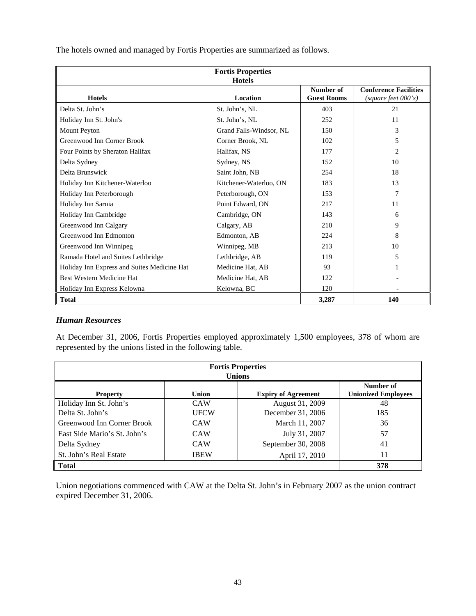| <b>Fortis Properties</b>                    |                         |                    |                              |  |  |
|---------------------------------------------|-------------------------|--------------------|------------------------------|--|--|
| <b>Hotels</b>                               |                         |                    |                              |  |  |
|                                             |                         | Number of          | <b>Conference Facilities</b> |  |  |
| <b>Hotels</b>                               | Location                | <b>Guest Rooms</b> | (square feet 000's)          |  |  |
| Delta St. John's                            | St. John's, NL          | 403                | 21                           |  |  |
| Holiday Inn St. John's                      | St. John's, NL          | 252                | 11                           |  |  |
| Mount Peyton                                | Grand Falls-Windsor, NL | 150                | 3                            |  |  |
| Greenwood Inn Corner Brook                  | Corner Brook, NL        | 102                | 5                            |  |  |
| Four Points by Sheraton Halifax             | Halifax, NS             | 177                | 2                            |  |  |
| Delta Sydney                                | Sydney, NS              | 152                | 10                           |  |  |
| Delta Brunswick                             | Saint John, NB          | 254                | 18                           |  |  |
| Holiday Inn Kitchener-Waterloo              | Kitchener-Waterloo, ON  | 183                | 13                           |  |  |
| Holiday Inn Peterborough                    | Peterborough, ON        | 153                | 7                            |  |  |
| Holiday Inn Sarnia                          | Point Edward, ON        | 217                | 11                           |  |  |
| Holiday Inn Cambridge                       | Cambridge, ON           | 143                | 6                            |  |  |
| Greenwood Inn Calgary                       | Calgary, AB             | 210                | 9                            |  |  |
| Greenwood Inn Edmonton                      | Edmonton, AB            | 224                | 8                            |  |  |
| Greenwood Inn Winnipeg                      | Winnipeg, MB            | 213                | 10                           |  |  |
| Ramada Hotel and Suites Lethbridge          | Lethbridge, AB          | 119                | 5                            |  |  |
| Holiday Inn Express and Suites Medicine Hat | Medicine Hat, AB        | 93                 |                              |  |  |
| Best Western Medicine Hat                   | Medicine Hat, AB        | 122                |                              |  |  |
| Holiday Inn Express Kelowna                 | Kelowna, BC             | 120                |                              |  |  |
| <b>Total</b>                                |                         | 3,287              | 140                          |  |  |

The hotels owned and managed by Fortis Properties are summarized as follows.

## *Human Resources*

At December 31, 2006, Fortis Properties employed approximately 1,500 employees, 378 of whom are represented by the unions listed in the following table.

| <b>Fortis Properties</b><br><b>Unions</b> |             |                            |                                         |  |
|-------------------------------------------|-------------|----------------------------|-----------------------------------------|--|
| <b>Property</b>                           | Union       | <b>Expiry of Agreement</b> | Number of<br><b>Unionized Employees</b> |  |
| Holiday Inn St. John's                    | <b>CAW</b>  | August 31, 2009            | 48                                      |  |
| Delta St. John's                          | <b>UFCW</b> | December 31, 2006          | 185                                     |  |
| Greenwood Inn Corner Brook                | <b>CAW</b>  | March 11, 2007             | 36                                      |  |
| East Side Mario's St. John's              | <b>CAW</b>  | July 31, 2007              | 57                                      |  |
| Delta Sydney                              | <b>CAW</b>  | September 30, 2008         | 41                                      |  |
| St. John's Real Estate                    | <b>IBEW</b> | April 17, 2010             | 11                                      |  |
| Total                                     |             |                            | 378                                     |  |

Union negotiations commenced with CAW at the Delta St. John's in February 2007 as the union contract expired December 31, 2006.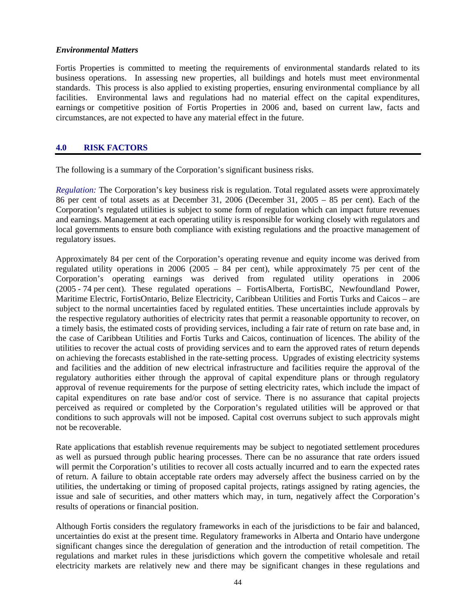#### *Environmental Matters*

Fortis Properties is committed to meeting the requirements of environmental standards related to its business operations. In assessing new properties, all buildings and hotels must meet environmental standards. This process is also applied to existing properties, ensuring environmental compliance by all facilities. Environmental laws and regulations had no material effect on the capital expenditures, earnings or competitive position of Fortis Properties in 2006 and, based on current law, facts and circumstances, are not expected to have any material effect in the future.

## **4.0 RISK FACTORS**

The following is a summary of the Corporation's significant business risks.

*Regulation:* The Corporation's key business risk is regulation. Total regulated assets were approximately 86 per cent of total assets as at December 31, 2006 (December 31, 2005 – 85 per cent). Each of the Corporation's regulated utilities is subject to some form of regulation which can impact future revenues and earnings. Management at each operating utility is responsible for working closely with regulators and local governments to ensure both compliance with existing regulations and the proactive management of regulatory issues.

Approximately 84 per cent of the Corporation's operating revenue and equity income was derived from regulated utility operations in 2006 (2005 – 84 per cent), while approximately 75 per cent of the Corporation's operating earnings was derived from regulated utility operations in 2006 (2005 - 74 per cent). These regulated operations – FortisAlberta, FortisBC, Newfoundland Power, Maritime Electric, FortisOntario, Belize Electricity, Caribbean Utilities and Fortis Turks and Caicos – are subject to the normal uncertainties faced by regulated entities. These uncertainties include approvals by the respective regulatory authorities of electricity rates that permit a reasonable opportunity to recover, on a timely basis, the estimated costs of providing services, including a fair rate of return on rate base and, in the case of Caribbean Utilities and Fortis Turks and Caicos, continuation of licences. The ability of the utilities to recover the actual costs of providing services and to earn the approved rates of return depends on achieving the forecasts established in the rate-setting process. Upgrades of existing electricity systems and facilities and the addition of new electrical infrastructure and facilities require the approval of the regulatory authorities either through the approval of capital expenditure plans or through regulatory approval of revenue requirements for the purpose of setting electricity rates, which include the impact of capital expenditures on rate base and/or cost of service. There is no assurance that capital projects perceived as required or completed by the Corporation's regulated utilities will be approved or that conditions to such approvals will not be imposed. Capital cost overruns subject to such approvals might not be recoverable.

Rate applications that establish revenue requirements may be subject to negotiated settlement procedures as well as pursued through public hearing processes. There can be no assurance that rate orders issued will permit the Corporation's utilities to recover all costs actually incurred and to earn the expected rates of return. A failure to obtain acceptable rate orders may adversely affect the business carried on by the utilities, the undertaking or timing of proposed capital projects, ratings assigned by rating agencies, the issue and sale of securities, and other matters which may, in turn, negatively affect the Corporation's results of operations or financial position.

Although Fortis considers the regulatory frameworks in each of the jurisdictions to be fair and balanced, uncertainties do exist at the present time. Regulatory frameworks in Alberta and Ontario have undergone significant changes since the deregulation of generation and the introduction of retail competition. The regulations and market rules in these jurisdictions which govern the competitive wholesale and retail electricity markets are relatively new and there may be significant changes in these regulations and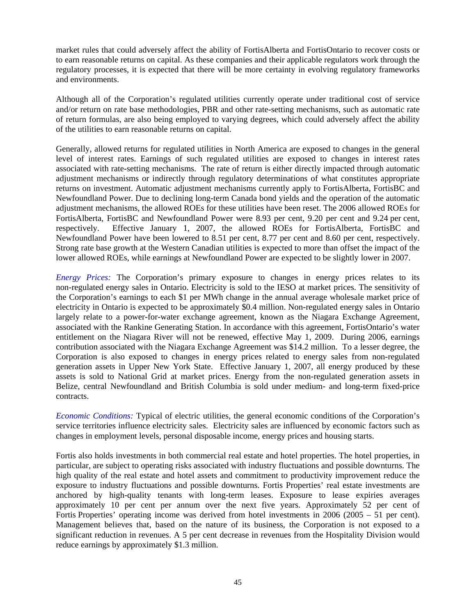market rules that could adversely affect the ability of FortisAlberta and FortisOntario to recover costs or to earn reasonable returns on capital. As these companies and their applicable regulators work through the regulatory processes, it is expected that there will be more certainty in evolving regulatory frameworks and environments.

Although all of the Corporation's regulated utilities currently operate under traditional cost of service and/or return on rate base methodologies, PBR and other rate-setting mechanisms, such as automatic rate of return formulas, are also being employed to varying degrees, which could adversely affect the ability of the utilities to earn reasonable returns on capital.

Generally, allowed returns for regulated utilities in North America are exposed to changes in the general level of interest rates. Earnings of such regulated utilities are exposed to changes in interest rates associated with rate-setting mechanisms. The rate of return is either directly impacted through automatic adjustment mechanisms or indirectly through regulatory determinations of what constitutes appropriate returns on investment. Automatic adjustment mechanisms currently apply to FortisAlberta, FortisBC and Newfoundland Power. Due to declining long-term Canada bond yields and the operation of the automatic adjustment mechanisms, the allowed ROEs for these utilities have been reset. The 2006 allowed ROEs for FortisAlberta, FortisBC and Newfoundland Power were 8.93 per cent, 9.20 per cent and 9.24 per cent, respectively. Effective January 1, 2007, the allowed ROEs for FortisAlberta, FortisBC and Newfoundland Power have been lowered to 8.51 per cent, 8.77 per cent and 8.60 per cent, respectively. Strong rate base growth at the Western Canadian utilities is expected to more than offset the impact of the lower allowed ROEs, while earnings at Newfoundland Power are expected to be slightly lower in 2007.

*Energy Prices:* The Corporation's primary exposure to changes in energy prices relates to its non-regulated energy sales in Ontario. Electricity is sold to the IESO at market prices. The sensitivity of the Corporation's earnings to each \$1 per MWh change in the annual average wholesale market price of electricity in Ontario is expected to be approximately \$0.4 million. Non-regulated energy sales in Ontario largely relate to a power-for-water exchange agreement, known as the Niagara Exchange Agreement, associated with the Rankine Generating Station. In accordance with this agreement, FortisOntario's water entitlement on the Niagara River will not be renewed, effective May 1, 2009. During 2006, earnings contribution associated with the Niagara Exchange Agreement was \$14.2 million. To a lesser degree, the Corporation is also exposed to changes in energy prices related to energy sales from non-regulated generation assets in Upper New York State. Effective January 1, 2007, all energy produced by these assets is sold to National Grid at market prices. Energy from the non-regulated generation assets in Belize, central Newfoundland and British Columbia is sold under medium- and long-term fixed-price contracts.

*Economic Conditions:* Typical of electric utilities, the general economic conditions of the Corporation's service territories influence electricity sales. Electricity sales are influenced by economic factors such as changes in employment levels, personal disposable income, energy prices and housing starts.

Fortis also holds investments in both commercial real estate and hotel properties. The hotel properties, in particular, are subject to operating risks associated with industry fluctuations and possible downturns. The high quality of the real estate and hotel assets and commitment to productivity improvement reduce the exposure to industry fluctuations and possible downturns. Fortis Properties' real estate investments are anchored by high-quality tenants with long-term leases. Exposure to lease expiries averages approximately 10 per cent per annum over the next five years. Approximately 52 per cent of Fortis Properties' operating income was derived from hotel investments in 2006 (2005 – 51 per cent). Management believes that, based on the nature of its business, the Corporation is not exposed to a significant reduction in revenues. A 5 per cent decrease in revenues from the Hospitality Division would reduce earnings by approximately \$1.3 million.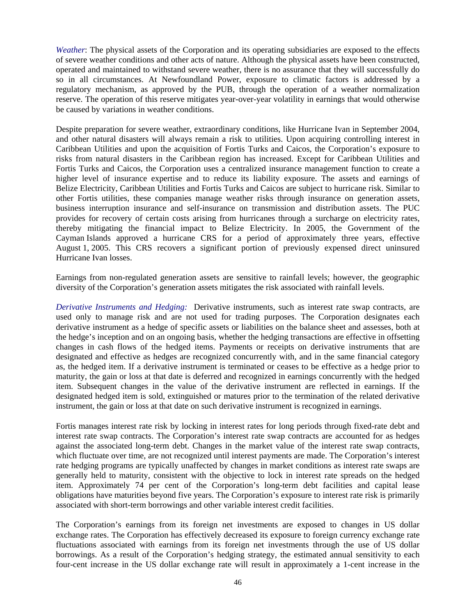*Weather*: The physical assets of the Corporation and its operating subsidiaries are exposed to the effects of severe weather conditions and other acts of nature. Although the physical assets have been constructed, operated and maintained to withstand severe weather, there is no assurance that they will successfully do so in all circumstances. At Newfoundland Power, exposure to climatic factors is addressed by a regulatory mechanism, as approved by the PUB, through the operation of a weather normalization reserve. The operation of this reserve mitigates year-over-year volatility in earnings that would otherwise be caused by variations in weather conditions.

Despite preparation for severe weather, extraordinary conditions, like Hurricane Ivan in September 2004, and other natural disasters will always remain a risk to utilities. Upon acquiring controlling interest in Caribbean Utilities and upon the acquisition of Fortis Turks and Caicos, the Corporation's exposure to risks from natural disasters in the Caribbean region has increased. Except for Caribbean Utilities and Fortis Turks and Caicos, the Corporation uses a centralized insurance management function to create a higher level of insurance expertise and to reduce its liability exposure. The assets and earnings of Belize Electricity, Caribbean Utilities and Fortis Turks and Caicos are subject to hurricane risk. Similar to other Fortis utilities, these companies manage weather risks through insurance on generation assets, business interruption insurance and self-insurance on transmission and distribution assets. The PUC provides for recovery of certain costs arising from hurricanes through a surcharge on electricity rates, thereby mitigating the financial impact to Belize Electricity. In 2005, the Government of the Cayman Islands approved a hurricane CRS for a period of approximately three years, effective August 1, 2005. This CRS recovers a significant portion of previously expensed direct uninsured Hurricane Ivan losses.

Earnings from non-regulated generation assets are sensitive to rainfall levels; however, the geographic diversity of the Corporation's generation assets mitigates the risk associated with rainfall levels.

*Derivative Instruments and Hedging:* Derivative instruments, such as interest rate swap contracts, are used only to manage risk and are not used for trading purposes. The Corporation designates each derivative instrument as a hedge of specific assets or liabilities on the balance sheet and assesses, both at the hedge's inception and on an ongoing basis, whether the hedging transactions are effective in offsetting changes in cash flows of the hedged items. Payments or receipts on derivative instruments that are designated and effective as hedges are recognized concurrently with, and in the same financial category as, the hedged item. If a derivative instrument is terminated or ceases to be effective as a hedge prior to maturity, the gain or loss at that date is deferred and recognized in earnings concurrently with the hedged item. Subsequent changes in the value of the derivative instrument are reflected in earnings. If the designated hedged item is sold, extinguished or matures prior to the termination of the related derivative instrument, the gain or loss at that date on such derivative instrument is recognized in earnings.

Fortis manages interest rate risk by locking in interest rates for long periods through fixed-rate debt and interest rate swap contracts. The Corporation's interest rate swap contracts are accounted for as hedges against the associated long-term debt. Changes in the market value of the interest rate swap contracts, which fluctuate over time, are not recognized until interest payments are made. The Corporation's interest rate hedging programs are typically unaffected by changes in market conditions as interest rate swaps are generally held to maturity, consistent with the objective to lock in interest rate spreads on the hedged item. Approximately 74 per cent of the Corporation's long-term debt facilities and capital lease obligations have maturities beyond five years. The Corporation's exposure to interest rate risk is primarily associated with short-term borrowings and other variable interest credit facilities.

The Corporation's earnings from its foreign net investments are exposed to changes in US dollar exchange rates. The Corporation has effectively decreased its exposure to foreign currency exchange rate fluctuations associated with earnings from its foreign net investments through the use of US dollar borrowings. As a result of the Corporation's hedging strategy, the estimated annual sensitivity to each four-cent increase in the US dollar exchange rate will result in approximately a 1-cent increase in the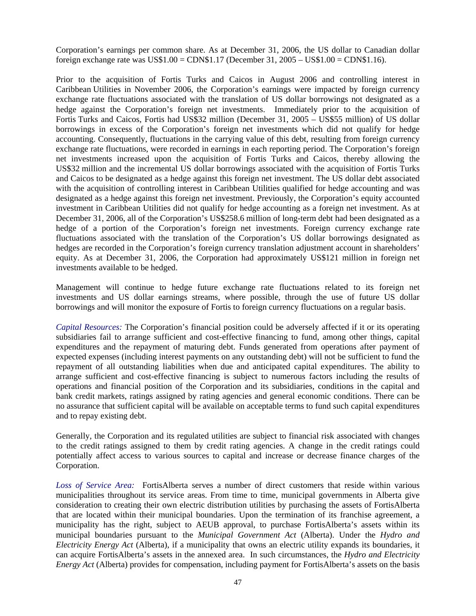Corporation's earnings per common share. As at December 31, 2006, the US dollar to Canadian dollar foreign exchange rate was  $US$1.00 = CDN$1.17 (December 31, 2005 - US$1.00 = CDN$1.16).$ 

Prior to the acquisition of Fortis Turks and Caicos in August 2006 and controlling interest in Caribbean Utilities in November 2006, the Corporation's earnings were impacted by foreign currency exchange rate fluctuations associated with the translation of US dollar borrowings not designated as a hedge against the Corporation's foreign net investments. Immediately prior to the acquisition of Fortis Turks and Caicos, Fortis had US\$32 million (December 31, 2005 – US\$55 million) of US dollar borrowings in excess of the Corporation's foreign net investments which did not qualify for hedge accounting. Consequently, fluctuations in the carrying value of this debt, resulting from foreign currency exchange rate fluctuations, were recorded in earnings in each reporting period. The Corporation's foreign net investments increased upon the acquisition of Fortis Turks and Caicos, thereby allowing the US\$32 million and the incremental US dollar borrowings associated with the acquisition of Fortis Turks and Caicos to be designated as a hedge against this foreign net investment. The US dollar debt associated with the acquisition of controlling interest in Caribbean Utilities qualified for hedge accounting and was designated as a hedge against this foreign net investment. Previously, the Corporation's equity accounted investment in Caribbean Utilities did not qualify for hedge accounting as a foreign net investment. As at December 31, 2006, all of the Corporation's US\$258.6 million of long-term debt had been designated as a hedge of a portion of the Corporation's foreign net investments. Foreign currency exchange rate fluctuations associated with the translation of the Corporation's US dollar borrowings designated as hedges are recorded in the Corporation's foreign currency translation adjustment account in shareholders' equity. As at December 31, 2006, the Corporation had approximately US\$121 million in foreign net investments available to be hedged.

Management will continue to hedge future exchange rate fluctuations related to its foreign net investments and US dollar earnings streams, where possible, through the use of future US dollar borrowings and will monitor the exposure of Fortis to foreign currency fluctuations on a regular basis.

*Capital Resources:* The Corporation's financial position could be adversely affected if it or its operating subsidiaries fail to arrange sufficient and cost-effective financing to fund, among other things, capital expenditures and the repayment of maturing debt. Funds generated from operations after payment of expected expenses (including interest payments on any outstanding debt) will not be sufficient to fund the repayment of all outstanding liabilities when due and anticipated capital expenditures. The ability to arrange sufficient and cost-effective financing is subject to numerous factors including the results of operations and financial position of the Corporation and its subsidiaries, conditions in the capital and bank credit markets, ratings assigned by rating agencies and general economic conditions. There can be no assurance that sufficient capital will be available on acceptable terms to fund such capital expenditures and to repay existing debt.

Generally, the Corporation and its regulated utilities are subject to financial risk associated with changes to the credit ratings assigned to them by credit rating agencies. A change in the credit ratings could potentially affect access to various sources to capital and increase or decrease finance charges of the Corporation.

*Loss of Service Area:* FortisAlberta serves a number of direct customers that reside within various municipalities throughout its service areas. From time to time, municipal governments in Alberta give consideration to creating their own electric distribution utilities by purchasing the assets of FortisAlberta that are located within their municipal boundaries. Upon the termination of its franchise agreement, a municipality has the right, subject to AEUB approval, to purchase FortisAlberta's assets within its municipal boundaries pursuant to the *Municipal Government Act* (Alberta). Under the *Hydro and Electricity Energy Act* (Alberta), if a municipality that owns an electric utility expands its boundaries, it can acquire FortisAlberta's assets in the annexed area. In such circumstances, the *Hydro and Electricity Energy Act* (Alberta) provides for compensation, including payment for FortisAlberta's assets on the basis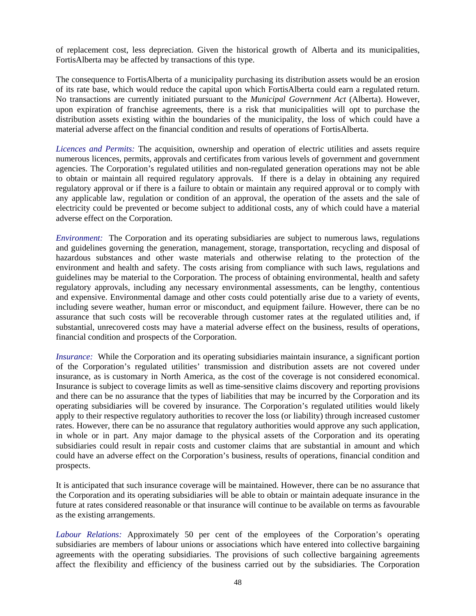of replacement cost, less depreciation. Given the historical growth of Alberta and its municipalities, FortisAlberta may be affected by transactions of this type.

The consequence to FortisAlberta of a municipality purchasing its distribution assets would be an erosion of its rate base, which would reduce the capital upon which FortisAlberta could earn a regulated return. No transactions are currently initiated pursuant to the *Municipal Government Act* (Alberta). However, upon expiration of franchise agreements, there is a risk that municipalities will opt to purchase the distribution assets existing within the boundaries of the municipality, the loss of which could have a material adverse affect on the financial condition and results of operations of FortisAlberta.

*Licences and Permits:* The acquisition, ownership and operation of electric utilities and assets require numerous licences, permits, approvals and certificates from various levels of government and government agencies. The Corporation's regulated utilities and non-regulated generation operations may not be able to obtain or maintain all required regulatory approvals. If there is a delay in obtaining any required regulatory approval or if there is a failure to obtain or maintain any required approval or to comply with any applicable law, regulation or condition of an approval, the operation of the assets and the sale of electricity could be prevented or become subject to additional costs, any of which could have a material adverse effect on the Corporation.

*Environment:* The Corporation and its operating subsidiaries are subject to numerous laws, regulations and guidelines governing the generation, management, storage, transportation, recycling and disposal of hazardous substances and other waste materials and otherwise relating to the protection of the environment and health and safety. The costs arising from compliance with such laws, regulations and guidelines may be material to the Corporation. The process of obtaining environmental, health and safety regulatory approvals, including any necessary environmental assessments, can be lengthy, contentious and expensive. Environmental damage and other costs could potentially arise due to a variety of events, including severe weather, human error or misconduct, and equipment failure. However, there can be no assurance that such costs will be recoverable through customer rates at the regulated utilities and, if substantial, unrecovered costs may have a material adverse effect on the business, results of operations, financial condition and prospects of the Corporation.

*Insurance:* While the Corporation and its operating subsidiaries maintain insurance, a significant portion of the Corporation's regulated utilities' transmission and distribution assets are not covered under insurance, as is customary in North America, as the cost of the coverage is not considered economical. Insurance is subject to coverage limits as well as time-sensitive claims discovery and reporting provisions and there can be no assurance that the types of liabilities that may be incurred by the Corporation and its operating subsidiaries will be covered by insurance. The Corporation's regulated utilities would likely apply to their respective regulatory authorities to recover the loss (or liability) through increased customer rates. However, there can be no assurance that regulatory authorities would approve any such application, in whole or in part. Any major damage to the physical assets of the Corporation and its operating subsidiaries could result in repair costs and customer claims that are substantial in amount and which could have an adverse effect on the Corporation's business, results of operations, financial condition and prospects.

It is anticipated that such insurance coverage will be maintained. However, there can be no assurance that the Corporation and its operating subsidiaries will be able to obtain or maintain adequate insurance in the future at rates considered reasonable or that insurance will continue to be available on terms as favourable as the existing arrangements.

*Labour Relations:* Approximately 50 per cent of the employees of the Corporation's operating subsidiaries are members of labour unions or associations which have entered into collective bargaining agreements with the operating subsidiaries. The provisions of such collective bargaining agreements affect the flexibility and efficiency of the business carried out by the subsidiaries. The Corporation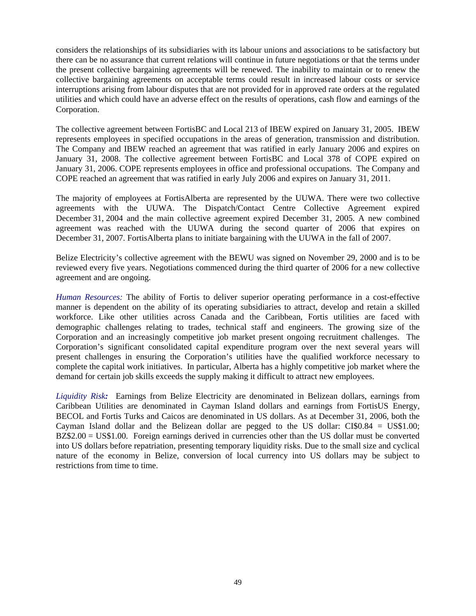considers the relationships of its subsidiaries with its labour unions and associations to be satisfactory but there can be no assurance that current relations will continue in future negotiations or that the terms under the present collective bargaining agreements will be renewed. The inability to maintain or to renew the collective bargaining agreements on acceptable terms could result in increased labour costs or service interruptions arising from labour disputes that are not provided for in approved rate orders at the regulated utilities and which could have an adverse effect on the results of operations, cash flow and earnings of the Corporation.

The collective agreement between FortisBC and Local 213 of IBEW expired on January 31, 2005. IBEW represents employees in specified occupations in the areas of generation, transmission and distribution. The Company and IBEW reached an agreement that was ratified in early January 2006 and expires on January 31, 2008. The collective agreement between FortisBC and Local 378 of COPE expired on January 31, 2006. COPE represents employees in office and professional occupations. The Company and COPE reached an agreement that was ratified in early July 2006 and expires on January 31, 2011.

The majority of employees at FortisAlberta are represented by the UUWA. There were two collective agreements with the UUWA. The Dispatch/Contact Centre Collective Agreement expired December 31, 2004 and the main collective agreement expired December 31, 2005. A new combined agreement was reached with the UUWA during the second quarter of 2006 that expires on December 31, 2007. FortisAlberta plans to initiate bargaining with the UUWA in the fall of 2007.

Belize Electricity's collective agreement with the BEWU was signed on November 29, 2000 and is to be reviewed every five years. Negotiations commenced during the third quarter of 2006 for a new collective agreement and are ongoing.

*Human Resources:* The ability of Fortis to deliver superior operating performance in a cost-effective manner is dependent on the ability of its operating subsidiaries to attract, develop and retain a skilled workforce. Like other utilities across Canada and the Caribbean, Fortis utilities are faced with demographic challenges relating to trades, technical staff and engineers. The growing size of the Corporation and an increasingly competitive job market present ongoing recruitment challenges. The Corporation's significant consolidated capital expenditure program over the next several years will present challenges in ensuring the Corporation's utilities have the qualified workforce necessary to complete the capital work initiatives. In particular, Alberta has a highly competitive job market where the demand for certain job skills exceeds the supply making it difficult to attract new employees.

*Liquidity Risk:*Earnings from Belize Electricity are denominated in Belizean dollars, earnings from Caribbean Utilities are denominated in Cayman Island dollars and earnings from FortisUS Energy, BECOL and Fortis Turks and Caicos are denominated in US dollars. As at December 31, 2006, both the Cayman Island dollar and the Belizean dollar are pegged to the US dollar: CI\$0.84 = US\$1.00; BZ\$2.00 = US\$1.00. Foreign earnings derived in currencies other than the US dollar must be converted into US dollars before repatriation, presenting temporary liquidity risks. Due to the small size and cyclical nature of the economy in Belize, conversion of local currency into US dollars may be subject to restrictions from time to time.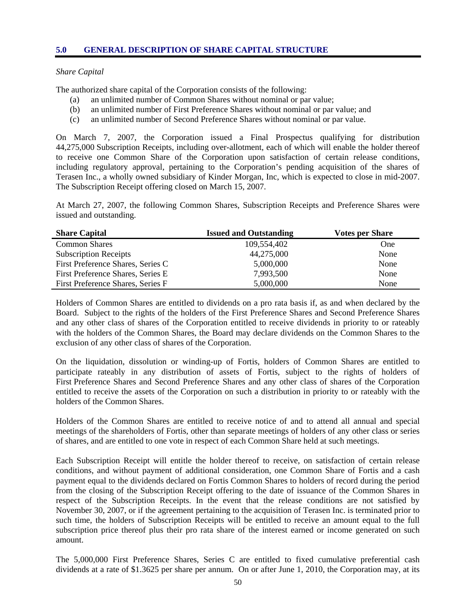#### *Share Capital*

The authorized share capital of the Corporation consists of the following:

- (a) an unlimited number of Common Shares without nominal or par value;
- (b) an unlimited number of First Preference Shares without nominal or par value; and
- (c) an unlimited number of Second Preference Shares without nominal or par value.

On March 7, 2007, the Corporation issued a Final Prospectus qualifying for distribution 44,275,000 Subscription Receipts, including over-allotment, each of which will enable the holder thereof to receive one Common Share of the Corporation upon satisfaction of certain release conditions, including regulatory approval, pertaining to the Corporation's pending acquisition of the shares of Terasen Inc., a wholly owned subsidiary of Kinder Morgan, Inc, which is expected to close in mid-2007. The Subscription Receipt offering closed on March 15, 2007.

At March 27, 2007, the following Common Shares, Subscription Receipts and Preference Shares were issued and outstanding.

| <b>Share Capital</b>              | <b>Issued and Outstanding</b> | <b>Votes per Share</b> |
|-----------------------------------|-------------------------------|------------------------|
| <b>Common Shares</b>              | 109.554.402                   | <b>One</b>             |
| <b>Subscription Receipts</b>      | 44,275,000                    | None                   |
| First Preference Shares, Series C | 5,000,000                     | None                   |
| First Preference Shares, Series E | 7,993,500                     | None                   |
| First Preference Shares, Series F | 5,000,000                     | None                   |

Holders of Common Shares are entitled to dividends on a pro rata basis if, as and when declared by the Board. Subject to the rights of the holders of the First Preference Shares and Second Preference Shares and any other class of shares of the Corporation entitled to receive dividends in priority to or rateably with the holders of the Common Shares, the Board may declare dividends on the Common Shares to the exclusion of any other class of shares of the Corporation.

On the liquidation, dissolution or winding-up of Fortis, holders of Common Shares are entitled to participate rateably in any distribution of assets of Fortis, subject to the rights of holders of First Preference Shares and Second Preference Shares and any other class of shares of the Corporation entitled to receive the assets of the Corporation on such a distribution in priority to or rateably with the holders of the Common Shares.

Holders of the Common Shares are entitled to receive notice of and to attend all annual and special meetings of the shareholders of Fortis, other than separate meetings of holders of any other class or series of shares, and are entitled to one vote in respect of each Common Share held at such meetings.

Each Subscription Receipt will entitle the holder thereof to receive, on satisfaction of certain release conditions, and without payment of additional consideration, one Common Share of Fortis and a cash payment equal to the dividends declared on Fortis Common Shares to holders of record during the period from the closing of the Subscription Receipt offering to the date of issuance of the Common Shares in respect of the Subscription Receipts. In the event that the release conditions are not satisfied by November 30, 2007, or if the agreement pertaining to the acquisition of Terasen Inc. is terminated prior to such time, the holders of Subscription Receipts will be entitled to receive an amount equal to the full subscription price thereof plus their pro rata share of the interest earned or income generated on such amount.

The 5,000,000 First Preference Shares, Series C are entitled to fixed cumulative preferential cash dividends at a rate of \$1.3625 per share per annum. On or after June 1, 2010, the Corporation may, at its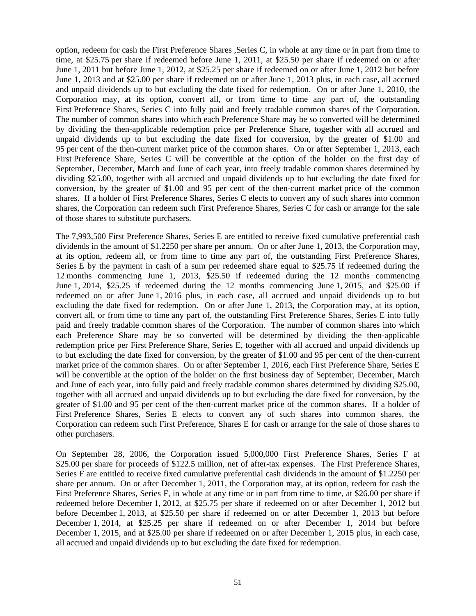option, redeem for cash the First Preference Shares ,Series C, in whole at any time or in part from time to time, at \$25.75 per share if redeemed before June 1, 2011, at \$25.50 per share if redeemed on or after June 1, 2011 but before June 1, 2012, at \$25.25 per share if redeemed on or after June 1, 2012 but before June 1, 2013 and at \$25.00 per share if redeemed on or after June 1, 2013 plus, in each case, all accrued and unpaid dividends up to but excluding the date fixed for redemption. On or after June 1, 2010, the Corporation may, at its option, convert all, or from time to time any part of, the outstanding First Preference Shares, Series C into fully paid and freely tradable common shares of the Corporation. The number of common shares into which each Preference Share may be so converted will be determined by dividing the then-applicable redemption price per Preference Share, together with all accrued and unpaid dividends up to but excluding the date fixed for conversion, by the greater of \$1.00 and 95 per cent of the then-current market price of the common shares. On or after September 1, 2013, each First Preference Share, Series C will be convertible at the option of the holder on the first day of September, December, March and June of each year, into freely tradable common shares determined by dividing \$25.00, together with all accrued and unpaid dividends up to but excluding the date fixed for conversion, by the greater of \$1.00 and 95 per cent of the then-current market price of the common shares. If a holder of First Preference Shares, Series C elects to convert any of such shares into common shares, the Corporation can redeem such First Preference Shares, Series C for cash or arrange for the sale of those shares to substitute purchasers.

The 7,993,500 First Preference Shares, Series E are entitled to receive fixed cumulative preferential cash dividends in the amount of \$1.2250 per share per annum. On or after June 1, 2013, the Corporation may, at its option, redeem all, or from time to time any part of, the outstanding First Preference Shares, Series E by the payment in cash of a sum per redeemed share equal to \$25.75 if redeemed during the 12 months commencing June 1, 2013, \$25.50 if redeemed during the 12 months commencing June 1, 2014, \$25.25 if redeemed during the 12 months commencing June 1, 2015, and \$25.00 if redeemed on or after June 1, 2016 plus, in each case, all accrued and unpaid dividends up to but excluding the date fixed for redemption. On or after June 1, 2013, the Corporation may, at its option, convert all, or from time to time any part of, the outstanding First Preference Shares, Series E into fully paid and freely tradable common shares of the Corporation. The number of common shares into which each Preference Share may be so converted will be determined by dividing the then-applicable redemption price per First Preference Share, Series E, together with all accrued and unpaid dividends up to but excluding the date fixed for conversion, by the greater of \$1.00 and 95 per cent of the then-current market price of the common shares. On or after September 1, 2016, each First Preference Share, Series E will be convertible at the option of the holder on the first business day of September, December, March and June of each year, into fully paid and freely tradable common shares determined by dividing \$25.00, together with all accrued and unpaid dividends up to but excluding the date fixed for conversion, by the greater of \$1.00 and 95 per cent of the then-current market price of the common shares. If a holder of First Preference Shares, Series E elects to convert any of such shares into common shares, the Corporation can redeem such First Preference, Shares E for cash or arrange for the sale of those shares to other purchasers.

On September 28, 2006, the Corporation issued 5,000,000 First Preference Shares, Series F at \$25.00 per share for proceeds of \$122.5 million, net of after-tax expenses. The First Preference Shares, Series F are entitled to receive fixed cumulative preferential cash dividends in the amount of \$1.2250 per share per annum. On or after December 1, 2011, the Corporation may, at its option, redeem for cash the First Preference Shares, Series F, in whole at any time or in part from time to time, at \$26.00 per share if redeemed before December 1, 2012, at \$25.75 per share if redeemed on or after December 1, 2012 but before December 1, 2013, at \$25.50 per share if redeemed on or after December 1, 2013 but before December 1, 2014, at \$25.25 per share if redeemed on or after December 1, 2014 but before December 1, 2015, and at \$25.00 per share if redeemed on or after December 1, 2015 plus, in each case, all accrued and unpaid dividends up to but excluding the date fixed for redemption.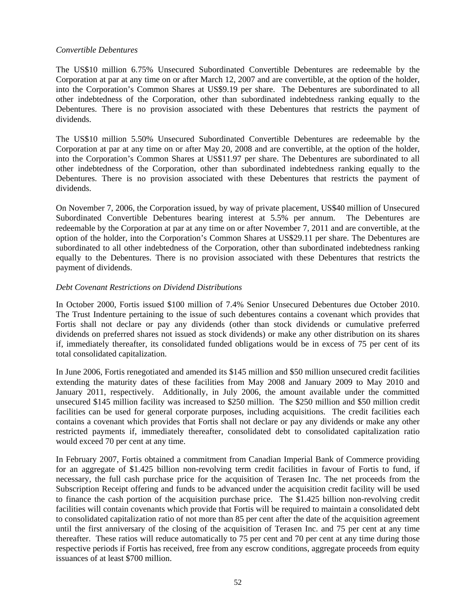## *Convertible Debentures*

The US\$10 million 6.75% Unsecured Subordinated Convertible Debentures are redeemable by the Corporation at par at any time on or after March 12, 2007 and are convertible, at the option of the holder, into the Corporation's Common Shares at US\$9.19 per share. The Debentures are subordinated to all other indebtedness of the Corporation, other than subordinated indebtedness ranking equally to the Debentures. There is no provision associated with these Debentures that restricts the payment of dividends.

The US\$10 million 5.50% Unsecured Subordinated Convertible Debentures are redeemable by the Corporation at par at any time on or after May 20, 2008 and are convertible, at the option of the holder, into the Corporation's Common Shares at US\$11.97 per share. The Debentures are subordinated to all other indebtedness of the Corporation, other than subordinated indebtedness ranking equally to the Debentures. There is no provision associated with these Debentures that restricts the payment of dividends.

On November 7, 2006, the Corporation issued, by way of private placement, US\$40 million of Unsecured Subordinated Convertible Debentures bearing interest at 5.5% per annum. The Debentures are redeemable by the Corporation at par at any time on or after November 7, 2011 and are convertible, at the option of the holder, into the Corporation's Common Shares at US\$29.11 per share. The Debentures are subordinated to all other indebtedness of the Corporation, other than subordinated indebtedness ranking equally to the Debentures. There is no provision associated with these Debentures that restricts the payment of dividends.

### *Debt Covenant Restrictions on Dividend Distributions*

In October 2000, Fortis issued \$100 million of 7.4% Senior Unsecured Debentures due October 2010. The Trust Indenture pertaining to the issue of such debentures contains a covenant which provides that Fortis shall not declare or pay any dividends (other than stock dividends or cumulative preferred dividends on preferred shares not issued as stock dividends) or make any other distribution on its shares if, immediately thereafter, its consolidated funded obligations would be in excess of 75 per cent of its total consolidated capitalization.

In June 2006, Fortis renegotiated and amended its \$145 million and \$50 million unsecured credit facilities extending the maturity dates of these facilities from May 2008 and January 2009 to May 2010 and January 2011, respectively. Additionally, in July 2006, the amount available under the committed unsecured \$145 million facility was increased to \$250 million. The \$250 million and \$50 million credit facilities can be used for general corporate purposes, including acquisitions. The credit facilities each contains a covenant which provides that Fortis shall not declare or pay any dividends or make any other restricted payments if, immediately thereafter, consolidated debt to consolidated capitalization ratio would exceed 70 per cent at any time.

In February 2007, Fortis obtained a commitment from Canadian Imperial Bank of Commerce providing for an aggregate of \$1.425 billion non-revolving term credit facilities in favour of Fortis to fund, if necessary, the full cash purchase price for the acquisition of Terasen Inc. The net proceeds from the Subscription Receipt offering and funds to be advanced under the acquisition credit facility will be used to finance the cash portion of the acquisition purchase price. The \$1.425 billion non-revolving credit facilities will contain covenants which provide that Fortis will be required to maintain a consolidated debt to consolidated capitalization ratio of not more than 85 per cent after the date of the acquisition agreement until the first anniversary of the closing of the acquisition of Terasen Inc. and 75 per cent at any time thereafter. These ratios will reduce automatically to 75 per cent and 70 per cent at any time during those respective periods if Fortis has received, free from any escrow conditions, aggregate proceeds from equity issuances of at least \$700 million.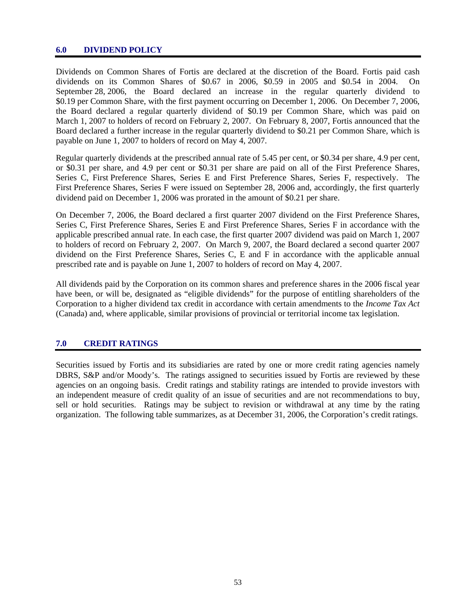#### **6.0 DIVIDEND POLICY**

Dividends on Common Shares of Fortis are declared at the discretion of the Board. Fortis paid cash dividends on its Common Shares of \$0.67 in 2006, \$0.59 in 2005 and \$0.54 in 2004. On September 28, 2006, the Board declared an increase in the regular quarterly dividend to \$0.19 per Common Share, with the first payment occurring on December 1, 2006. On December 7, 2006, the Board declared a regular quarterly dividend of \$0.19 per Common Share, which was paid on March 1, 2007 to holders of record on February 2, 2007. On February 8, 2007, Fortis announced that the Board declared a further increase in the regular quarterly dividend to \$0.21 per Common Share, which is payable on June 1, 2007 to holders of record on May 4, 2007.

Regular quarterly dividends at the prescribed annual rate of 5.45 per cent, or \$0.34 per share, 4.9 per cent, or \$0.31 per share, and 4.9 per cent or \$0.31 per share are paid on all of the First Preference Shares, Series C, First Preference Shares, Series E and First Preference Shares, Series F, respectively. The First Preference Shares, Series F were issued on September 28, 2006 and, accordingly, the first quarterly dividend paid on December 1, 2006 was prorated in the amount of \$0.21 per share.

On December 7, 2006, the Board declared a first quarter 2007 dividend on the First Preference Shares, Series C, First Preference Shares, Series E and First Preference Shares, Series F in accordance with the applicable prescribed annual rate. In each case, the first quarter 2007 dividend was paid on March 1, 2007 to holders of record on February 2, 2007. On March 9, 2007, the Board declared a second quarter 2007 dividend on the First Preference Shares, Series C, E and F in accordance with the applicable annual prescribed rate and is payable on June 1, 2007 to holders of record on May 4, 2007.

All dividends paid by the Corporation on its common shares and preference shares in the 2006 fiscal year have been, or will be, designated as "eligible dividends" for the purpose of entitling shareholders of the Corporation to a higher dividend tax credit in accordance with certain amendments to the *Income Tax Act* (Canada) and, where applicable, similar provisions of provincial or territorial income tax legislation.

## **7.0 CREDIT RATINGS**

Securities issued by Fortis and its subsidiaries are rated by one or more credit rating agencies namely DBRS, S&P and/or Moody's. The ratings assigned to securities issued by Fortis are reviewed by these agencies on an ongoing basis. Credit ratings and stability ratings are intended to provide investors with an independent measure of credit quality of an issue of securities and are not recommendations to buy, sell or hold securities. Ratings may be subject to revision or withdrawal at any time by the rating organization. The following table summarizes, as at December 31, 2006, the Corporation's credit ratings.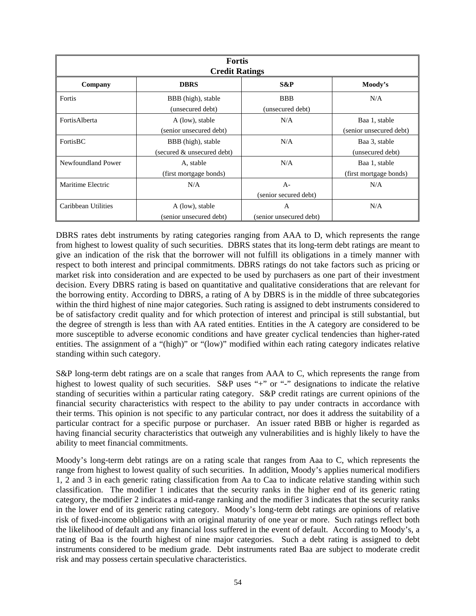| <b>Fortis</b><br><b>Credit Ratings</b> |                                                  |                                           |                                          |  |
|----------------------------------------|--------------------------------------------------|-------------------------------------------|------------------------------------------|--|
| Company                                | <b>DBRS</b>                                      | S&P                                       | Moody's                                  |  |
| Fortis                                 | BBB (high), stable<br>(unsecured debt)           | <b>BBB</b><br>(unsecured debt)            | N/A                                      |  |
| FortisAlberta                          | A (low), stable<br>(senior unsecured debt)       | N/A                                       | Baa 1, stable<br>(senior unsecured debt) |  |
| FortisBC                               | BBB (high), stable<br>(secured & unsecured debt) | N/A                                       | Baa 3, stable<br>(unsecured debt)        |  |
| Newfoundland Power                     | A, stable<br>(first mortgage bonds)              | N/A                                       | Baa 1, stable<br>(first mortgage bonds)  |  |
| Maritime Electric                      | N/A                                              | $A -$<br>(senior secured debt)            | N/A                                      |  |
| Caribbean Utilities                    | A (low), stable<br>(senior unsecured debt)       | $\overline{A}$<br>(senior unsecured debt) | N/A                                      |  |

DBRS rates debt instruments by rating categories ranging from AAA to D, which represents the range from highest to lowest quality of such securities. DBRS states that its long-term debt ratings are meant to give an indication of the risk that the borrower will not fulfill its obligations in a timely manner with respect to both interest and principal commitments. DBRS ratings do not take factors such as pricing or market risk into consideration and are expected to be used by purchasers as one part of their investment decision. Every DBRS rating is based on quantitative and qualitative considerations that are relevant for the borrowing entity. According to DBRS, a rating of A by DBRS is in the middle of three subcategories within the third highest of nine major categories. Such rating is assigned to debt instruments considered to be of satisfactory credit quality and for which protection of interest and principal is still substantial, but the degree of strength is less than with AA rated entities. Entities in the A category are considered to be more susceptible to adverse economic conditions and have greater cyclical tendencies than higher-rated entities. The assignment of a "(high)" or "(low)" modified within each rating category indicates relative standing within such category.

S&P long-term debt ratings are on a scale that ranges from AAA to C, which represents the range from highest to lowest quality of such securities.  $S\&P$  uses "+" or "-" designations to indicate the relative standing of securities within a particular rating category. S&P credit ratings are current opinions of the financial security characteristics with respect to the ability to pay under contracts in accordance with their terms. This opinion is not specific to any particular contract, nor does it address the suitability of a particular contract for a specific purpose or purchaser. An issuer rated BBB or higher is regarded as having financial security characteristics that outweigh any vulnerabilities and is highly likely to have the ability to meet financial commitments.

Moody's long-term debt ratings are on a rating scale that ranges from Aaa to C, which represents the range from highest to lowest quality of such securities. In addition, Moody's applies numerical modifiers 1, 2 and 3 in each generic rating classification from Aa to Caa to indicate relative standing within such classification. The modifier 1 indicates that the security ranks in the higher end of its generic rating category, the modifier 2 indicates a mid-range ranking and the modifier 3 indicates that the security ranks in the lower end of its generic rating category. Moody's long-term debt ratings are opinions of relative risk of fixed-income obligations with an original maturity of one year or more. Such ratings reflect both the likelihood of default and any financial loss suffered in the event of default. According to Moody's, a rating of Baa is the fourth highest of nine major categories. Such a debt rating is assigned to debt instruments considered to be medium grade. Debt instruments rated Baa are subject to moderate credit risk and may possess certain speculative characteristics.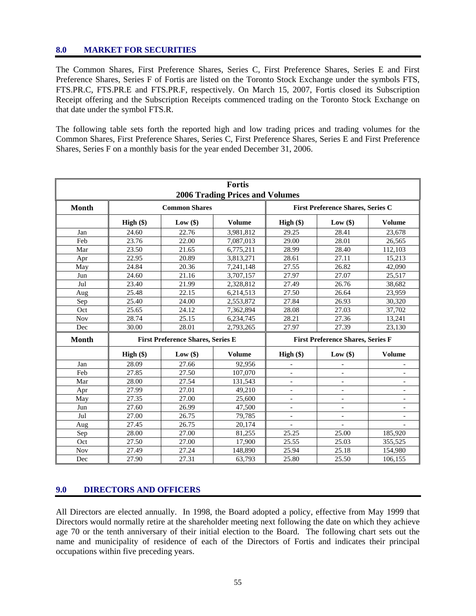## **8.0 MARKET FOR SECURITIES**

The Common Shares, First Preference Shares, Series C, First Preference Shares, Series E and First Preference Shares, Series F of Fortis are listed on the Toronto Stock Exchange under the symbols FTS, FTS.PR.C, FTS.PR.E and FTS.PR.F, respectively. On March 15, 2007, Fortis closed its Subscription Receipt offering and the Subscription Receipts commenced trading on the Toronto Stock Exchange on that date under the symbol FTS.R.

The following table sets forth the reported high and low trading prices and trading volumes for the Common Shares, First Preference Shares, Series C, First Preference Shares, Series E and First Preference Shares, Series F on a monthly basis for the year ended December 31, 2006.

|              |             |                                          | <b>Fortis</b><br><b>2006 Trading Prices and Volumes</b> |                              |                                          |                          |
|--------------|-------------|------------------------------------------|---------------------------------------------------------|------------------------------|------------------------------------------|--------------------------|
| <b>Month</b> |             | <b>Common Shares</b>                     |                                                         |                              | <b>First Preference Shares, Series C</b> |                          |
|              | $High (\$)$ | Low $(\$)$                               | <b>Volume</b>                                           | High $(\$)$                  | Low(\$)                                  | Volume                   |
| Jan          | 24.60       | 22.76                                    | 3,981,812                                               | 29.25                        | 28.41                                    | 23.678                   |
| Feb          | 23.76       | 22.00                                    | 7,087,013                                               | 29.00                        | 28.01                                    | 26,565                   |
| Mar          | 23.50       | 21.65                                    | 6,775,211                                               | 28.99                        | 28.40                                    | 112,103                  |
| Apr          | 22.95       | 20.89                                    | 3,813,271                                               | 28.61                        | 27.11                                    | 15,213                   |
| May          | 24.84       | 20.36                                    | 7,241,148                                               | 27.55                        | 26.82                                    | 42.090                   |
| Jun          | 24.60       | 21.16                                    | 3,707,157                                               | 27.97                        | 27.07                                    | 25,517                   |
| Jul          | 23.40       | 21.99                                    | 2,328,812                                               | 27.49                        | 26.76                                    | 38,682                   |
| Aug          | 25.48       | 22.15                                    | 6,214,513                                               | 27.50                        | 26.64                                    | 23,959                   |
| Sep          | 25.40       | 24.00                                    | 2,553,872                                               | 27.84                        | 26.93                                    | 30,320                   |
| Oct          | 25.65       | 24.12                                    | 7,362,894                                               | 28.08                        | 27.03                                    | 37,702                   |
| <b>Nov</b>   | 28.74       | 25.15                                    | 6,234,745                                               | 28.21                        | 27.36                                    | 13,241                   |
| Dec          | 30.00       | 28.01                                    | 2,793,265                                               | 27.97                        | 27.39                                    | 23,130                   |
| <b>Month</b> |             | <b>First Preference Shares, Series E</b> |                                                         |                              | <b>First Preference Shares, Series F</b> |                          |
|              | $High (\$)$ | Low(\$)                                  | <b>Volume</b>                                           | High $(\$)$                  | Low(\$)                                  | <b>Volume</b>            |
| Jan          | 28.09       | 27.66                                    | 92,956                                                  |                              |                                          |                          |
| Feb          | 27.85       | 27.50                                    | 107,070                                                 | $\overline{\phantom{a}}$     |                                          |                          |
| Mar          | 28.00       | 27.54                                    | 131,543                                                 |                              |                                          |                          |
| Apr          | 27.99       | 27.01                                    | 49,210                                                  | $\overline{\phantom{a}}$     | $\overline{a}$                           | $\overline{a}$           |
| May          | 27.35       | 27.00                                    | 25,600                                                  | $\qquad \qquad \blacksquare$ | $\overline{\phantom{0}}$                 | $\overline{a}$           |
| Jun          | 27.60       | 26.99                                    | 47,500                                                  | $\overline{\phantom{a}}$     | $\overline{\phantom{a}}$                 | $\overline{\phantom{a}}$ |
| Jul          | 27.00       | 26.75                                    | 79.785                                                  |                              |                                          |                          |
| Aug          | 27.45       | 26.75                                    | 20,174                                                  | $\overline{a}$               |                                          |                          |
| Sep          | 28.00       | 27.00                                    | 81,255                                                  | 25.25                        | 25.00                                    | 185,920                  |
| Oct          | 27.50       | 27.00                                    | 17,900                                                  | 25.55                        | 25.03                                    | 355.525                  |
| Nov          | 27.49       | 27.24                                    | 148,890                                                 | 25.94                        | 25.18                                    | 154,980                  |
| Dec          | 27.90       | 27.31                                    | 63,793                                                  | 25.80                        | 25.50                                    | 106.155                  |

## **9.0 DIRECTORS AND OFFICERS**

All Directors are elected annually. In 1998, the Board adopted a policy, effective from May 1999 that Directors would normally retire at the shareholder meeting next following the date on which they achieve age 70 or the tenth anniversary of their initial election to the Board. The following chart sets out the name and municipality of residence of each of the Directors of Fortis and indicates their principal occupations within five preceding years.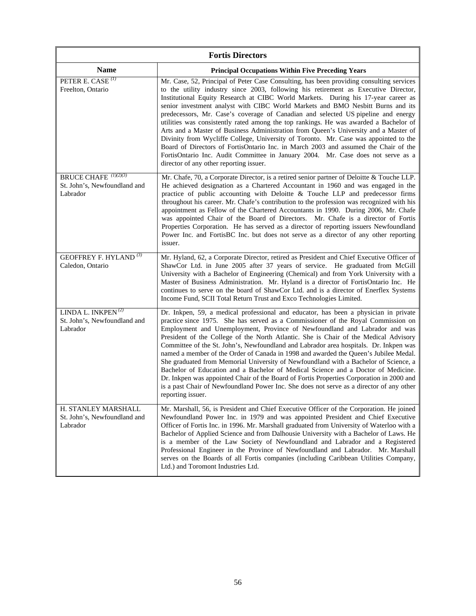| <b>Fortis Directors</b>                                                      |                                                                                                                                                                                                                                                                                                                                                                                                                                                                                                                                                                                                                                                                                                                                                                                                                                                                                                                                             |  |  |
|------------------------------------------------------------------------------|---------------------------------------------------------------------------------------------------------------------------------------------------------------------------------------------------------------------------------------------------------------------------------------------------------------------------------------------------------------------------------------------------------------------------------------------------------------------------------------------------------------------------------------------------------------------------------------------------------------------------------------------------------------------------------------------------------------------------------------------------------------------------------------------------------------------------------------------------------------------------------------------------------------------------------------------|--|--|
| <b>Name</b>                                                                  | <b>Principal Occupations Within Five Preceding Years</b>                                                                                                                                                                                                                                                                                                                                                                                                                                                                                                                                                                                                                                                                                                                                                                                                                                                                                    |  |  |
| PETER E. CASE <sup>(1)</sup><br>Freelton, Ontario                            | Mr. Case, 52, Principal of Peter Case Consulting, has been providing consulting services<br>to the utility industry since 2003, following his retirement as Executive Director,<br>Institutional Equity Research at CIBC World Markets. During his 17-year career as<br>senior investment analyst with CIBC World Markets and BMO Nesbitt Burns and its<br>predecessors, Mr. Case's coverage of Canadian and selected US pipeline and energy<br>utilities was consistently rated among the top rankings. He was awarded a Bachelor of<br>Arts and a Master of Business Administration from Queen's University and a Master of<br>Divinity from Wycliffe College, University of Toronto. Mr. Case was appointed to the<br>Board of Directors of FortisOntario Inc. in March 2003 and assumed the Chair of the<br>FortisOntario Inc. Audit Committee in January 2004. Mr. Case does not serve as a<br>director of any other reporting issuer. |  |  |
| BRUCE CHAFE <sup>(1)(2)(3)</sup><br>St. John's, Newfoundland and<br>Labrador | Mr. Chafe, 70, a Corporate Director, is a retired senior partner of Deloitte & Touche LLP.<br>He achieved designation as a Chartered Accountant in 1960 and was engaged in the<br>practice of public accounting with Deloitte $\&$ Touche LLP and predecessor firms<br>throughout his career. Mr. Chafe's contribution to the profession was recognized with his<br>appointment as Fellow of the Chartered Accountants in 1990. During 2006, Mr. Chafe<br>was appointed Chair of the Board of Directors. Mr. Chafe is a director of Fortis<br>Properties Corporation. He has served as a director of reporting issuers Newfoundland<br>Power Inc. and FortisBC Inc. but does not serve as a director of any other reporting<br>issuer.                                                                                                                                                                                                      |  |  |
| <b>GEOFFREY F. HYLAND</b> <sup>(3)</sup><br>Caledon, Ontario                 | Mr. Hyland, 62, a Corporate Director, retired as President and Chief Executive Officer of<br>ShawCor Ltd. in June 2005 after 37 years of service. He graduated from McGill<br>University with a Bachelor of Engineering (Chemical) and from York University with a<br>Master of Business Administration. Mr. Hyland is a director of FortisOntario Inc. He<br>continues to serve on the board of ShawCor Ltd. and is a director of Enerflex Systems<br>Income Fund, SCII Total Return Trust and Exco Technologies Limited.                                                                                                                                                                                                                                                                                                                                                                                                                  |  |  |
| LINDA L. INKPEN $(2)$<br>St. John's, Newfoundland and<br>Labrador            | Dr. Inkpen, 59, a medical professional and educator, has been a physician in private<br>practice since 1975. She has served as a Commissioner of the Royal Commission on<br>Employment and Unemployment, Province of Newfoundland and Labrador and was<br>President of the College of the North Atlantic. She is Chair of the Medical Advisory<br>Committee of the St. John's, Newfoundland and Labrador area hospitals. Dr. Inkpen was<br>named a member of the Order of Canada in 1998 and awarded the Queen's Jubilee Medal.<br>She graduated from Memorial University of Newfoundland with a Bachelor of Science, a<br>Bachelor of Education and a Bachelor of Medical Science and a Doctor of Medicine.<br>Dr. Inkpen was appointed Chair of the Board of Fortis Properties Corporation in 2000 and<br>is a past Chair of Newfoundland Power Inc. She does not serve as a director of any other<br>reporting issuer.                   |  |  |
| H. STANLEY MARSHALL<br>St. John's, Newfoundland and<br>Labrador              | Mr. Marshall, 56, is President and Chief Executive Officer of the Corporation. He joined<br>Newfoundland Power Inc. in 1979 and was appointed President and Chief Executive<br>Officer of Fortis Inc. in 1996. Mr. Marshall graduated from University of Waterloo with a<br>Bachelor of Applied Science and from Dalhousie University with a Bachelor of Laws. He<br>is a member of the Law Society of Newfoundland and Labrador and a Registered<br>Professional Engineer in the Province of Newfoundland and Labrador. Mr. Marshall<br>serves on the Boards of all Fortis companies (including Caribbean Utilities Company,<br>Ltd.) and Toromont Industries Ltd.                                                                                                                                                                                                                                                                         |  |  |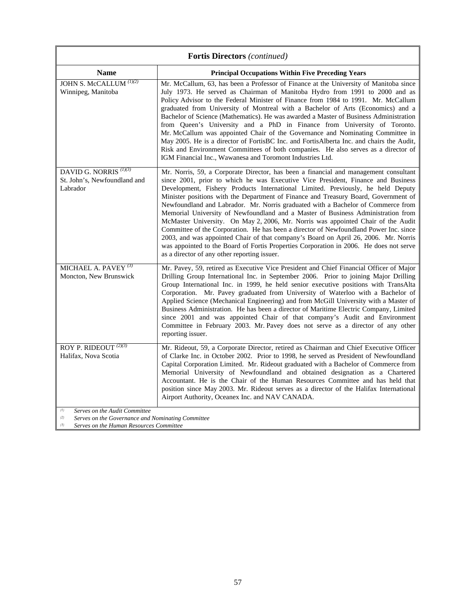|                                                                                                                                                    | <b>Fortis Directors</b> (continued)                                                                                                                                                                                                                                                                                                                                                                                                                                                                                                                                                                                                                                                                                                                                                                                                                                                                                                      |  |  |  |
|----------------------------------------------------------------------------------------------------------------------------------------------------|------------------------------------------------------------------------------------------------------------------------------------------------------------------------------------------------------------------------------------------------------------------------------------------------------------------------------------------------------------------------------------------------------------------------------------------------------------------------------------------------------------------------------------------------------------------------------------------------------------------------------------------------------------------------------------------------------------------------------------------------------------------------------------------------------------------------------------------------------------------------------------------------------------------------------------------|--|--|--|
| <b>Name</b>                                                                                                                                        | <b>Principal Occupations Within Five Preceding Years</b>                                                                                                                                                                                                                                                                                                                                                                                                                                                                                                                                                                                                                                                                                                                                                                                                                                                                                 |  |  |  |
| JOHN S. McCALLUM <sup>(1)(2)</sup><br>Winnipeg, Manitoba                                                                                           | Mr. McCallum, 63, has been a Professor of Finance at the University of Manitoba since<br>July 1973. He served as Chairman of Manitoba Hydro from 1991 to 2000 and as<br>Policy Advisor to the Federal Minister of Finance from 1984 to 1991. Mr. McCallum<br>graduated from University of Montreal with a Bachelor of Arts (Economics) and a<br>Bachelor of Science (Mathematics). He was awarded a Master of Business Administration<br>from Queen's University and a PhD in Finance from University of Toronto.<br>Mr. McCallum was appointed Chair of the Governance and Nominating Committee in<br>May 2005. He is a director of FortisBC Inc. and FortisAlberta Inc. and chairs the Audit,<br>Risk and Environment Committees of both companies. He also serves as a director of<br>IGM Financial Inc., Wawanesa and Toromont Industries Ltd.                                                                                       |  |  |  |
| DAVID G. NORRIS <sup>(1)(3)</sup><br>St. John's, Newfoundland and<br>Labrador                                                                      | Mr. Norris, 59, a Corporate Director, has been a financial and management consultant<br>since 2001, prior to which he was Executive Vice President, Finance and Business<br>Development, Fishery Products International Limited. Previously, he held Deputy<br>Minister positions with the Department of Finance and Treasury Board, Government of<br>Newfoundland and Labrador. Mr. Norris graduated with a Bachelor of Commerce from<br>Memorial University of Newfoundland and a Master of Business Administration from<br>McMaster University. On May 2, 2006, Mr. Norris was appointed Chair of the Audit<br>Committee of the Corporation. He has been a director of Newfoundland Power Inc. since<br>2003, and was appointed Chair of that company's Board on April 26, 2006. Mr. Norris<br>was appointed to the Board of Fortis Properties Corporation in 2006. He does not serve<br>as a director of any other reporting issuer. |  |  |  |
| MICHAEL A. PAVEY $(3)$<br>Moncton, New Brunswick                                                                                                   | Mr. Pavey, 59, retired as Executive Vice President and Chief Financial Officer of Major<br>Drilling Group International Inc. in September 2006. Prior to joining Major Drilling<br>Group International Inc. in 1999, he held senior executive positions with TransAlta<br>Corporation. Mr. Pavey graduated from University of Waterloo with a Bachelor of<br>Applied Science (Mechanical Engineering) and from McGill University with a Master of<br>Business Administration. He has been a director of Maritime Electric Company, Limited<br>since 2001 and was appointed Chair of that company's Audit and Environment<br>Committee in February 2003. Mr. Pavey does not serve as a director of any other<br>reporting issuer.                                                                                                                                                                                                         |  |  |  |
| ROY P. RIDEOUT $^{(2)(3)}$<br>Halifax, Nova Scotia                                                                                                 | Mr. Rideout, 59, a Corporate Director, retired as Chairman and Chief Executive Officer<br>of Clarke Inc. in October 2002. Prior to 1998, he served as President of Newfoundland<br>Capital Corporation Limited. Mr. Rideout graduated with a Bachelor of Commerce from<br>Memorial University of Newfoundland and obtained designation as a Chartered<br>Accountant. He is the Chair of the Human Resources Committee and has held that<br>position since May 2003. Mr. Rideout serves as a director of the Halifax International<br>Airport Authority, Oceanex Inc. and NAV CANADA.                                                                                                                                                                                                                                                                                                                                                     |  |  |  |
| Serves on the Audit Committee<br>(1)<br>Serves on the Governance and Nominating Committee<br>(2)<br>(3)<br>Serves on the Human Resources Committee |                                                                                                                                                                                                                                                                                                                                                                                                                                                                                                                                                                                                                                                                                                                                                                                                                                                                                                                                          |  |  |  |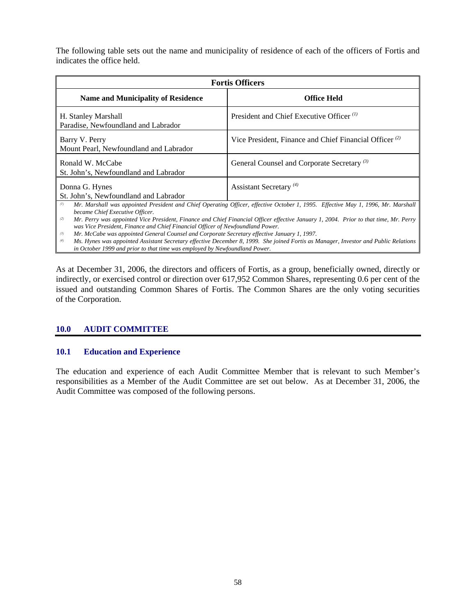The following table sets out the name and municipality of residence of each of the officers of Fortis and indicates the office held.

| <b>Fortis Officers</b>                                                                                                                                                                                                                                                    |                                                                                                                                                                                                                                                                          |  |
|---------------------------------------------------------------------------------------------------------------------------------------------------------------------------------------------------------------------------------------------------------------------------|--------------------------------------------------------------------------------------------------------------------------------------------------------------------------------------------------------------------------------------------------------------------------|--|
| <b>Name and Municipality of Residence</b>                                                                                                                                                                                                                                 | <b>Office Held</b>                                                                                                                                                                                                                                                       |  |
| H. Stanley Marshall<br>Paradise, Newfoundland and Labrador                                                                                                                                                                                                                | President and Chief Executive Officer <sup>(1)</sup>                                                                                                                                                                                                                     |  |
| Barry V. Perry<br>Mount Pearl, Newfoundland and Labrador                                                                                                                                                                                                                  | Vice President, Finance and Chief Financial Officer <sup>(2)</sup>                                                                                                                                                                                                       |  |
| Ronald W. McCabe<br>St. John's, Newfoundland and Labrador                                                                                                                                                                                                                 | General Counsel and Corporate Secretary <sup>(3)</sup>                                                                                                                                                                                                                   |  |
| Donna G. Hynes<br>St. John's, Newfoundland and Labrador                                                                                                                                                                                                                   | Assistant Secretary <sup>(4)</sup>                                                                                                                                                                                                                                       |  |
| (1)<br>became Chief Executive Officer.<br>(2)<br>was Vice President, Finance and Chief Financial Officer of Newfoundland Power.                                                                                                                                           | Mr. Marshall was appointed President and Chief Operating Officer, effective October 1, 1995. Effective May 1, 1996, Mr. Marshall<br>Mr. Perry was appointed Vice President, Finance and Chief Financial Officer effective January 1, 2004. Prior to that time, Mr. Perry |  |
| Mr. McCabe was appointed General Counsel and Corporate Secretary effective January 1, 1997.<br>$(\mathbf{3})$<br>Mc Hyper was appointed Assistant Cognition offective December 8, 1000. She isined Fartis as Mangager Investor and Public Polations.<br>$\left( 4\right)$ |                                                                                                                                                                                                                                                                          |  |

*(4) Ms. Hynes was appointed Assistant Secretary effective December 8, 1999. She joined Fortis as Manager, Investor and Public Relations in October 1999 and prior to that time was employed by Newfoundland Power.* 

As at December 31, 2006, the directors and officers of Fortis, as a group, beneficially owned, directly or indirectly, or exercised control or direction over 617,952 Common Shares, representing 0.6 per cent of the issued and outstanding Common Shares of Fortis. The Common Shares are the only voting securities of the Corporation.

## **10.0 AUDIT COMMITTEE**

## **10.1 Education and Experience**

The education and experience of each Audit Committee Member that is relevant to such Member's responsibilities as a Member of the Audit Committee are set out below. As at December 31, 2006, the Audit Committee was composed of the following persons.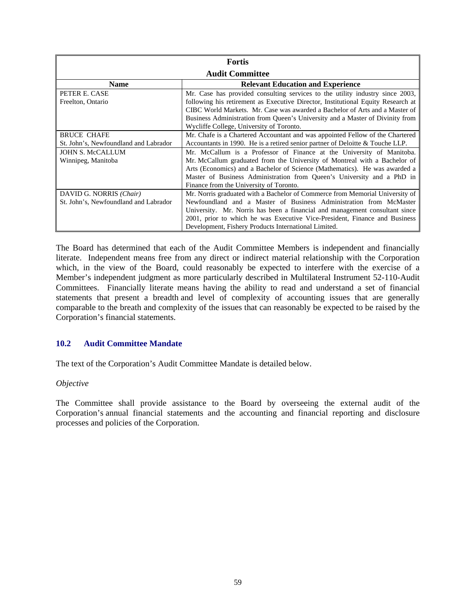| <b>Fortis</b>                         |                                                                                  |  |
|---------------------------------------|----------------------------------------------------------------------------------|--|
| <b>Audit Committee</b>                |                                                                                  |  |
| <b>Name</b>                           | <b>Relevant Education and Experience</b>                                         |  |
| PETER E. CASE                         | Mr. Case has provided consulting services to the utility industry since 2003,    |  |
| Freelton, Ontario                     | following his retirement as Executive Director, Institutional Equity Research at |  |
|                                       | CIBC World Markets. Mr. Case was awarded a Bachelor of Arts and a Master of      |  |
|                                       | Business Administration from Queen's University and a Master of Divinity from    |  |
|                                       | Wycliffe College, University of Toronto.                                         |  |
| <b>BRUCE CHAFE</b>                    | Mr. Chafe is a Chartered Accountant and was appointed Fellow of the Chartered    |  |
| St. John's, Newfoundland and Labrador | Accountants in 1990. He is a retired senior partner of Deloitte & Touche LLP.    |  |
| <b>JOHN S. McCALLUM</b>               | Mr. McCallum is a Professor of Finance at the University of Manitoba.            |  |
| Winnipeg, Manitoba                    | Mr. McCallum graduated from the University of Montreal with a Bachelor of        |  |
|                                       | Arts (Economics) and a Bachelor of Science (Mathematics). He was awarded a       |  |
|                                       | Master of Business Administration from Queen's University and a PhD in           |  |
|                                       | Finance from the University of Toronto.                                          |  |
| DAVID G. NORRIS (Chair)               | Mr. Norris graduated with a Bachelor of Commerce from Memorial University of     |  |
| St. John's, Newfoundland and Labrador | Newfoundland and a Master of Business Administration from McMaster               |  |
|                                       | University. Mr. Norris has been a financial and management consultant since      |  |
|                                       | 2001, prior to which he was Executive Vice-President, Finance and Business       |  |
|                                       | Development, Fishery Products International Limited.                             |  |

The Board has determined that each of the Audit Committee Members is independent and financially literate. Independent means free from any direct or indirect material relationship with the Corporation which, in the view of the Board, could reasonably be expected to interfere with the exercise of a Member's independent judgment as more particularly described in Multilateral Instrument 52-110-Audit Committees. Financially literate means having the ability to read and understand a set of financial statements that present a breadth and level of complexity of accounting issues that are generally comparable to the breath and complexity of the issues that can reasonably be expected to be raised by the Corporation's financial statements.

## **10.2 Audit Committee Mandate**

The text of the Corporation's Audit Committee Mandate is detailed below.

#### *Objective*

The Committee shall provide assistance to the Board by overseeing the external audit of the Corporation's annual financial statements and the accounting and financial reporting and disclosure processes and policies of the Corporation.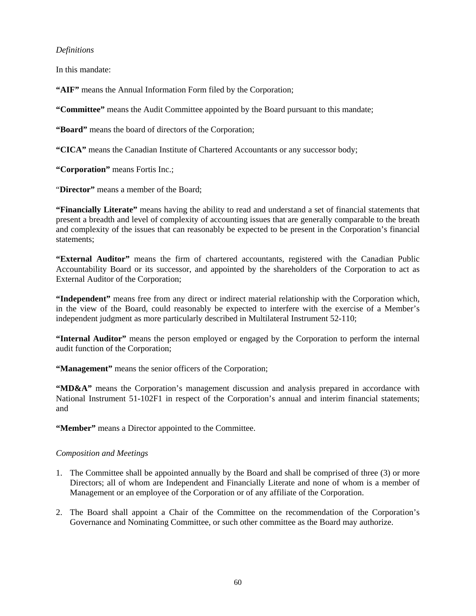## *Definitions*

In this mandate:

**"AIF"** means the Annual Information Form filed by the Corporation;

**"Committee"** means the Audit Committee appointed by the Board pursuant to this mandate;

**"Board"** means the board of directors of the Corporation;

**"CICA"** means the Canadian Institute of Chartered Accountants or any successor body;

**"Corporation"** means Fortis Inc.;

"**Director"** means a member of the Board;

**"Financially Literate"** means having the ability to read and understand a set of financial statements that present a breadth and level of complexity of accounting issues that are generally comparable to the breath and complexity of the issues that can reasonably be expected to be present in the Corporation's financial statements;

**"External Auditor"** means the firm of chartered accountants, registered with the Canadian Public Accountability Board or its successor, and appointed by the shareholders of the Corporation to act as External Auditor of the Corporation;

**"Independent"** means free from any direct or indirect material relationship with the Corporation which, in the view of the Board, could reasonably be expected to interfere with the exercise of a Member's independent judgment as more particularly described in Multilateral Instrument 52-110;

**"Internal Auditor"** means the person employed or engaged by the Corporation to perform the internal audit function of the Corporation;

 **"Management"** means the senior officers of the Corporation;

"MD&A" means the Corporation's management discussion and analysis prepared in accordance with National Instrument 51-102F1 in respect of the Corporation's annual and interim financial statements; and

 **"Member"** means a Director appointed to the Committee.

## *Composition and Meetings*

- 1. The Committee shall be appointed annually by the Board and shall be comprised of three (3) or more Directors; all of whom are Independent and Financially Literate and none of whom is a member of Management or an employee of the Corporation or of any affiliate of the Corporation.
- 2. The Board shall appoint a Chair of the Committee on the recommendation of the Corporation's Governance and Nominating Committee, or such other committee as the Board may authorize.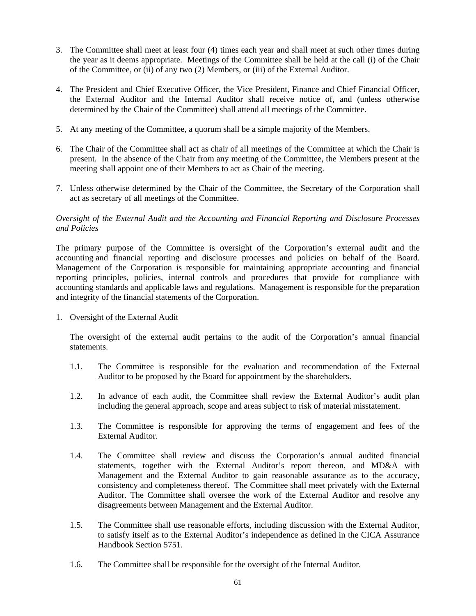- 3. The Committee shall meet at least four (4) times each year and shall meet at such other times during the year as it deems appropriate. Meetings of the Committee shall be held at the call (i) of the Chair of the Committee, or (ii) of any two (2) Members, or (iii) of the External Auditor.
- 4. The President and Chief Executive Officer, the Vice President, Finance and Chief Financial Officer, the External Auditor and the Internal Auditor shall receive notice of, and (unless otherwise determined by the Chair of the Committee) shall attend all meetings of the Committee.
- 5. At any meeting of the Committee, a quorum shall be a simple majority of the Members.
- 6. The Chair of the Committee shall act as chair of all meetings of the Committee at which the Chair is present. In the absence of the Chair from any meeting of the Committee, the Members present at the meeting shall appoint one of their Members to act as Chair of the meeting.
- 7. Unless otherwise determined by the Chair of the Committee, the Secretary of the Corporation shall act as secretary of all meetings of the Committee.

## *Oversight of the External Audit and the Accounting and Financial Reporting and Disclosure Processes and Policies*

The primary purpose of the Committee is oversight of the Corporation's external audit and the accounting and financial reporting and disclosure processes and policies on behalf of the Board. Management of the Corporation is responsible for maintaining appropriate accounting and financial reporting principles, policies, internal controls and procedures that provide for compliance with accounting standards and applicable laws and regulations. Management is responsible for the preparation and integrity of the financial statements of the Corporation.

1. Oversight of the External Audit

The oversight of the external audit pertains to the audit of the Corporation's annual financial statements.

- 1.1. The Committee is responsible for the evaluation and recommendation of the External Auditor to be proposed by the Board for appointment by the shareholders.
- 1.2. In advance of each audit, the Committee shall review the External Auditor's audit plan including the general approach, scope and areas subject to risk of material misstatement.
- 1.3. The Committee is responsible for approving the terms of engagement and fees of the External Auditor.
- 1.4. The Committee shall review and discuss the Corporation's annual audited financial statements, together with the External Auditor's report thereon, and MD&A with Management and the External Auditor to gain reasonable assurance as to the accuracy, consistency and completeness thereof. The Committee shall meet privately with the External Auditor. The Committee shall oversee the work of the External Auditor and resolve any disagreements between Management and the External Auditor.
- 1.5. The Committee shall use reasonable efforts, including discussion with the External Auditor, to satisfy itself as to the External Auditor's independence as defined in the CICA Assurance Handbook Section 5751.
- 1.6. The Committee shall be responsible for the oversight of the Internal Auditor.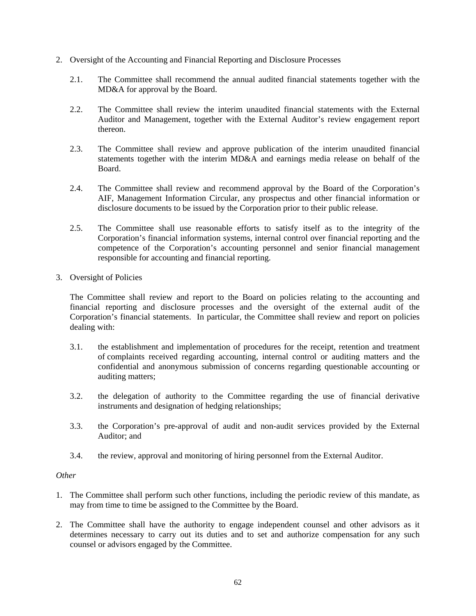- 2. Oversight of the Accounting and Financial Reporting and Disclosure Processes
	- 2.1. The Committee shall recommend the annual audited financial statements together with the MD&A for approval by the Board.
	- 2.2. The Committee shall review the interim unaudited financial statements with the External Auditor and Management, together with the External Auditor's review engagement report thereon.
	- 2.3. The Committee shall review and approve publication of the interim unaudited financial statements together with the interim MD&A and earnings media release on behalf of the Board.
	- 2.4. The Committee shall review and recommend approval by the Board of the Corporation's AIF, Management Information Circular, any prospectus and other financial information or disclosure documents to be issued by the Corporation prior to their public release.
	- 2.5. The Committee shall use reasonable efforts to satisfy itself as to the integrity of the Corporation's financial information systems, internal control over financial reporting and the competence of the Corporation's accounting personnel and senior financial management responsible for accounting and financial reporting.
- 3. Oversight of Policies

The Committee shall review and report to the Board on policies relating to the accounting and financial reporting and disclosure processes and the oversight of the external audit of the Corporation's financial statements. In particular, the Committee shall review and report on policies dealing with:

- 3.1. the establishment and implementation of procedures for the receipt, retention and treatment of complaints received regarding accounting, internal control or auditing matters and the confidential and anonymous submission of concerns regarding questionable accounting or auditing matters;
- 3.2. the delegation of authority to the Committee regarding the use of financial derivative instruments and designation of hedging relationships;
- 3.3. the Corporation's pre-approval of audit and non-audit services provided by the External Auditor; and
- 3.4. the review, approval and monitoring of hiring personnel from the External Auditor.

## *Other*

- 1. The Committee shall perform such other functions, including the periodic review of this mandate, as may from time to time be assigned to the Committee by the Board.
- 2. The Committee shall have the authority to engage independent counsel and other advisors as it determines necessary to carry out its duties and to set and authorize compensation for any such counsel or advisors engaged by the Committee.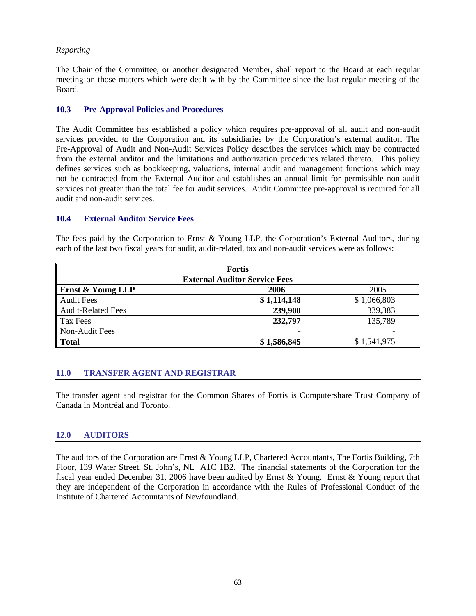## *Reporting*

The Chair of the Committee, or another designated Member, shall report to the Board at each regular meeting on those matters which were dealt with by the Committee since the last regular meeting of the Board.

## **10.3 Pre-Approval Policies and Procedures**

The Audit Committee has established a policy which requires pre-approval of all audit and non-audit services provided to the Corporation and its subsidiaries by the Corporation's external auditor. The Pre-Approval of Audit and Non-Audit Services Policy describes the services which may be contracted from the external auditor and the limitations and authorization procedures related thereto. This policy defines services such as bookkeeping, valuations, internal audit and management functions which may not be contracted from the External Auditor and establishes an annual limit for permissible non-audit services not greater than the total fee for audit services. Audit Committee pre-approval is required for all audit and non-audit services.

## **10.4 External Auditor Service Fees**

| <b>Fortis</b>                        |             |             |  |  |
|--------------------------------------|-------------|-------------|--|--|
| <b>External Auditor Service Fees</b> |             |             |  |  |
| Ernst & Young LLP                    | 2006        | 2005        |  |  |
| <b>Audit Fees</b>                    | \$1,114,148 | \$1,066,803 |  |  |
| <b>Audit-Related Fees</b>            | 239,900     | 339,383     |  |  |
| Tax Fees                             | 232,797     | 135,789     |  |  |
| Non-Audit Fees                       |             |             |  |  |
| <b>Total</b>                         | \$1,586,845 | \$1,541,975 |  |  |

The fees paid by the Corporation to Ernst & Young LLP, the Corporation's External Auditors, during each of the last two fiscal years for audit, audit-related, tax and non-audit services were as follows:

## **11.0 TRANSFER AGENT AND REGISTRAR**

The transfer agent and registrar for the Common Shares of Fortis is Computershare Trust Company of Canada in Montréal and Toronto.

## **12.0 AUDITORS**

The auditors of the Corporation are Ernst & Young LLP, Chartered Accountants, The Fortis Building, 7th Floor, 139 Water Street, St. John's, NL A1C 1B2. The financial statements of the Corporation for the fiscal year ended December 31, 2006 have been audited by Ernst & Young. Ernst & Young report that they are independent of the Corporation in accordance with the Rules of Professional Conduct of the Institute of Chartered Accountants of Newfoundland.